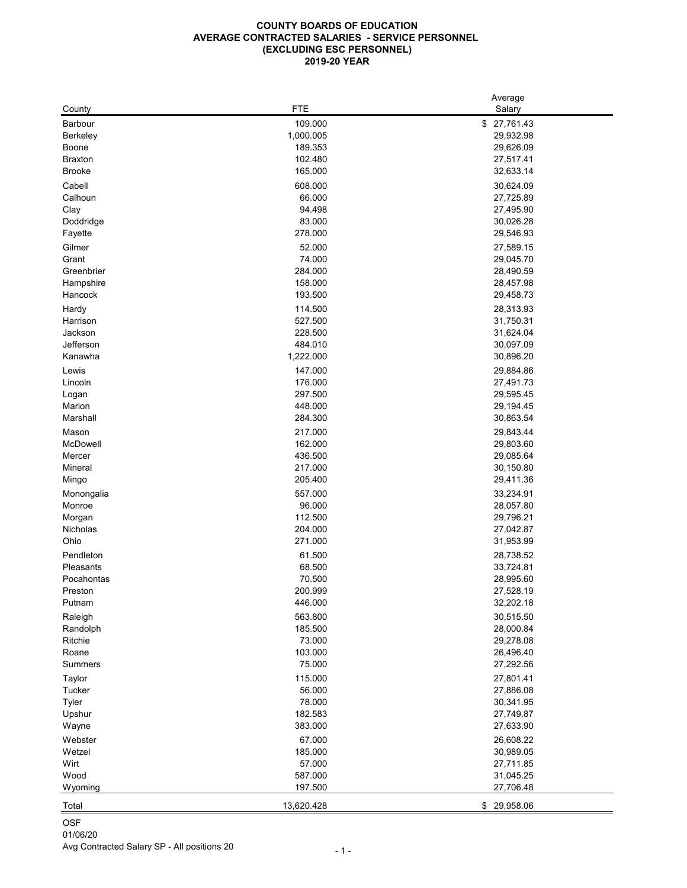#### **COUNTY BOARDS OF EDUCATION AVERAGE CONTRACTED SALARIES - SERVICE PERSONNEL (EXCLUDING ESC PERSONNEL) 2019-20 YEAR**

|                 |                   | Average                |
|-----------------|-------------------|------------------------|
| County          | <b>FTE</b>        | Salary                 |
| <b>Barbour</b>  | 109.000           | \$27,761.43            |
| <b>Berkeley</b> | 1,000.005         | 29,932.98              |
| <b>Boone</b>    | 189.353           | 29,626.09              |
| <b>Braxton</b>  | 102.480           | 27,517.41              |
| <b>Brooke</b>   | 165.000           | 32,633.14              |
| Cabell          | 608.000           | 30,624.09              |
|                 |                   |                        |
| Calhoun         | 66.000            | 27,725.89              |
| Clay            | 94.498            | 27,495.90              |
| Doddridge       | 83.000            | 30,026.28              |
| Fayette         | 278.000           | 29,546.93              |
| Gilmer          | 52.000            | 27,589.15              |
| Grant           | 74.000            | 29,045.70              |
| Greenbrier      | 284.000           | 28,490.59              |
| Hampshire       | 158.000           | 28,457.98              |
| Hancock         | 193.500           | 29,458.73              |
| Hardy           | 114.500           | 28,313.93              |
| Harrison        | 527.500           | 31,750.31              |
| Jackson         | 228.500           | 31,624.04              |
| Jefferson       | 484.010           | 30,097.09              |
| Kanawha         | 1,222.000         | 30,896.20              |
|                 |                   |                        |
| Lewis           | 147.000           | 29,884.86              |
| Lincoln         | 176.000           | 27,491.73              |
| Logan           | 297.500           | 29,595.45              |
| Marion          | 448.000           | 29,194.45              |
| Marshall        | 284.300           | 30,863.54              |
| Mason           | 217.000           | 29,843.44              |
| McDowell        | 162.000           | 29,803.60              |
| Mercer          | 436.500           | 29,085.64              |
| <b>Mineral</b>  | 217.000           | 30,150.80              |
| Mingo           | 205.400           | 29,411.36              |
|                 | 557.000           |                        |
| Monongalia      |                   | 33,234.91              |
| Monroe          | 96.000<br>112.500 | 28,057.80<br>29,796.21 |
| Morgan          |                   |                        |
| Nicholas        | 204.000           | 27,042.87              |
| Ohio            | 271.000           | 31,953.99              |
| Pendleton       | 61.500            | 28,738.52              |
| Pleasants       | 68.500            | 33,724.81              |
| Pocahontas      | 70.500            | 28,995.60              |
| Preston         | 200.999           | 27,528.19              |
| Putnam          | 446.000           | 32,202.18              |
| Raleigh         | 563.800           | 30,515.50              |
| Randolph        | 185.500           | 28,000.84              |
| Ritchie         | 73.000            | 29,278.08              |
| Roane           | 103.000           | 26,496.40              |
| <b>Summers</b>  | 75.000            | 27,292.56              |
|                 |                   |                        |
| Taylor          | 115.000           | 27,801.41              |
| <b>Tucker</b>   | 56.000            | 27,886.08              |
| <b>Tyler</b>    | 78.000            | 30,341.95              |
| Upshur          | 182.583           | 27,749.87              |
| Wayne           | 383.000           | 27,633.90              |
| Webster         | 67.000            | 26,608.22              |
| Wetzel          | 185.000           | 30,989.05              |
| Wirt            | 57.000            | 27,711.85              |
| Wood            | 587.000           | 31,045.25              |
| Wyoming         | 197.500           | 27,706.48              |
|                 |                   |                        |
| Total           | 13,620.428        | \$ 29,958.06           |

OSF 01/06/20 Avg Contracted Salary SP - All positions 20 - 1 -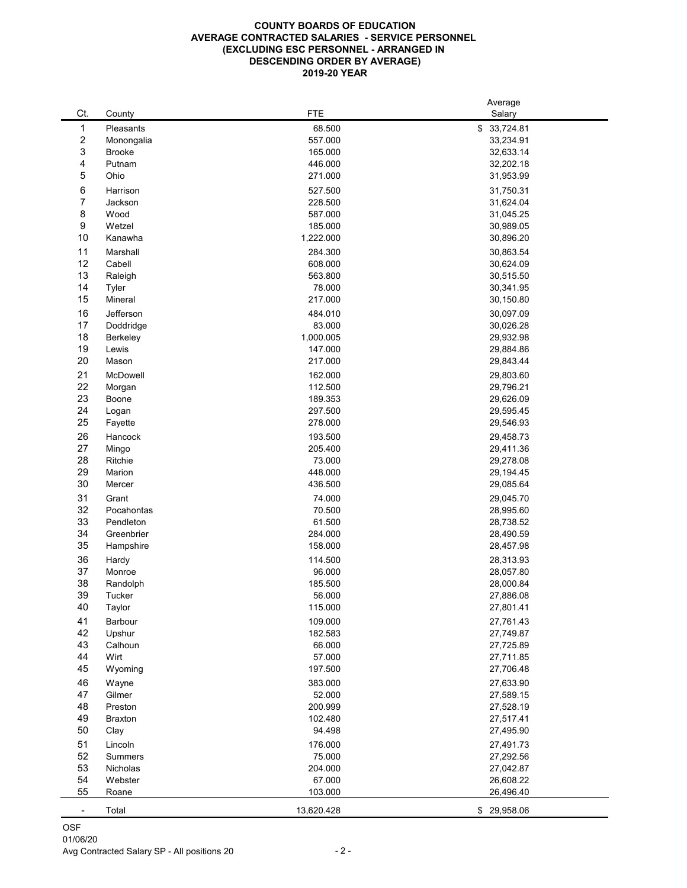#### **COUNTY BOARDS OF EDUCATION AVERAGE CONTRACTED SALARIES - SERVICE PERSONNEL (EXCLUDING ESC PERSONNEL - ARRANGED IN DESCENDING ORDER BY AVERAGE) 2019-20 YEAR**

| Ct.            | County         | <b>FTE</b>         | Average<br>Salary      |
|----------------|----------------|--------------------|------------------------|
| 1              | Pleasants      | 68.500             | \$33,724.81            |
| $\overline{c}$ | Monongalia     | 557.000            | 33,234.91              |
| 3              | <b>Brooke</b>  | 165.000            | 32,633.14              |
| 4              | Putnam         | 446.000            | 32,202.18              |
| 5              | Ohio           | 271.000            | 31,953.99              |
| 6              | Harrison       | 527.500            | 31,750.31              |
| 7              | Jackson        | 228.500            | 31,624.04              |
| 8              | Wood           | 587.000            | 31,045.25              |
| 9              | Wetzel         | 185.000            | 30,989.05              |
| 10             | Kanawha        | 1,222.000          | 30,896.20              |
|                |                |                    |                        |
| 11<br>12       | Marshall       | 284.300            | 30,863.54              |
| 13             | Cabell         | 608.000            | 30,624.09<br>30,515.50 |
|                | Raleigh        | 563.800<br>78.000  |                        |
| 14<br>15       | <b>Tyler</b>   |                    | 30,341.95              |
|                | Mineral        | 217.000            | 30,150.80              |
| 16             | Jefferson      | 484.010            | 30,097.09              |
| 17             | Doddridge      | 83.000             | 30,026.28              |
| 18             | Berkeley       | 1,000.005          | 29,932.98              |
| 19             | Lewis          | 147.000            | 29,884.86              |
| 20             | Mason          | 217.000            | 29,843.44              |
| 21             | McDowell       | 162.000            | 29,803.60              |
| 22             | Morgan         | 112.500            | 29,796.21              |
| 23             | <b>Boone</b>   | 189.353            | 29,626.09              |
| 24             | Logan          | 297.500            | 29,595.45              |
| 25             | Fayette        | 278.000            | 29,546.93              |
| 26             | Hancock        | 193.500            | 29,458.73              |
| 27             | Mingo          | 205.400            | 29,411.36              |
| 28             | Ritchie        | 73.000             | 29,278.08              |
| 29             | Marion         | 448.000            | 29,194.45              |
| 30             | Mercer         | 436.500            | 29,085.64              |
| 31             | Grant          | 74.000             | 29,045.70              |
| 32             | Pocahontas     | 70.500             | 28,995.60              |
| 33             | Pendleton      | 61.500             | 28,738.52              |
| 34             | Greenbrier     | 284.000            | 28,490.59              |
| 35             | Hampshire      | 158.000            | 28,457.98              |
| 36             | Hardy          | 114.500            | 28,313.93              |
| 37             | Monroe         | 96.000             | 28,057.80              |
| 38             | Randolph       | 185.500            | 28,000.84              |
| 39             | <b>Tucker</b>  | 56.000             | 27,886.08              |
| 40             | <b>Taylor</b>  | 115.000            | 27,801.41              |
| 41             | Barbour        | 109.000            | 27,761.43              |
| 42             | Upshur         | 182.583            | 27,749.87              |
| 43             | Calhoun        | 66.000             | 27,725.89              |
| 44             | Wirt           | 57.000             | 27,711.85              |
| 45             | Wyoming        | 197.500            | 27,706.48              |
|                |                |                    |                        |
| 46             | Wayne          | 383.000            | 27,633.90              |
| 47             | Gilmer         | 52.000             | 27,589.15              |
| 48             | Preston        | 200.999<br>102.480 | 27,528.19              |
| 49<br>50       | <b>Braxton</b> |                    | 27,517.41<br>27,495.90 |
|                | Clay           | 94.498             |                        |
| 51             | Lincoln        | 176.000            | 27,491.73              |
| 52             | <b>Summers</b> | 75.000             | 27,292.56              |
| 53             | Nicholas       | 204.000            | 27,042.87              |
| 54             | Webster        | 67.000             | 26,608.22              |
| 55             | Roane          | 103.000            | 26,496.40              |
| $\blacksquare$ | Total          | 13,620.428         | \$29,958.06            |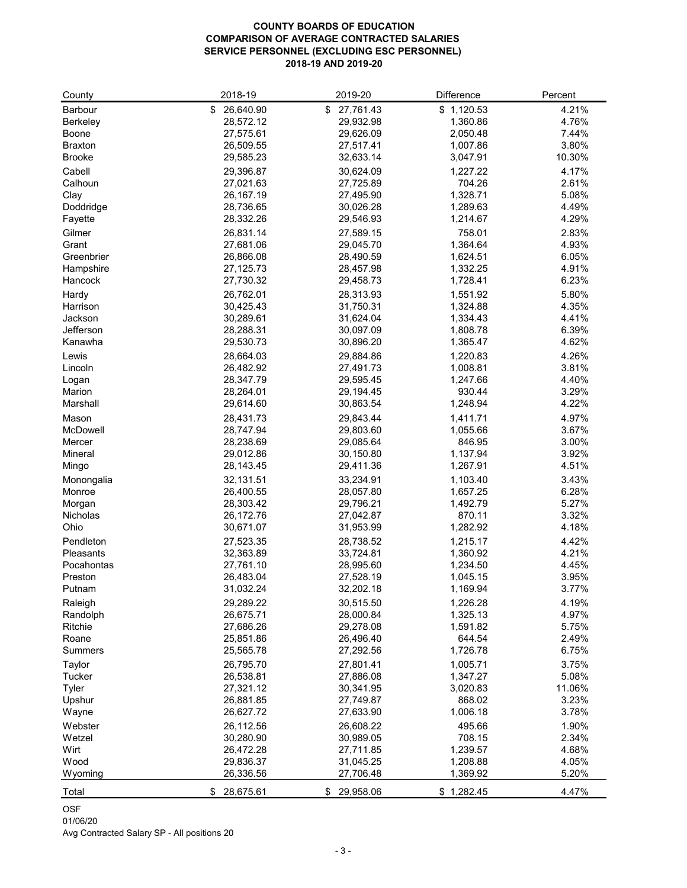### **COUNTY BOARDS OF EDUCATION COMPARISON OF AVERAGE CONTRACTED SALARIES SERVICE PERSONNEL (EXCLUDING ESC PERSONNEL) 2018-19 AND 2019-20**

| County                         | 2018-19                | 2019-20                | <b>Difference</b>    | Percent         |
|--------------------------------|------------------------|------------------------|----------------------|-----------------|
| <b>Barbour</b>                 | 26,640.90<br>\$        | 27,761.43<br>\$        | \$1,120.53           | 4.21%           |
| <b>Berkeley</b>                | 28,572.12              | 29,932.98              | 1,360.86             | 4.76%           |
| <b>Boone</b>                   | 27,575.61              | 29,626.09              | 2,050.48             | 7.44%           |
| <b>Braxton</b>                 | 26,509.55              | 27,517.41              | 1,007.86             | 3.80%           |
| <b>Brooke</b>                  | 29,585.23              | 32,633.14              | 3,047.91             | 10.30%          |
| Cabell                         | 29,396.87              | 30,624.09              | 1,227.22             | 4.17%           |
| Calhoun                        | 27,021.63              | 27,725.89              | 704.26               | 2.61%           |
| Clay                           | 26,167.19              | 27,495.90              | 1,328.71             | 5.08%           |
| Doddridge                      | 28,736.65              | 30,026.28              | 1,289.63             | 4.49%           |
| Fayette                        | 28,332.26              | 29,546.93              | 1,214.67             | 4.29%           |
| Gilmer                         | 26,831.14              | 27,589.15              | 758.01               | 2.83%           |
| Grant                          | 27,681.06              | 29,045.70              | 1,364.64             | 4.93%           |
| Greenbrier                     | 26,866.08              | 28,490.59              | 1,624.51             | 6.05%           |
| Hampshire                      | 27,125.73              | 28,457.98              | 1,332.25             | 4.91%           |
| Hancock                        | 27,730.32              | 29,458.73              | 1,728.41             | 6.23%           |
| Hardy                          | 26,762.01              | 28,313.93              | 1,551.92             | 5.80%           |
| Harrison                       | 30,425.43              | 31,750.31              | 1,324.88             | 4.35%           |
| Jackson                        | 30,289.61              | 31,624.04              | 1,334.43             | 4.41%           |
| <b>Jefferson</b>               | 28,288.31              | 30,097.09              | 1,808.78             | 6.39%           |
| Kanawha                        | 29,530.73              | 30,896.20              | 1,365.47             | 4.62%           |
|                                | 28,664.03              | 29,884.86              | 1,220.83             | 4.26%           |
| Lewis<br>Lincoln               | 26,482.92              | 27,491.73              | 1,008.81             | 3.81%           |
|                                | 28,347.79              | 29,595.45              | 1,247.66             | 4.40%           |
| Logan<br>Marion                | 28,264.01              | 29,194.45              | 930.44               | 3.29%           |
| Marshall                       | 29,614.60              | 30,863.54              | 1,248.94             | 4.22%           |
|                                |                        |                        |                      | 4.97%           |
| Mason                          | 28,431.73              | 29,843.44              | 1,411.71             |                 |
| McDowell<br>Mercer             | 28,747.94<br>28,238.69 | 29,803.60<br>29,085.64 | 1,055.66<br>846.95   | 3.67%<br>3.00%  |
| <b>Mineral</b>                 | 29,012.86              | 30,150.80              | 1,137.94             | 3.92%           |
| Mingo                          | 28,143.45              | 29,411.36              | 1,267.91             | 4.51%           |
|                                | 32,131.51              | 33,234.91              | 1,103.40             | 3.43%           |
| Monongalia<br>Monroe           | 26,400.55              | 28,057.80              | 1,657.25             | 6.28%           |
| Morgan                         | 28,303.42              | 29,796.21              | 1,492.79             | 5.27%           |
| <b>Nicholas</b>                | 26,172.76              | 27,042.87              | 870.11               | 3.32%           |
| Ohio                           | 30,671.07              | 31,953.99              | 1,282.92             | 4.18%           |
|                                |                        |                        |                      |                 |
| Pendleton                      | 27,523.35<br>32,363.89 | 28,738.52<br>33,724.81 | 1,215.17<br>1,360.92 | 4.42%<br>4.21%  |
| <b>Pleasants</b><br>Pocahontas | 27,761.10              | 28,995.60              | 1,234.50             | 4.45%           |
|                                | 26,483.04              |                        | 1,045.15             | 3.95%           |
| Preston<br>Putnam              | 31,032.24              | 27,528.19<br>32,202.18 | 1,169.94             | 3.77%           |
|                                |                        |                        |                      |                 |
| Raleigh                        | 29,289.22              | 30,515.50              | 1,226.28             | 4.19%           |
| Randolph                       | 26,675.71              | 28,000.84              | 1,325.13             | 4.97%<br>5.75%  |
| Ritchie<br>Roane               | 27,686.26<br>25,851.86 | 29,278.08<br>26,496.40 | 1,591.82<br>644.54   |                 |
| <b>Summers</b>                 | 25,565.78              | 27,292.56              | 1,726.78             | 2.49%<br>6.75%  |
|                                |                        |                        |                      |                 |
| Taylor                         | 26,795.70              | 27,801.41              | 1,005.71             | 3.75%           |
| Tucker                         | 26,538.81<br>27,321.12 | 27,886.08<br>30,341.95 | 1,347.27<br>3,020.83 | 5.08%<br>11.06% |
| <b>Tyler</b>                   | 26,881.85              | 27,749.87              | 868.02               | 3.23%           |
| Upshur<br>Wayne                | 26,627.72              | 27,633.90              | 1,006.18             | 3.78%           |
| Webster                        |                        |                        |                      |                 |
| Wetzel                         | 26,112.56<br>30,280.90 | 26,608.22<br>30,989.05 | 495.66<br>708.15     | 1.90%<br>2.34%  |
| Wirt                           | 26,472.28              | 27,711.85              | 1,239.57             | 4.68%           |
| Wood                           | 29,836.37              | 31,045.25              | 1,208.88             | 4.05%           |
| Wyoming                        | 26,336.56              | 27,706.48              | 1,369.92             | 5.20%           |
|                                |                        |                        |                      |                 |
| Total                          | \$28,675.61            | \$ 29,958.06           | \$1,282.45           | 4.47%           |

OSF

01/06/20

Avg Contracted Salary SP - All positions 20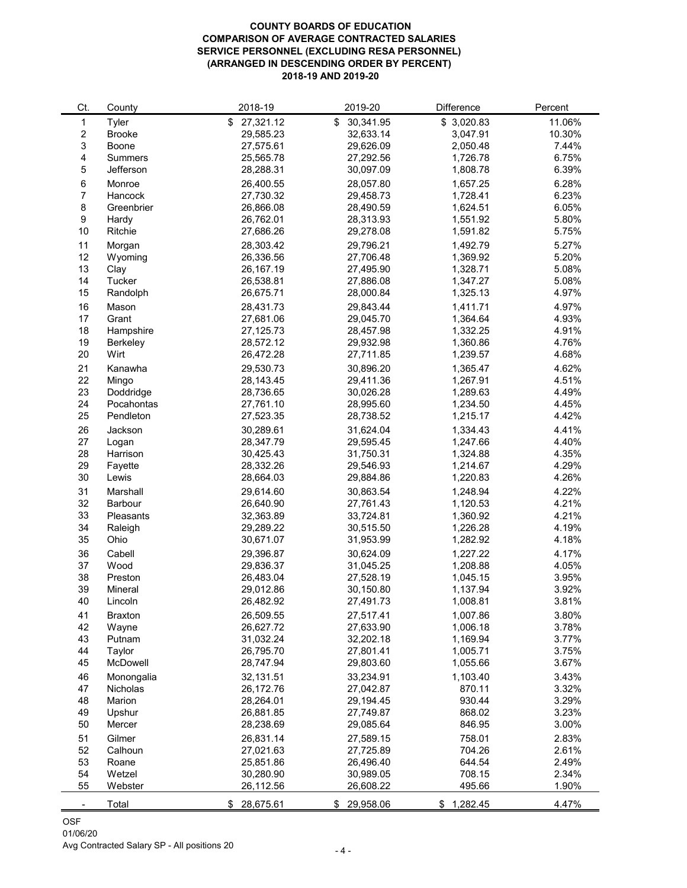#### **COUNTY BOARDS OF EDUCATION COMPARISON OF AVERAGE CONTRACTED SALARIES SERVICE PERSONNEL (EXCLUDING RESA PERSONNEL) (ARRANGED IN DESCENDING ORDER BY PERCENT) 2018-19 AND 2019-20**

| Ct.                     | County           | 2018-19         | 2019-20         | <b>Difference</b> | Percent |
|-------------------------|------------------|-----------------|-----------------|-------------------|---------|
| 1                       | <b>Tyler</b>     | \$<br>27,321.12 | 30,341.95<br>\$ | \$3,020.83        | 11.06%  |
| $\overline{2}$          | <b>Brooke</b>    | 29,585.23       | 32,633.14       | 3,047.91          | 10.30%  |
| $\mathfrak{S}$          | <b>Boone</b>     | 27,575.61       | 29,626.09       | 2,050.48          | 7.44%   |
| $\overline{\mathbf{4}}$ | <b>Summers</b>   | 25,565.78       | 27,292.56       | 1,726.78          | 6.75%   |
| 5                       | Jefferson        | 28,288.31       | 30,097.09       | 1,808.78          | 6.39%   |
| 6                       | Monroe           | 26,400.55       | 28,057.80       | 1,657.25          | 6.28%   |
| $\overline{7}$          | Hancock          | 27,730.32       | 29,458.73       | 1,728.41          | 6.23%   |
| $\,8\,$                 | Greenbrier       | 26,866.08       | 28,490.59       | 1,624.51          | 6.05%   |
| $9\,$                   |                  | 26,762.01       | 28,313.93       | 1,551.92          | 5.80%   |
| 10                      | Hardy<br>Ritchie | 27,686.26       | 29,278.08       | 1,591.82          | 5.75%   |
|                         |                  |                 |                 |                   |         |
| 11                      | Morgan           | 28,303.42       | 29,796.21       | 1,492.79          | 5.27%   |
| 12                      | Wyoming          | 26,336.56       | 27,706.48       | 1,369.92          | 5.20%   |
| 13                      | Clay             | 26,167.19       | 27,495.90       | 1,328.71          | 5.08%   |
| 14                      | Tucker           | 26,538.81       | 27,886.08       | 1,347.27          | 5.08%   |
| 15                      | Randolph         | 26,675.71       | 28,000.84       | 1,325.13          | 4.97%   |
| 16                      | Mason            | 28,431.73       | 29,843.44       | 1,411.71          | 4.97%   |
| 17                      | Grant            | 27,681.06       | 29,045.70       | 1,364.64          | 4.93%   |
| 18                      | Hampshire        | 27,125.73       | 28,457.98       | 1,332.25          | 4.91%   |
| 19                      | <b>Berkeley</b>  | 28,572.12       | 29,932.98       | 1,360.86          | 4.76%   |
| 20                      | Wirt             | 26,472.28       | 27,711.85       | 1,239.57          | 4.68%   |
| 21                      | Kanawha          | 29,530.73       | 30,896.20       | 1,365.47          | 4.62%   |
| 22                      | Mingo            | 28,143.45       | 29,411.36       | 1,267.91          | 4.51%   |
| 23                      | Doddridge        | 28,736.65       | 30,026.28       | 1,289.63          | 4.49%   |
| 24                      | Pocahontas       | 27,761.10       | 28,995.60       | 1,234.50          | 4.45%   |
| 25                      | Pendleton        | 27,523.35       | 28,738.52       | 1,215.17          | 4.42%   |
| 26                      | Jackson          | 30,289.61       | 31,624.04       | 1,334.43          | 4.41%   |
| 27                      | Logan            | 28,347.79       | 29,595.45       | 1,247.66          | 4.40%   |
| 28                      | Harrison         | 30,425.43       | 31,750.31       | 1,324.88          | 4.35%   |
| 29                      | Fayette          | 28,332.26       | 29,546.93       | 1,214.67          | 4.29%   |
| 30                      | Lewis            | 28,664.03       | 29,884.86       | 1,220.83          | 4.26%   |
| 31                      | Marshall         | 29,614.60       | 30,863.54       | 1,248.94          | 4.22%   |
| 32                      | <b>Barbour</b>   | 26,640.90       | 27,761.43       | 1,120.53          | 4.21%   |
| 33                      | <b>Pleasants</b> | 32,363.89       | 33,724.81       | 1,360.92          | 4.21%   |
| 34                      | Raleigh          | 29,289.22       | 30,515.50       | 1,226.28          | 4.19%   |
| 35                      | Ohio             | 30,671.07       | 31,953.99       | 1,282.92          | 4.18%   |
|                         |                  |                 |                 |                   |         |
| 36                      | Cabell           | 29,396.87       | 30,624.09       | 1,227.22          | 4.17%   |
| 37                      | Wood             | 29,836.37       | 31,045.25       | 1,208.88          | 4.05%   |
| 38                      | Preston          | 26,483.04       | 27,528.19       | 1,045.15          | 3.95%   |
| 39                      | Mineral          | 29,012.86       | 30,150.80       | 1,137.94          | 3.92%   |
| 40                      | Lincoln          | 26,482.92       | 27,491.73       | 1,008.81          | 3.81%   |
| 41                      | <b>Braxton</b>   | 26,509.55       | 27,517.41       | 1,007.86          | 3.80%   |
| 42                      | Wayne            | 26,627.72       | 27,633.90       | 1,006.18          | 3.78%   |
| 43                      | Putnam           | 31,032.24       | 32,202.18       | 1,169.94          | 3.77%   |
| 44                      | Taylor           | 26,795.70       | 27,801.41       | 1,005.71          | 3.75%   |
| 45                      | <b>McDowell</b>  | 28,747.94       | 29,803.60       | 1,055.66          | 3.67%   |
| 46                      | Monongalia       | 32,131.51       | 33,234.91       | 1,103.40          | 3.43%   |
| 47                      | <b>Nicholas</b>  | 26,172.76       | 27,042.87       | 870.11            | 3.32%   |
| 48                      | Marion           | 28,264.01       | 29,194.45       | 930.44            | 3.29%   |
| 49                      | Upshur           | 26,881.85       | 27,749.87       | 868.02            | 3.23%   |
| 50                      | Mercer           | 28,238.69       | 29,085.64       | 846.95            | 3.00%   |
| 51                      | Gilmer           | 26,831.14       | 27,589.15       | 758.01            | 2.83%   |
| 52                      | Calhoun          | 27,021.63       | 27,725.89       | 704.26            | 2.61%   |
| 53                      | Roane            | 25,851.86       | 26,496.40       | 644.54            | 2.49%   |
| 54                      | Wetzel           | 30,280.90       | 30,989.05       | 708.15            | 2.34%   |
| 55                      | Webster          | 26,112.56       | 26,608.22       | 495.66            | 1.90%   |
|                         | Total            | 28,675.61       | \$29,958.06     | 1,282.45<br>\$    | 4.47%   |
|                         |                  |                 |                 |                   |         |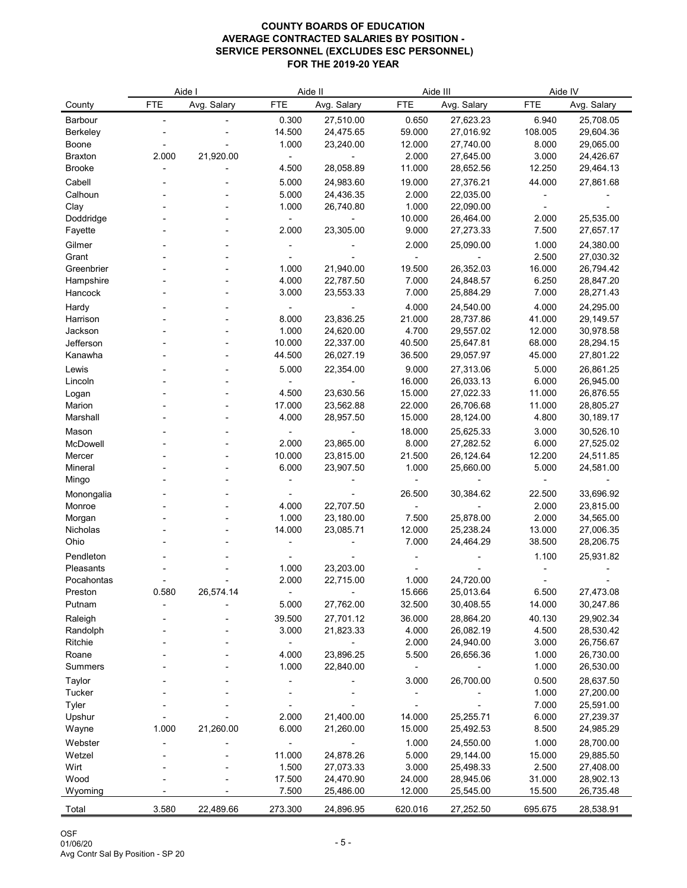|                   | Aide I     |             |                 | Aide II                |                  | Aide III               | Aide IV          |                        |
|-------------------|------------|-------------|-----------------|------------------------|------------------|------------------------|------------------|------------------------|
| County            | <b>FTE</b> | Avg. Salary | <b>FTE</b>      | Avg. Salary            | <b>FTE</b>       | Avg. Salary            | <b>FTE</b>       | Avg. Salary            |
| <b>Barbour</b>    |            |             | 0.300           | 27,510.00              | 0.650            | 27,623.23              | 6.940            | 25,708.05              |
| <b>Berkeley</b>   |            |             | 14.500          | 24,475.65              | 59.000           | 27,016.92              | 108.005          | 29,604.36              |
| <b>Boone</b>      |            |             | 1.000           | 23,240.00              | 12.000           | 27,740.00              | 8.000            | 29,065.00              |
| <b>Braxton</b>    | 2.000      | 21,920.00   |                 |                        | 2.000            | 27,645.00              | 3.000            | 24,426.67              |
| <b>Brooke</b>     |            |             | 4.500           | 28,058.89              | 11.000           | 28,652.56              | 12.250           | 29,464.13              |
| Cabell            |            |             | 5.000           | 24,983.60              | 19.000           | 27,376.21              | 44.000           | 27,861.68              |
| Calhoun           |            |             | 5.000           | 24,436.35              | 2.000            | 22,035.00              |                  |                        |
| Clay              |            |             | 1.000           | 26,740.80              | 1.000            | 22,090.00              |                  |                        |
| Doddridge         |            |             |                 |                        | 10.000           | 26,464.00              | 2.000            | 25,535.00              |
| Fayette           |            |             | 2.000           | 23,305.00              | 9.000            | 27,273.33              | 7.500            | 27,657.17              |
| Gilmer            |            |             |                 |                        | 2.000            | 25,090.00              | 1.000            | 24,380.00              |
| Grant             |            |             |                 |                        |                  |                        | 2.500            | 27,030.32              |
| Greenbrier        |            |             | 1.000           | 21,940.00              | 19.500           | 26,352.03              | 16.000           | 26,794.42              |
| Hampshire         |            |             | 4.000           | 22,787.50              | 7.000            | 24,848.57              | 6.250            | 28,847.20              |
| Hancock           |            |             | 3.000           | 23,553.33              | 7.000            | 25,884.29              | 7.000            | 28,271.43              |
| Hardy             |            |             |                 |                        | 4.000            | 24,540.00              | 4.000            | 24,295.00              |
| Harrison          |            |             | 8.000           | 23,836.25              | 21.000           | 28,737.86              | 41.000           | 29,149.57              |
| Jackson           |            |             | 1.000           | 24,620.00              | 4.700            | 29,557.02              | 12.000           | 30,978.58              |
| Jefferson         |            |             | 10.000          | 22,337.00              | 40.500           | 25,647.81              | 68.000           | 28,294.15              |
| Kanawha           |            |             | 44.500          | 26,027.19              | 36.500           | 29,057.97              | 45.000           | 27,801.22              |
| Lewis             |            |             | 5.000           | 22,354.00              | 9.000            | 27,313.06              | 5.000            | 26,861.25              |
| Lincoln           |            |             |                 |                        | 16.000           | 26,033.13              | 6.000            | 26,945.00              |
| Logan<br>Marion   |            |             | 4.500<br>17.000 | 23,630.56<br>23,562.88 | 15.000<br>22.000 | 27,022.33<br>26,706.68 | 11.000<br>11.000 | 26,876.55<br>28,805.27 |
| Marshall          |            |             | 4.000           | 28,957.50              | 15.000           | 28,124.00              | 4.800            | 30,189.17              |
|                   |            |             |                 |                        |                  |                        |                  |                        |
| Mason<br>McDowell |            |             | 2.000           | 23,865.00              | 18.000<br>8.000  | 25,625.33<br>27,282.52 | 3.000<br>6.000   | 30,526.10<br>27,525.02 |
| Mercer            |            |             | 10.000          | 23,815.00              | 21.500           | 26,124.64              | 12.200           | 24,511.85              |
| Mineral           |            |             | 6.000           | 23,907.50              | 1.000            | 25,660.00              | 5.000            | 24,581.00              |
| Mingo             |            |             |                 |                        |                  |                        |                  |                        |
| Monongalia        |            |             |                 |                        | 26.500           | 30,384.62              | 22.500           | 33,696.92              |
| Monroe            |            |             | 4.000           | 22,707.50              |                  |                        | 2.000            | 23,815.00              |
| Morgan            |            |             | 1.000           | 23,180.00              | 7.500            | 25,878.00              | 2.000            | 34,565.00              |
| Nicholas          |            |             | 14.000          | 23,085.71              | 12.000           | 25,238.24              | 13.000           | 27,006.35              |
| Ohio              |            |             |                 |                        | 7.000            | 24,464.29              | 38.500           | 28,206.75              |
| Pendleton         |            |             |                 |                        |                  |                        | 1.100            | 25,931.82              |
| Pleasants         |            |             | 1.000           | 23,203.00              |                  |                        |                  |                        |
| Pocahontas        |            |             | 2.000           | 22,715.00              | 1.000            | 24,720.00              |                  |                        |
| Preston           | 0.580      | 26,574.14   |                 |                        | 15.666           | 25,013.64              | 6.500            | 27,473.08              |
| Putnam            |            |             | 5.000           | 27,762.00              | 32.500           | 30,408.55              | 14.000           | 30,247.86              |
| Raleigh           |            |             | 39.500          | 27,701.12              | 36.000           | 28,864.20              | 40.130           | 29,902.34              |
| Randolph          |            |             | 3.000           | 21,823.33              | 4.000            | 26,082.19              | 4.500            | 28,530.42              |
| Ritchie           |            |             |                 |                        | 2.000            | 24,940.00              | 3.000            | 26,756.67              |
| Roane             |            |             | 4.000           | 23,896.25              | 5.500            | 26,656.36              | 1.000            | 26,730.00              |
| <b>Summers</b>    |            |             | 1.000           | 22,840.00              |                  |                        | 1.000            | 26,530.00              |
| Taylor            |            |             |                 |                        | 3.000            | 26,700.00              | 0.500            | 28,637.50              |
| <b>Tucker</b>     |            |             |                 |                        |                  |                        | 1.000            | 27,200.00              |
| <b>Tyler</b>      |            |             |                 |                        |                  |                        | 7.000            | 25,591.00              |
| Upshur            | 1.000      | 21,260.00   | 2.000<br>6.000  | 21,400.00<br>21,260.00 | 14.000<br>15.000 | 25,255.71<br>25,492.53 | 6.000<br>8.500   | 27,239.37<br>24,985.29 |
| Wayne             |            |             |                 |                        |                  |                        |                  |                        |
| Webster<br>Wetzel |            |             | 11.000          | 24,878.26              | 1.000<br>5.000   | 24,550.00<br>29,144.00 | 1.000<br>15.000  | 28,700.00<br>29,885.50 |
| Wirt              |            |             | 1.500           | 27,073.33              | 3.000            | 25,498.33              | 2.500            | 27,408.00              |
| Wood              |            |             | 17.500          | 24,470.90              | 24.000           | 28,945.06              | 31.000           | 28,902.13              |
| Wyoming           |            |             | 7.500           | 25,486.00              | 12.000           | 25,545.00              | 15.500           | 26,735.48              |
|                   |            |             |                 |                        |                  |                        |                  |                        |
| Total             | 3.580      | 22,489.66   | 273.300         | 24,896.95              | 620.016          | 27,252.50              | 695.675          | 28,538.91              |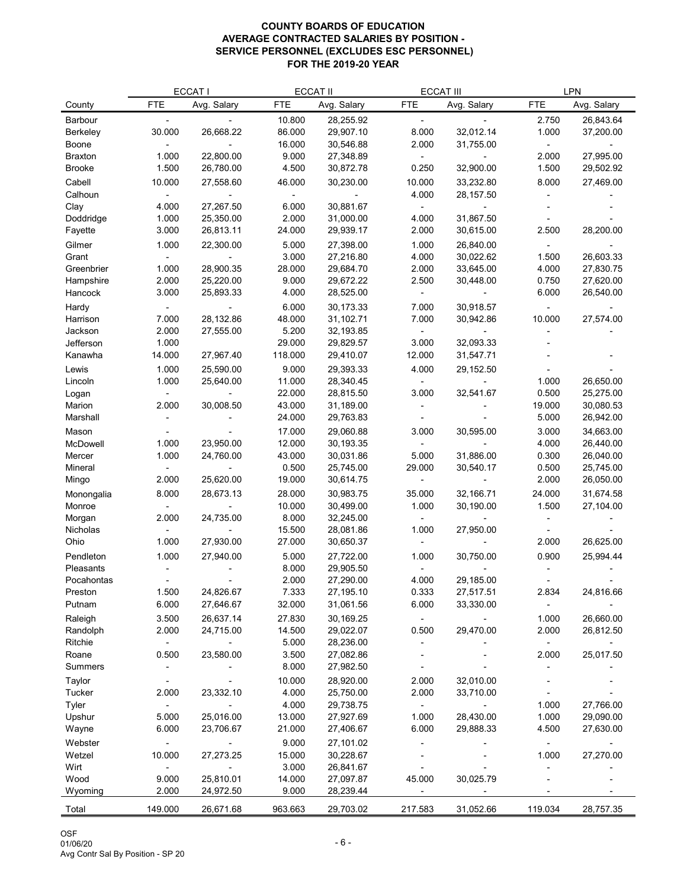| <b>FTE</b><br>Avg. Salary<br><b>FTE</b><br><b>FTE</b><br>Avg. Salary<br><b>FTE</b><br>Avg. Salary<br>Avg. Salary<br>County<br>10.800<br>28,255.92<br>26,843.64<br>Barbour<br>2.750<br>$\sim$<br>32,012.14<br>30.000<br>26,668.22<br>86.000<br>29,907.10<br>8.000<br>1.000<br>37,200.00<br><b>Berkeley</b><br>16.000<br>30,546.88<br>2.000<br>Boone<br>31,755.00<br>1.000<br>22,800.00<br>9.000<br>27,348.89<br>2.000<br>27,995.00<br><b>Braxton</b><br>1.500<br>4.500<br>1.500<br><b>Brooke</b><br>26,780.00<br>30,872.78<br>0.250<br>32,900.00<br>29,502.92<br>Cabell<br>10.000<br>46.000<br>30,230.00<br>10.000<br>33,232.80<br>8.000<br>27,469.00<br>27,558.60<br>Calhoun<br>4.000<br>28,157.50<br>27,267.50<br>30,881.67<br>Clay<br>4.000<br>6.000<br>2.000<br>Doddridge<br>1.000<br>25,350.00<br>31,000.00<br>31,867.50<br>4.000<br>3.000<br>2.000<br>28,200.00<br>Fayette<br>26,813.11<br>24.000<br>29,939.17<br>30,615.00<br>2.500<br>Gilmer<br>1.000<br>22,300.00<br>5.000<br>27,398.00<br>1.000<br>26,840.00<br>3.000<br>27,216.80<br>4.000<br>30,022.62<br>1.500<br>26,603.33<br>Grant<br>1.000<br>28,900.35<br>28.000<br>29,684.70<br>2.000<br>33,645.00<br>4.000<br>27,830.75<br>Greenbrier<br>2.000<br>25,220.00<br>9.000<br>29,672.22<br>2.500<br>0.750<br>27,620.00<br>30,448.00<br>Hampshire<br>3.000<br>4.000<br>6.000<br>25,893.33<br>28,525.00<br>26,540.00<br>Hancock<br>6.000<br>Hardy<br>30,173.33<br>7.000<br>30,918.57<br>7.000<br>28,132.86<br>48.000<br>31,102.71<br>27,574.00<br>Harrison<br>7.000<br>30,942.86<br>10.000<br>Jackson<br>2.000<br>5.200<br>32,193.85<br>27,555.00<br>Jefferson<br>1.000<br>29.000<br>29,829.57<br>3.000<br>32,093.33<br>14.000<br>27,967.40<br>118.000<br>12.000<br>Kanawha<br>29,410.07<br>31,547.71<br>9.000<br>29,393.33<br>1.000<br>25,590.00<br>Lewis<br>4.000<br>29,152.50<br>11.000<br>1.000<br>25,640.00<br>28,340.45<br>1.000<br>26,650.00<br>Lincoln<br>22.000<br>28,815.50<br>3.000<br>32,541.67<br>0.500<br>25,275.00<br>Logan<br>2.000<br>30,008.50<br>43.000<br>19.000<br>Marion<br>31,189.00<br>30,080.53<br>Marshall<br>24.000<br>29,763.83<br>5.000<br>26,942.00<br>17.000<br>29,060.88<br>30,595.00<br>3.000<br>34,663.00<br>Mason<br>3.000<br>McDowell<br>1.000<br>23,950.00<br>12.000<br>4.000<br>30,193.35<br>26,440.00<br>1.000<br>30,031.86<br>5.000<br>31,886.00<br>0.300<br>26,040.00<br>24,760.00<br>43.000<br>Mercer<br>0.500<br>25,745.00<br>29.000<br>0.500<br>25,745.00<br>Mineral<br>30,540.17<br>2.000<br>19.000<br>2.000<br>25,620.00<br>30,614.75<br>26,050.00<br>Mingo<br>8.000<br>28.000<br>30,983.75<br>35.000<br>24.000<br>31,674.58<br>28,673.13<br>32,166.71<br>Monongalia<br>10.000<br>30,499.00<br>1.000<br>1.500<br>27,104.00<br>30,190.00<br>Monroe<br>8.000<br>2.000<br>Morgan<br>24,735.00<br>32,245.00<br>15.500<br><b>Nicholas</b><br>28,081.86<br>1.000<br>27,950.00<br>1.000<br>27.000<br>Ohio<br>27,930.00<br>30,650.37<br>2.000<br>26,625.00<br>5.000<br>Pendleton<br>1.000<br>27,940.00<br>27,722.00<br>30,750.00<br>0.900<br>25,994.44<br>1.000<br>8.000<br>29,905.50<br>Pleasants |
|----------------------------------------------------------------------------------------------------------------------------------------------------------------------------------------------------------------------------------------------------------------------------------------------------------------------------------------------------------------------------------------------------------------------------------------------------------------------------------------------------------------------------------------------------------------------------------------------------------------------------------------------------------------------------------------------------------------------------------------------------------------------------------------------------------------------------------------------------------------------------------------------------------------------------------------------------------------------------------------------------------------------------------------------------------------------------------------------------------------------------------------------------------------------------------------------------------------------------------------------------------------------------------------------------------------------------------------------------------------------------------------------------------------------------------------------------------------------------------------------------------------------------------------------------------------------------------------------------------------------------------------------------------------------------------------------------------------------------------------------------------------------------------------------------------------------------------------------------------------------------------------------------------------------------------------------------------------------------------------------------------------------------------------------------------------------------------------------------------------------------------------------------------------------------------------------------------------------------------------------------------------------------------------------------------------------------------------------------------------------------------------------------------------------------------------------------------------------------------------------------------------------------------------------------------------------------------------------------------------------------------------------------------------------------------------------------------------------------------------------------------------------------------------------------------------------------------------------------------------------------------------------------------------------------------------------------------------------------------------------------------------------------------------------------------------------------------------------------|
|                                                                                                                                                                                                                                                                                                                                                                                                                                                                                                                                                                                                                                                                                                                                                                                                                                                                                                                                                                                                                                                                                                                                                                                                                                                                                                                                                                                                                                                                                                                                                                                                                                                                                                                                                                                                                                                                                                                                                                                                                                                                                                                                                                                                                                                                                                                                                                                                                                                                                                                                                                                                                                                                                                                                                                                                                                                                                                                                                                                                                                                                                                    |
|                                                                                                                                                                                                                                                                                                                                                                                                                                                                                                                                                                                                                                                                                                                                                                                                                                                                                                                                                                                                                                                                                                                                                                                                                                                                                                                                                                                                                                                                                                                                                                                                                                                                                                                                                                                                                                                                                                                                                                                                                                                                                                                                                                                                                                                                                                                                                                                                                                                                                                                                                                                                                                                                                                                                                                                                                                                                                                                                                                                                                                                                                                    |
|                                                                                                                                                                                                                                                                                                                                                                                                                                                                                                                                                                                                                                                                                                                                                                                                                                                                                                                                                                                                                                                                                                                                                                                                                                                                                                                                                                                                                                                                                                                                                                                                                                                                                                                                                                                                                                                                                                                                                                                                                                                                                                                                                                                                                                                                                                                                                                                                                                                                                                                                                                                                                                                                                                                                                                                                                                                                                                                                                                                                                                                                                                    |
|                                                                                                                                                                                                                                                                                                                                                                                                                                                                                                                                                                                                                                                                                                                                                                                                                                                                                                                                                                                                                                                                                                                                                                                                                                                                                                                                                                                                                                                                                                                                                                                                                                                                                                                                                                                                                                                                                                                                                                                                                                                                                                                                                                                                                                                                                                                                                                                                                                                                                                                                                                                                                                                                                                                                                                                                                                                                                                                                                                                                                                                                                                    |
|                                                                                                                                                                                                                                                                                                                                                                                                                                                                                                                                                                                                                                                                                                                                                                                                                                                                                                                                                                                                                                                                                                                                                                                                                                                                                                                                                                                                                                                                                                                                                                                                                                                                                                                                                                                                                                                                                                                                                                                                                                                                                                                                                                                                                                                                                                                                                                                                                                                                                                                                                                                                                                                                                                                                                                                                                                                                                                                                                                                                                                                                                                    |
|                                                                                                                                                                                                                                                                                                                                                                                                                                                                                                                                                                                                                                                                                                                                                                                                                                                                                                                                                                                                                                                                                                                                                                                                                                                                                                                                                                                                                                                                                                                                                                                                                                                                                                                                                                                                                                                                                                                                                                                                                                                                                                                                                                                                                                                                                                                                                                                                                                                                                                                                                                                                                                                                                                                                                                                                                                                                                                                                                                                                                                                                                                    |
|                                                                                                                                                                                                                                                                                                                                                                                                                                                                                                                                                                                                                                                                                                                                                                                                                                                                                                                                                                                                                                                                                                                                                                                                                                                                                                                                                                                                                                                                                                                                                                                                                                                                                                                                                                                                                                                                                                                                                                                                                                                                                                                                                                                                                                                                                                                                                                                                                                                                                                                                                                                                                                                                                                                                                                                                                                                                                                                                                                                                                                                                                                    |
|                                                                                                                                                                                                                                                                                                                                                                                                                                                                                                                                                                                                                                                                                                                                                                                                                                                                                                                                                                                                                                                                                                                                                                                                                                                                                                                                                                                                                                                                                                                                                                                                                                                                                                                                                                                                                                                                                                                                                                                                                                                                                                                                                                                                                                                                                                                                                                                                                                                                                                                                                                                                                                                                                                                                                                                                                                                                                                                                                                                                                                                                                                    |
|                                                                                                                                                                                                                                                                                                                                                                                                                                                                                                                                                                                                                                                                                                                                                                                                                                                                                                                                                                                                                                                                                                                                                                                                                                                                                                                                                                                                                                                                                                                                                                                                                                                                                                                                                                                                                                                                                                                                                                                                                                                                                                                                                                                                                                                                                                                                                                                                                                                                                                                                                                                                                                                                                                                                                                                                                                                                                                                                                                                                                                                                                                    |
|                                                                                                                                                                                                                                                                                                                                                                                                                                                                                                                                                                                                                                                                                                                                                                                                                                                                                                                                                                                                                                                                                                                                                                                                                                                                                                                                                                                                                                                                                                                                                                                                                                                                                                                                                                                                                                                                                                                                                                                                                                                                                                                                                                                                                                                                                                                                                                                                                                                                                                                                                                                                                                                                                                                                                                                                                                                                                                                                                                                                                                                                                                    |
|                                                                                                                                                                                                                                                                                                                                                                                                                                                                                                                                                                                                                                                                                                                                                                                                                                                                                                                                                                                                                                                                                                                                                                                                                                                                                                                                                                                                                                                                                                                                                                                                                                                                                                                                                                                                                                                                                                                                                                                                                                                                                                                                                                                                                                                                                                                                                                                                                                                                                                                                                                                                                                                                                                                                                                                                                                                                                                                                                                                                                                                                                                    |
|                                                                                                                                                                                                                                                                                                                                                                                                                                                                                                                                                                                                                                                                                                                                                                                                                                                                                                                                                                                                                                                                                                                                                                                                                                                                                                                                                                                                                                                                                                                                                                                                                                                                                                                                                                                                                                                                                                                                                                                                                                                                                                                                                                                                                                                                                                                                                                                                                                                                                                                                                                                                                                                                                                                                                                                                                                                                                                                                                                                                                                                                                                    |
|                                                                                                                                                                                                                                                                                                                                                                                                                                                                                                                                                                                                                                                                                                                                                                                                                                                                                                                                                                                                                                                                                                                                                                                                                                                                                                                                                                                                                                                                                                                                                                                                                                                                                                                                                                                                                                                                                                                                                                                                                                                                                                                                                                                                                                                                                                                                                                                                                                                                                                                                                                                                                                                                                                                                                                                                                                                                                                                                                                                                                                                                                                    |
|                                                                                                                                                                                                                                                                                                                                                                                                                                                                                                                                                                                                                                                                                                                                                                                                                                                                                                                                                                                                                                                                                                                                                                                                                                                                                                                                                                                                                                                                                                                                                                                                                                                                                                                                                                                                                                                                                                                                                                                                                                                                                                                                                                                                                                                                                                                                                                                                                                                                                                                                                                                                                                                                                                                                                                                                                                                                                                                                                                                                                                                                                                    |
|                                                                                                                                                                                                                                                                                                                                                                                                                                                                                                                                                                                                                                                                                                                                                                                                                                                                                                                                                                                                                                                                                                                                                                                                                                                                                                                                                                                                                                                                                                                                                                                                                                                                                                                                                                                                                                                                                                                                                                                                                                                                                                                                                                                                                                                                                                                                                                                                                                                                                                                                                                                                                                                                                                                                                                                                                                                                                                                                                                                                                                                                                                    |
|                                                                                                                                                                                                                                                                                                                                                                                                                                                                                                                                                                                                                                                                                                                                                                                                                                                                                                                                                                                                                                                                                                                                                                                                                                                                                                                                                                                                                                                                                                                                                                                                                                                                                                                                                                                                                                                                                                                                                                                                                                                                                                                                                                                                                                                                                                                                                                                                                                                                                                                                                                                                                                                                                                                                                                                                                                                                                                                                                                                                                                                                                                    |
|                                                                                                                                                                                                                                                                                                                                                                                                                                                                                                                                                                                                                                                                                                                                                                                                                                                                                                                                                                                                                                                                                                                                                                                                                                                                                                                                                                                                                                                                                                                                                                                                                                                                                                                                                                                                                                                                                                                                                                                                                                                                                                                                                                                                                                                                                                                                                                                                                                                                                                                                                                                                                                                                                                                                                                                                                                                                                                                                                                                                                                                                                                    |
|                                                                                                                                                                                                                                                                                                                                                                                                                                                                                                                                                                                                                                                                                                                                                                                                                                                                                                                                                                                                                                                                                                                                                                                                                                                                                                                                                                                                                                                                                                                                                                                                                                                                                                                                                                                                                                                                                                                                                                                                                                                                                                                                                                                                                                                                                                                                                                                                                                                                                                                                                                                                                                                                                                                                                                                                                                                                                                                                                                                                                                                                                                    |
|                                                                                                                                                                                                                                                                                                                                                                                                                                                                                                                                                                                                                                                                                                                                                                                                                                                                                                                                                                                                                                                                                                                                                                                                                                                                                                                                                                                                                                                                                                                                                                                                                                                                                                                                                                                                                                                                                                                                                                                                                                                                                                                                                                                                                                                                                                                                                                                                                                                                                                                                                                                                                                                                                                                                                                                                                                                                                                                                                                                                                                                                                                    |
|                                                                                                                                                                                                                                                                                                                                                                                                                                                                                                                                                                                                                                                                                                                                                                                                                                                                                                                                                                                                                                                                                                                                                                                                                                                                                                                                                                                                                                                                                                                                                                                                                                                                                                                                                                                                                                                                                                                                                                                                                                                                                                                                                                                                                                                                                                                                                                                                                                                                                                                                                                                                                                                                                                                                                                                                                                                                                                                                                                                                                                                                                                    |
|                                                                                                                                                                                                                                                                                                                                                                                                                                                                                                                                                                                                                                                                                                                                                                                                                                                                                                                                                                                                                                                                                                                                                                                                                                                                                                                                                                                                                                                                                                                                                                                                                                                                                                                                                                                                                                                                                                                                                                                                                                                                                                                                                                                                                                                                                                                                                                                                                                                                                                                                                                                                                                                                                                                                                                                                                                                                                                                                                                                                                                                                                                    |
|                                                                                                                                                                                                                                                                                                                                                                                                                                                                                                                                                                                                                                                                                                                                                                                                                                                                                                                                                                                                                                                                                                                                                                                                                                                                                                                                                                                                                                                                                                                                                                                                                                                                                                                                                                                                                                                                                                                                                                                                                                                                                                                                                                                                                                                                                                                                                                                                                                                                                                                                                                                                                                                                                                                                                                                                                                                                                                                                                                                                                                                                                                    |
|                                                                                                                                                                                                                                                                                                                                                                                                                                                                                                                                                                                                                                                                                                                                                                                                                                                                                                                                                                                                                                                                                                                                                                                                                                                                                                                                                                                                                                                                                                                                                                                                                                                                                                                                                                                                                                                                                                                                                                                                                                                                                                                                                                                                                                                                                                                                                                                                                                                                                                                                                                                                                                                                                                                                                                                                                                                                                                                                                                                                                                                                                                    |
|                                                                                                                                                                                                                                                                                                                                                                                                                                                                                                                                                                                                                                                                                                                                                                                                                                                                                                                                                                                                                                                                                                                                                                                                                                                                                                                                                                                                                                                                                                                                                                                                                                                                                                                                                                                                                                                                                                                                                                                                                                                                                                                                                                                                                                                                                                                                                                                                                                                                                                                                                                                                                                                                                                                                                                                                                                                                                                                                                                                                                                                                                                    |
|                                                                                                                                                                                                                                                                                                                                                                                                                                                                                                                                                                                                                                                                                                                                                                                                                                                                                                                                                                                                                                                                                                                                                                                                                                                                                                                                                                                                                                                                                                                                                                                                                                                                                                                                                                                                                                                                                                                                                                                                                                                                                                                                                                                                                                                                                                                                                                                                                                                                                                                                                                                                                                                                                                                                                                                                                                                                                                                                                                                                                                                                                                    |
|                                                                                                                                                                                                                                                                                                                                                                                                                                                                                                                                                                                                                                                                                                                                                                                                                                                                                                                                                                                                                                                                                                                                                                                                                                                                                                                                                                                                                                                                                                                                                                                                                                                                                                                                                                                                                                                                                                                                                                                                                                                                                                                                                                                                                                                                                                                                                                                                                                                                                                                                                                                                                                                                                                                                                                                                                                                                                                                                                                                                                                                                                                    |
|                                                                                                                                                                                                                                                                                                                                                                                                                                                                                                                                                                                                                                                                                                                                                                                                                                                                                                                                                                                                                                                                                                                                                                                                                                                                                                                                                                                                                                                                                                                                                                                                                                                                                                                                                                                                                                                                                                                                                                                                                                                                                                                                                                                                                                                                                                                                                                                                                                                                                                                                                                                                                                                                                                                                                                                                                                                                                                                                                                                                                                                                                                    |
|                                                                                                                                                                                                                                                                                                                                                                                                                                                                                                                                                                                                                                                                                                                                                                                                                                                                                                                                                                                                                                                                                                                                                                                                                                                                                                                                                                                                                                                                                                                                                                                                                                                                                                                                                                                                                                                                                                                                                                                                                                                                                                                                                                                                                                                                                                                                                                                                                                                                                                                                                                                                                                                                                                                                                                                                                                                                                                                                                                                                                                                                                                    |
|                                                                                                                                                                                                                                                                                                                                                                                                                                                                                                                                                                                                                                                                                                                                                                                                                                                                                                                                                                                                                                                                                                                                                                                                                                                                                                                                                                                                                                                                                                                                                                                                                                                                                                                                                                                                                                                                                                                                                                                                                                                                                                                                                                                                                                                                                                                                                                                                                                                                                                                                                                                                                                                                                                                                                                                                                                                                                                                                                                                                                                                                                                    |
|                                                                                                                                                                                                                                                                                                                                                                                                                                                                                                                                                                                                                                                                                                                                                                                                                                                                                                                                                                                                                                                                                                                                                                                                                                                                                                                                                                                                                                                                                                                                                                                                                                                                                                                                                                                                                                                                                                                                                                                                                                                                                                                                                                                                                                                                                                                                                                                                                                                                                                                                                                                                                                                                                                                                                                                                                                                                                                                                                                                                                                                                                                    |
|                                                                                                                                                                                                                                                                                                                                                                                                                                                                                                                                                                                                                                                                                                                                                                                                                                                                                                                                                                                                                                                                                                                                                                                                                                                                                                                                                                                                                                                                                                                                                                                                                                                                                                                                                                                                                                                                                                                                                                                                                                                                                                                                                                                                                                                                                                                                                                                                                                                                                                                                                                                                                                                                                                                                                                                                                                                                                                                                                                                                                                                                                                    |
|                                                                                                                                                                                                                                                                                                                                                                                                                                                                                                                                                                                                                                                                                                                                                                                                                                                                                                                                                                                                                                                                                                                                                                                                                                                                                                                                                                                                                                                                                                                                                                                                                                                                                                                                                                                                                                                                                                                                                                                                                                                                                                                                                                                                                                                                                                                                                                                                                                                                                                                                                                                                                                                                                                                                                                                                                                                                                                                                                                                                                                                                                                    |
|                                                                                                                                                                                                                                                                                                                                                                                                                                                                                                                                                                                                                                                                                                                                                                                                                                                                                                                                                                                                                                                                                                                                                                                                                                                                                                                                                                                                                                                                                                                                                                                                                                                                                                                                                                                                                                                                                                                                                                                                                                                                                                                                                                                                                                                                                                                                                                                                                                                                                                                                                                                                                                                                                                                                                                                                                                                                                                                                                                                                                                                                                                    |
|                                                                                                                                                                                                                                                                                                                                                                                                                                                                                                                                                                                                                                                                                                                                                                                                                                                                                                                                                                                                                                                                                                                                                                                                                                                                                                                                                                                                                                                                                                                                                                                                                                                                                                                                                                                                                                                                                                                                                                                                                                                                                                                                                                                                                                                                                                                                                                                                                                                                                                                                                                                                                                                                                                                                                                                                                                                                                                                                                                                                                                                                                                    |
|                                                                                                                                                                                                                                                                                                                                                                                                                                                                                                                                                                                                                                                                                                                                                                                                                                                                                                                                                                                                                                                                                                                                                                                                                                                                                                                                                                                                                                                                                                                                                                                                                                                                                                                                                                                                                                                                                                                                                                                                                                                                                                                                                                                                                                                                                                                                                                                                                                                                                                                                                                                                                                                                                                                                                                                                                                                                                                                                                                                                                                                                                                    |
|                                                                                                                                                                                                                                                                                                                                                                                                                                                                                                                                                                                                                                                                                                                                                                                                                                                                                                                                                                                                                                                                                                                                                                                                                                                                                                                                                                                                                                                                                                                                                                                                                                                                                                                                                                                                                                                                                                                                                                                                                                                                                                                                                                                                                                                                                                                                                                                                                                                                                                                                                                                                                                                                                                                                                                                                                                                                                                                                                                                                                                                                                                    |
| 2.000<br>27,290.00<br>Pocahontas<br>4.000<br>29,185.00                                                                                                                                                                                                                                                                                                                                                                                                                                                                                                                                                                                                                                                                                                                                                                                                                                                                                                                                                                                                                                                                                                                                                                                                                                                                                                                                                                                                                                                                                                                                                                                                                                                                                                                                                                                                                                                                                                                                                                                                                                                                                                                                                                                                                                                                                                                                                                                                                                                                                                                                                                                                                                                                                                                                                                                                                                                                                                                                                                                                                                             |
| 1.500<br>24,826.67<br>7.333<br>0.333<br>2.834<br>27,195.10<br>27,517.51<br>24,816.66<br>Preston                                                                                                                                                                                                                                                                                                                                                                                                                                                                                                                                                                                                                                                                                                                                                                                                                                                                                                                                                                                                                                                                                                                                                                                                                                                                                                                                                                                                                                                                                                                                                                                                                                                                                                                                                                                                                                                                                                                                                                                                                                                                                                                                                                                                                                                                                                                                                                                                                                                                                                                                                                                                                                                                                                                                                                                                                                                                                                                                                                                                    |
| 6.000<br>32.000<br>27,646.67<br>31,061.56<br>6.000<br>33,330.00<br>Putnam                                                                                                                                                                                                                                                                                                                                                                                                                                                                                                                                                                                                                                                                                                                                                                                                                                                                                                                                                                                                                                                                                                                                                                                                                                                                                                                                                                                                                                                                                                                                                                                                                                                                                                                                                                                                                                                                                                                                                                                                                                                                                                                                                                                                                                                                                                                                                                                                                                                                                                                                                                                                                                                                                                                                                                                                                                                                                                                                                                                                                          |
| 3.500<br>26,637.14<br>27.830<br>Raleigh<br>30,169.25<br>1.000<br>26,660.00                                                                                                                                                                                                                                                                                                                                                                                                                                                                                                                                                                                                                                                                                                                                                                                                                                                                                                                                                                                                                                                                                                                                                                                                                                                                                                                                                                                                                                                                                                                                                                                                                                                                                                                                                                                                                                                                                                                                                                                                                                                                                                                                                                                                                                                                                                                                                                                                                                                                                                                                                                                                                                                                                                                                                                                                                                                                                                                                                                                                                         |
| 2.000<br>14.500<br>29,022.07<br>2.000<br>Randolph<br>24,715.00<br>0.500<br>29,470.00<br>26,812.50                                                                                                                                                                                                                                                                                                                                                                                                                                                                                                                                                                                                                                                                                                                                                                                                                                                                                                                                                                                                                                                                                                                                                                                                                                                                                                                                                                                                                                                                                                                                                                                                                                                                                                                                                                                                                                                                                                                                                                                                                                                                                                                                                                                                                                                                                                                                                                                                                                                                                                                                                                                                                                                                                                                                                                                                                                                                                                                                                                                                  |
| 5.000<br>28,236.00<br>Ritchie                                                                                                                                                                                                                                                                                                                                                                                                                                                                                                                                                                                                                                                                                                                                                                                                                                                                                                                                                                                                                                                                                                                                                                                                                                                                                                                                                                                                                                                                                                                                                                                                                                                                                                                                                                                                                                                                                                                                                                                                                                                                                                                                                                                                                                                                                                                                                                                                                                                                                                                                                                                                                                                                                                                                                                                                                                                                                                                                                                                                                                                                      |
| 0.500<br>23,580.00<br>3.500<br>2.000<br>25,017.50<br>Roane<br>27,082.86                                                                                                                                                                                                                                                                                                                                                                                                                                                                                                                                                                                                                                                                                                                                                                                                                                                                                                                                                                                                                                                                                                                                                                                                                                                                                                                                                                                                                                                                                                                                                                                                                                                                                                                                                                                                                                                                                                                                                                                                                                                                                                                                                                                                                                                                                                                                                                                                                                                                                                                                                                                                                                                                                                                                                                                                                                                                                                                                                                                                                            |
| 8.000<br>27,982.50<br><b>Summers</b>                                                                                                                                                                                                                                                                                                                                                                                                                                                                                                                                                                                                                                                                                                                                                                                                                                                                                                                                                                                                                                                                                                                                                                                                                                                                                                                                                                                                                                                                                                                                                                                                                                                                                                                                                                                                                                                                                                                                                                                                                                                                                                                                                                                                                                                                                                                                                                                                                                                                                                                                                                                                                                                                                                                                                                                                                                                                                                                                                                                                                                                               |
| 10.000<br>28,920.00<br>2.000<br>Taylor<br>32,010.00                                                                                                                                                                                                                                                                                                                                                                                                                                                                                                                                                                                                                                                                                                                                                                                                                                                                                                                                                                                                                                                                                                                                                                                                                                                                                                                                                                                                                                                                                                                                                                                                                                                                                                                                                                                                                                                                                                                                                                                                                                                                                                                                                                                                                                                                                                                                                                                                                                                                                                                                                                                                                                                                                                                                                                                                                                                                                                                                                                                                                                                |
| 23,332.10<br>4.000<br>2.000<br>25,750.00<br>2.000<br>33,710.00<br><b>Tucker</b><br>4.000<br>1.000<br>27,766.00<br><b>Tyler</b><br>29,738.75                                                                                                                                                                                                                                                                                                                                                                                                                                                                                                                                                                                                                                                                                                                                                                                                                                                                                                                                                                                                                                                                                                                                                                                                                                                                                                                                                                                                                                                                                                                                                                                                                                                                                                                                                                                                                                                                                                                                                                                                                                                                                                                                                                                                                                                                                                                                                                                                                                                                                                                                                                                                                                                                                                                                                                                                                                                                                                                                                        |
| Upshur<br>5.000<br>25,016.00<br>13.000<br>27,927.69<br>1.000<br>28,430.00<br>1.000<br>29,090.00                                                                                                                                                                                                                                                                                                                                                                                                                                                                                                                                                                                                                                                                                                                                                                                                                                                                                                                                                                                                                                                                                                                                                                                                                                                                                                                                                                                                                                                                                                                                                                                                                                                                                                                                                                                                                                                                                                                                                                                                                                                                                                                                                                                                                                                                                                                                                                                                                                                                                                                                                                                                                                                                                                                                                                                                                                                                                                                                                                                                    |
| 6.000<br>6.000<br>23,706.67<br>21.000<br>27,406.67<br>29,888.33<br>4.500<br>27,630.00<br>Wayne                                                                                                                                                                                                                                                                                                                                                                                                                                                                                                                                                                                                                                                                                                                                                                                                                                                                                                                                                                                                                                                                                                                                                                                                                                                                                                                                                                                                                                                                                                                                                                                                                                                                                                                                                                                                                                                                                                                                                                                                                                                                                                                                                                                                                                                                                                                                                                                                                                                                                                                                                                                                                                                                                                                                                                                                                                                                                                                                                                                                     |
| Webster<br>9.000<br>27,101.02                                                                                                                                                                                                                                                                                                                                                                                                                                                                                                                                                                                                                                                                                                                                                                                                                                                                                                                                                                                                                                                                                                                                                                                                                                                                                                                                                                                                                                                                                                                                                                                                                                                                                                                                                                                                                                                                                                                                                                                                                                                                                                                                                                                                                                                                                                                                                                                                                                                                                                                                                                                                                                                                                                                                                                                                                                                                                                                                                                                                                                                                      |
| Wetzel<br>10.000<br>15.000<br>30,228.67<br>1.000<br>27,270.00<br>27,273.25                                                                                                                                                                                                                                                                                                                                                                                                                                                                                                                                                                                                                                                                                                                                                                                                                                                                                                                                                                                                                                                                                                                                                                                                                                                                                                                                                                                                                                                                                                                                                                                                                                                                                                                                                                                                                                                                                                                                                                                                                                                                                                                                                                                                                                                                                                                                                                                                                                                                                                                                                                                                                                                                                                                                                                                                                                                                                                                                                                                                                         |
| Wirt<br>3.000<br>26,841.67                                                                                                                                                                                                                                                                                                                                                                                                                                                                                                                                                                                                                                                                                                                                                                                                                                                                                                                                                                                                                                                                                                                                                                                                                                                                                                                                                                                                                                                                                                                                                                                                                                                                                                                                                                                                                                                                                                                                                                                                                                                                                                                                                                                                                                                                                                                                                                                                                                                                                                                                                                                                                                                                                                                                                                                                                                                                                                                                                                                                                                                                         |
| 9.000<br>25,810.01<br>14.000<br>45.000<br>30,025.79<br>Wood<br>27,097.87                                                                                                                                                                                                                                                                                                                                                                                                                                                                                                                                                                                                                                                                                                                                                                                                                                                                                                                                                                                                                                                                                                                                                                                                                                                                                                                                                                                                                                                                                                                                                                                                                                                                                                                                                                                                                                                                                                                                                                                                                                                                                                                                                                                                                                                                                                                                                                                                                                                                                                                                                                                                                                                                                                                                                                                                                                                                                                                                                                                                                           |
| 2.000<br>9.000<br>24,972.50<br>28,239.44<br>Wyoming                                                                                                                                                                                                                                                                                                                                                                                                                                                                                                                                                                                                                                                                                                                                                                                                                                                                                                                                                                                                                                                                                                                                                                                                                                                                                                                                                                                                                                                                                                                                                                                                                                                                                                                                                                                                                                                                                                                                                                                                                                                                                                                                                                                                                                                                                                                                                                                                                                                                                                                                                                                                                                                                                                                                                                                                                                                                                                                                                                                                                                                |
| 149.000<br>26,671.68<br>963.663<br>29,703.02<br>Total<br>217.583<br>31,052.66<br>119.034<br>28,757.35                                                                                                                                                                                                                                                                                                                                                                                                                                                                                                                                                                                                                                                                                                                                                                                                                                                                                                                                                                                                                                                                                                                                                                                                                                                                                                                                                                                                                                                                                                                                                                                                                                                                                                                                                                                                                                                                                                                                                                                                                                                                                                                                                                                                                                                                                                                                                                                                                                                                                                                                                                                                                                                                                                                                                                                                                                                                                                                                                                                              |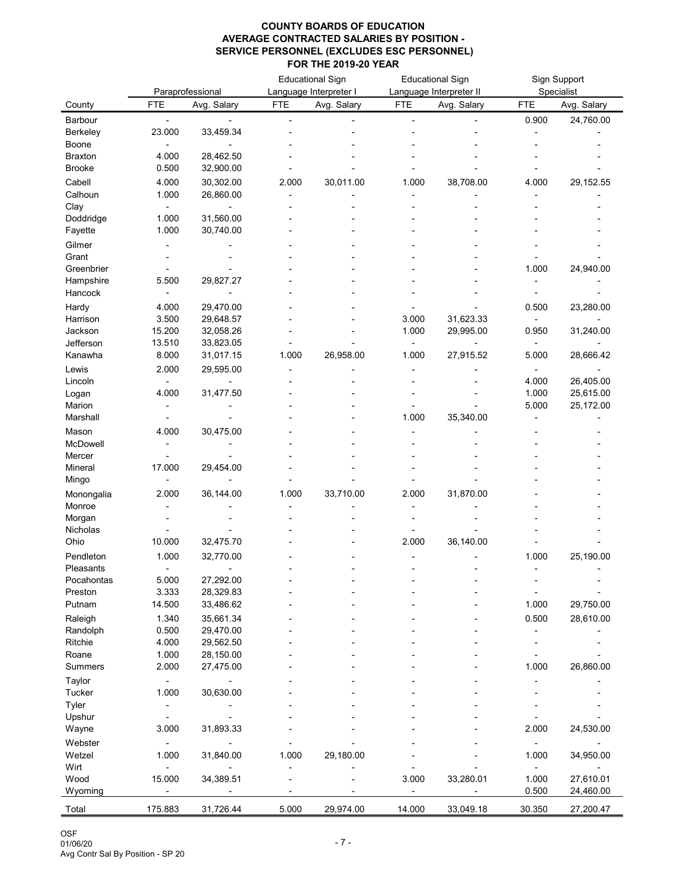|                       |                |                        |            | <b>Educational Sign</b> |            | <b>Educational Sign</b> |            | Sign Support |
|-----------------------|----------------|------------------------|------------|-------------------------|------------|-------------------------|------------|--------------|
|                       |                | Paraprofessional       |            | Language Interpreter I  |            | Language Interpreter II |            | Specialist   |
| County                | <b>FTE</b>     | Avg. Salary            | <b>FTE</b> | Avg. Salary             | <b>FTE</b> | Avg. Salary             | <b>FTE</b> | Avg. Salary  |
| Barbour               |                |                        |            |                         |            |                         | 0.900      | 24,760.00    |
| <b>Berkeley</b>       | 23.000         | 33,459.34              |            |                         |            |                         |            |              |
| Boone                 |                |                        |            |                         |            |                         |            |              |
| <b>Braxton</b>        | 4.000          | 28,462.50              |            |                         |            |                         |            |              |
| <b>Brooke</b>         | 0.500          | 32,900.00              |            |                         |            |                         |            |              |
| Cabell                | 4.000          | 30,302.00              | 2.000      | 30,011.00               | 1.000      | 38,708.00               | 4.000      | 29,152.55    |
| Calhoun               | 1.000          | 26,860.00              |            |                         |            |                         |            |              |
| Clay                  |                |                        |            |                         |            |                         |            |              |
| Doddridge             | 1.000          | 31,560.00              |            |                         |            |                         |            |              |
| Fayette               | 1.000          | 30,740.00              |            |                         |            |                         |            |              |
| Gilmer                |                |                        |            |                         |            |                         |            |              |
| Grant                 |                |                        |            |                         |            |                         |            |              |
| Greenbrier            |                |                        |            |                         |            |                         | 1.000      | 24,940.00    |
| Hampshire             | 5.500          | 29,827.27              |            |                         |            |                         |            |              |
| Hancock               |                |                        |            |                         |            |                         |            |              |
| Hardy                 | 4.000          | 29,470.00              |            |                         |            |                         | 0.500      | 23,280.00    |
| Harrison              | 3.500          | 29,648.57              |            |                         | 3.000      | 31,623.33               |            |              |
| Jackson               | 15.200         | 32,058.26              |            |                         | 1.000      | 29,995.00               | 0.950      | 31,240.00    |
| Jefferson             | 13.510         | 33,823.05              |            |                         |            |                         |            |              |
| Kanawha               | 8.000          | 31,017.15              | 1.000      | 26,958.00               | 1.000      | 27,915.52               | 5.000      | 28,666.42    |
| Lewis                 | 2.000          | 29,595.00              |            |                         |            |                         |            |              |
| Lincoln               |                |                        |            |                         |            |                         | 4.000      | 26,405.00    |
| Logan                 | 4.000          | 31,477.50              |            |                         |            |                         | 1.000      | 25,615.00    |
| Marion                |                |                        |            |                         |            |                         | 5.000      | 25,172.00    |
| Marshall              |                |                        |            |                         | 1.000      | 35,340.00               |            |              |
| Mason                 | 4.000          | 30,475.00              |            |                         |            |                         |            |              |
| McDowell              |                |                        |            |                         |            |                         |            |              |
| Mercer                |                |                        |            |                         |            |                         |            |              |
| Mineral               | 17.000         | 29,454.00              |            |                         |            |                         |            |              |
| Mingo                 |                |                        |            |                         |            |                         |            |              |
| Monongalia            | 2.000          | 36,144.00              | 1.000      | 33,710.00               | 2.000      | 31,870.00               |            |              |
| Monroe                |                |                        |            |                         |            |                         |            |              |
| Morgan                |                |                        |            |                         |            |                         |            |              |
| Nicholas<br>Ohio      | 10.000         | 32,475.70              |            |                         | 2.000      | 36,140.00               |            |              |
|                       |                |                        |            |                         |            |                         |            |              |
| Pendleton             | 1.000          | 32,770.00              |            |                         |            |                         | 1.000      | 25,190.00    |
| Pleasants             |                |                        |            |                         |            |                         |            |              |
| Pocahontas<br>Preston | 5.000<br>3.333 | 27,292.00<br>28,329.83 |            |                         |            |                         |            |              |
| Putnam                | 14.500         | 33,486.62              |            |                         |            |                         | 1.000      | 29,750.00    |
|                       |                |                        |            |                         |            |                         |            |              |
| Raleigh               | 1.340<br>0.500 | 35,661.34              |            |                         |            |                         | 0.500      | 28,610.00    |
| Randolph<br>Ritchie   |                | 29,470.00              |            |                         |            |                         |            |              |
| Roane                 | 4.000<br>1.000 | 29,562.50<br>28,150.00 |            |                         |            |                         |            |              |
| <b>Summers</b>        | 2.000          | 27,475.00              |            |                         |            |                         | 1.000      | 26,860.00    |
|                       |                |                        |            |                         |            |                         |            |              |
| Taylor                |                |                        |            |                         |            |                         |            |              |
| <b>Tucker</b>         | 1.000          | 30,630.00              |            |                         |            |                         |            |              |
| Tyler                 |                |                        |            |                         |            |                         |            |              |
| Upshur                |                |                        |            |                         |            |                         |            |              |
| Wayne                 | 3.000          | 31,893.33              |            |                         |            |                         | 2.000      | 24,530.00    |
| Webster               |                |                        |            |                         |            |                         |            |              |
| Wetzel                | 1.000          | 31,840.00              | 1.000      | 29,180.00               |            |                         | 1.000      | 34,950.00    |
| Wirt                  |                |                        |            |                         |            |                         |            |              |
| Wood                  | 15.000         | 34,389.51              |            |                         | 3.000      | 33,280.01               | 1.000      | 27,610.01    |
| Wyoming               |                |                        |            |                         |            |                         | 0.500      | 24,460.00    |
| Total                 | 175.883        | 31,726.44              | 5.000      | 29,974.00               | 14.000     | 33,049.18               | 30.350     | 27,200.47    |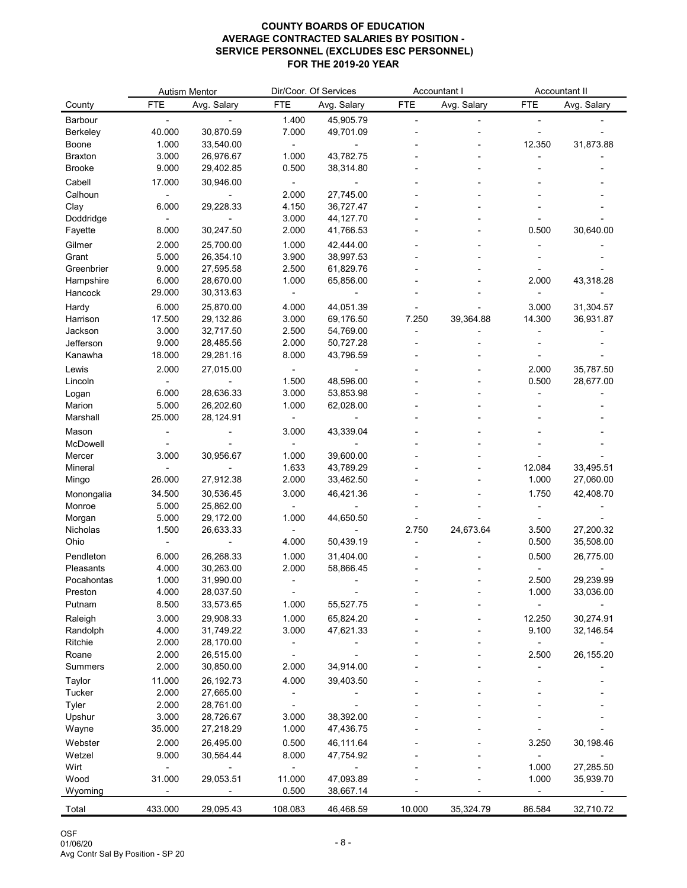|                         |                | <b>Autism Mentor</b>   |                | Dir/Coor. Of Services  |            | Accountant I |                 | Accountant II |
|-------------------------|----------------|------------------------|----------------|------------------------|------------|--------------|-----------------|---------------|
| County                  | <b>FTE</b>     | Avg. Salary            | <b>FTE</b>     | Avg. Salary            | <b>FTE</b> | Avg. Salary  | <b>FTE</b>      | Avg. Salary   |
| <b>Barbour</b>          |                |                        | 1.400          | 45,905.79              |            |              |                 |               |
| <b>Berkeley</b>         | 40.000         | 30,870.59              | 7.000          | 49,701.09              |            |              |                 |               |
| <b>Boone</b>            | 1.000          | 33,540.00              |                |                        |            |              | 12.350          | 31,873.88     |
| <b>Braxton</b>          | 3.000          | 26,976.67              | 1.000          | 43,782.75              |            |              |                 |               |
| <b>Brooke</b>           | 9.000          | 29,402.85              | 0.500          | 38,314.80              |            |              |                 |               |
| Cabell                  | 17.000         | 30,946.00              |                |                        |            |              |                 |               |
| Calhoun                 |                |                        | 2.000          | 27,745.00              |            |              |                 |               |
| Clay                    | 6.000          | 29,228.33              | 4.150          | 36,727.47              |            |              |                 |               |
| Doddridge               |                |                        | 3.000          | 44, 127. 70            |            |              |                 |               |
| Fayette                 | 8.000          | 30,247.50              | 2.000          | 41,766.53              |            |              | 0.500           | 30,640.00     |
| Gilmer                  | 2.000          | 25,700.00              | 1.000          | 42,444.00              |            |              |                 |               |
| Grant                   | 5.000          | 26,354.10              | 3.900          | 38,997.53              |            |              |                 |               |
| Greenbrier<br>Hampshire | 9.000<br>6.000 | 27,595.58<br>28,670.00 | 2.500<br>1.000 | 61,829.76<br>65,856.00 |            |              | 2.000           | 43,318.28     |
| Hancock                 | 29.000         | 30,313.63              |                |                        |            |              |                 |               |
|                         | 6.000          | 25,870.00              |                |                        |            |              | 3.000           | 31,304.57     |
| Hardy<br>Harrison       | 17.500         | 29,132.86              | 4.000<br>3.000 | 44,051.39<br>69,176.50 | 7.250      | 39,364.88    | 14.300          | 36,931.87     |
| Jackson                 | 3.000          | 32,717.50              | 2.500          | 54,769.00              |            |              |                 |               |
| Jefferson               | 9.000          | 28,485.56              | 2.000          | 50,727.28              |            |              |                 |               |
| Kanawha                 | 18.000         | 29,281.16              | 8.000          | 43,796.59              |            |              |                 |               |
| Lewis                   | 2.000          | 27,015.00              |                |                        |            |              | 2.000           | 35,787.50     |
| Lincoln                 |                |                        | 1.500          | 48,596.00              |            |              | 0.500           | 28,677.00     |
| Logan                   | 6.000          | 28,636.33              | 3.000          | 53,853.98              |            |              |                 |               |
| Marion                  | 5.000          | 26,202.60              | 1.000          | 62,028.00              |            |              |                 |               |
| Marshall                | 25.000         | 28,124.91              |                |                        |            |              |                 |               |
| Mason                   |                |                        | 3.000          | 43,339.04              |            |              |                 |               |
| McDowell                |                |                        |                |                        |            |              |                 |               |
| Mercer                  | 3.000          | 30,956.67              | 1.000          | 39,600.00              |            |              |                 |               |
| Mineral                 |                |                        | 1.633          | 43,789.29              |            |              | 12.084          | 33,495.51     |
| Mingo                   | 26.000         | 27,912.38              | 2.000          | 33,462.50              |            |              | 1.000           | 27,060.00     |
| Monongalia              | 34.500         | 30,536.45              | 3.000          | 46,421.36              |            |              | 1.750           | 42,408.70     |
| Monroe                  | 5.000          | 25,862.00              |                |                        |            |              |                 |               |
| Morgan                  | 5.000          | 29,172.00              | 1.000          | 44,650.50              |            |              |                 |               |
| Nicholas                | 1.500          | 26,633.33              |                |                        | 2.750      | 24,673.64    | 3.500           | 27,200.32     |
| Ohio                    |                |                        | 4.000          | 50,439.19              |            |              | 0.500           | 35,508.00     |
| Pendleton               | 6.000          | 26,268.33              | 1.000          | 31,404.00              |            |              | 0.500           | 26,775.00     |
| Pleasants               | 4.000          | 30,263.00              | 2.000          | 58,866.45              |            |              |                 |               |
| Pocahontas              | 1.000          | 31,990.00              |                |                        |            |              | 2.500           | 29,239.99     |
| Preston<br>Putnam       | 4.000<br>8.500 | 28,037.50<br>33,573.65 | 1.000          | 55,527.75              |            |              | 1.000           | 33,036.00     |
|                         |                |                        |                |                        |            |              |                 |               |
| Raleigh                 | 3.000<br>4.000 | 29,908.33<br>31,749.22 | 1.000<br>3.000 | 65,824.20              |            |              | 12.250<br>9.100 | 30,274.91     |
| Randolph<br>Ritchie     | 2.000          | 28,170.00              |                | 47,621.33              |            |              |                 | 32,146.54     |
| Roane                   | 2.000          | 26,515.00              |                |                        |            |              | 2.500           | 26,155.20     |
| <b>Summers</b>          | 2.000          | 30,850.00              | 2.000          | 34,914.00              |            |              |                 |               |
| Taylor                  | 11.000         | 26,192.73              | 4.000          | 39,403.50              |            |              |                 |               |
| <b>Tucker</b>           | 2.000          | 27,665.00              |                |                        |            |              |                 |               |
| Tyler                   | 2.000          | 28,761.00              |                |                        |            |              |                 |               |
| Upshur                  | 3.000          | 28,726.67              | 3.000          | 38,392.00              |            |              |                 |               |
| Wayne                   | 35.000         | 27,218.29              | 1.000          | 47,436.75              |            |              |                 |               |
| Webster                 | 2.000          | 26,495.00              | 0.500          | 46,111.64              |            |              | 3.250           | 30,198.46     |
| Wetzel                  | 9.000          | 30,564.44              | 8.000          | 47,754.92              |            |              |                 |               |
| Wirt                    |                |                        |                |                        |            |              | 1.000           | 27,285.50     |
| Wood                    | 31.000         | 29,053.51              | 11.000         | 47,093.89              |            |              | 1.000           | 35,939.70     |
| Wyoming                 |                |                        | 0.500          | 38,667.14              |            |              |                 |               |
| Total                   | 433.000        | 29,095.43              | 108.083        | 46,468.59              | 10.000     | 35,324.79    | 86.584          | 32,710.72     |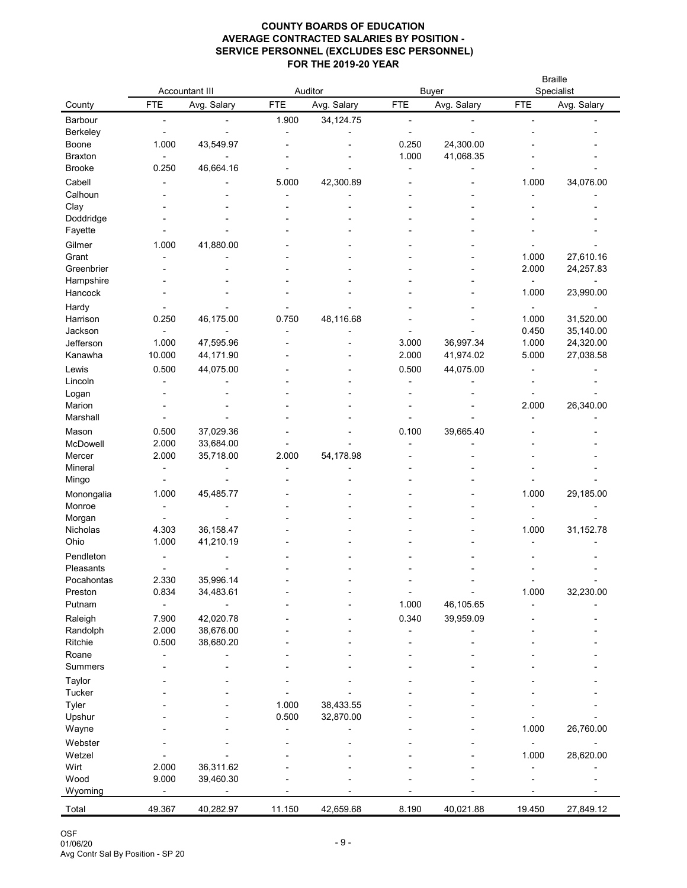|                                 |            | <b>Accountant III</b> |            | Auditor     | <b>Buyer</b> |             | <b>Braille</b><br>Specialist |                        |
|---------------------------------|------------|-----------------------|------------|-------------|--------------|-------------|------------------------------|------------------------|
| County                          | <b>FTE</b> | Avg. Salary           | <b>FTE</b> | Avg. Salary | <b>FTE</b>   | Avg. Salary | <b>FTE</b>                   | Avg. Salary            |
| Barbour                         |            |                       | 1.900      | 34, 124. 75 |              |             |                              |                        |
| <b>Berkeley</b>                 |            |                       |            |             |              |             |                              |                        |
| Boone                           | 1.000      | 43,549.97             |            |             | 0.250        | 24,300.00   |                              |                        |
| <b>Braxton</b><br><b>Brooke</b> | 0.250      | 46,664.16             |            |             | 1.000        | 41,068.35   |                              |                        |
| Cabell                          |            |                       | 5.000      | 42,300.89   |              |             | 1.000                        | 34,076.00              |
| Calhoun                         |            |                       |            |             |              |             |                              |                        |
| Clay                            |            |                       |            |             |              |             |                              |                        |
| Doddridge                       |            |                       |            |             |              |             |                              |                        |
| Fayette                         |            |                       |            |             |              |             |                              |                        |
| Gilmer                          | 1.000      | 41,880.00             |            |             |              |             |                              |                        |
| Grant                           |            |                       |            |             |              |             | 1.000                        | 27,610.16              |
| Greenbrier                      |            |                       |            |             |              |             | 2.000                        | 24,257.83              |
| Hampshire                       |            |                       |            |             |              |             |                              |                        |
| Hancock                         |            |                       |            |             |              |             | 1.000                        | 23,990.00              |
| Hardy                           |            |                       |            |             |              |             |                              |                        |
| Harrison<br>Jackson             | 0.250      | 46,175.00             | 0.750      | 48,116.68   |              |             | 1.000<br>0.450               | 31,520.00<br>35,140.00 |
| Jefferson                       | 1.000      | 47,595.96             |            |             | 3.000        | 36,997.34   | 1.000                        | 24,320.00              |
| Kanawha                         | 10.000     | 44,171.90             |            |             | 2.000        | 41,974.02   | 5.000                        | 27,038.58              |
| Lewis                           | 0.500      | 44,075.00             |            |             | 0.500        | 44,075.00   |                              |                        |
| Lincoln                         |            |                       |            |             |              |             |                              |                        |
| Logan                           |            |                       |            |             |              |             |                              |                        |
| Marion                          |            |                       |            |             |              |             | 2.000                        | 26,340.00              |
| Marshall                        |            |                       |            |             |              |             |                              |                        |
| Mason                           | 0.500      | 37,029.36             |            |             | 0.100        | 39,665.40   |                              |                        |
| McDowell                        | 2.000      | 33,684.00             |            |             |              |             |                              |                        |
| Mercer                          | 2.000      | 35,718.00             | 2.000      | 54,178.98   |              |             |                              |                        |
| Mineral                         |            |                       |            |             |              |             |                              |                        |
| Mingo                           |            |                       |            |             |              |             |                              |                        |
| Monongalia<br>Monroe            | 1.000      | 45,485.77             |            |             |              |             | 1.000                        | 29,185.00              |
| Morgan                          |            |                       |            |             |              |             |                              |                        |
| Nicholas                        | 4.303      | 36, 158.47            |            |             |              |             | 1.000                        | 31,152.78              |
| Ohio                            | 1.000      | 41,210.19             |            |             |              |             |                              |                        |
| Pendleton                       |            |                       |            |             |              |             |                              |                        |
| Pleasants                       |            |                       |            |             |              |             |                              |                        |
| Pocahontas                      | 2.330      | 35,996.14             |            |             |              |             |                              |                        |
| Preston                         | 0.834      | 34,483.61             |            |             |              |             | 1.000                        | 32,230.00              |
| Putnam                          |            |                       |            |             | 1.000        | 46,105.65   |                              |                        |
| Raleigh                         | 7.900      | 42,020.78             |            |             | 0.340        | 39,959.09   |                              |                        |
| Randolph                        | 2.000      | 38,676.00             |            |             |              |             |                              |                        |
| Ritchie<br>Roane                | 0.500      | 38,680.20             |            |             |              |             |                              |                        |
| <b>Summers</b>                  |            |                       |            |             |              |             |                              |                        |
|                                 |            |                       |            |             |              |             |                              |                        |
| Taylor<br><b>Tucker</b>         |            |                       |            |             |              |             |                              |                        |
| Tyler                           |            |                       | 1.000      | 38,433.55   |              |             |                              |                        |
| Upshur                          |            |                       | 0.500      | 32,870.00   |              |             |                              |                        |
| Wayne                           |            |                       |            |             |              |             | 1.000                        | 26,760.00              |
| Webster                         |            |                       |            |             |              |             |                              |                        |
| Wetzel                          |            |                       |            |             |              |             | 1.000                        | 28,620.00              |
| Wirt                            | 2.000      | 36,311.62             |            |             |              |             |                              |                        |
| Wood                            | 9.000      | 39,460.30             |            |             |              |             |                              |                        |
| Wyoming                         |            |                       |            |             |              |             |                              |                        |
| Total                           | 49.367     | 40,282.97             | 11.150     | 42,659.68   | 8.190        | 40,021.88   | 19.450                       | 27,849.12              |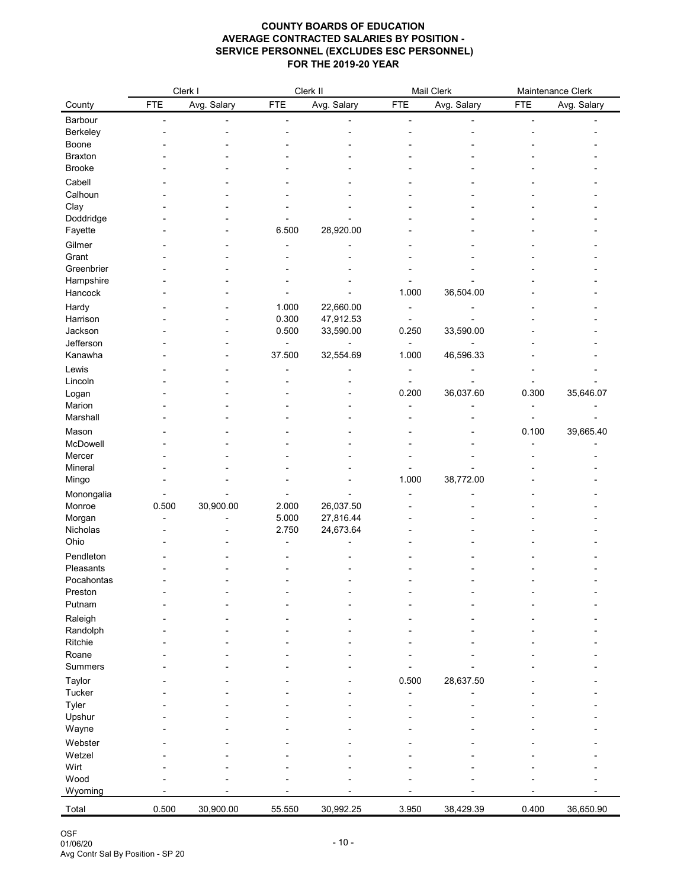|                   |            | Clerk I     |                | Clerk II               |            | Mail Clerk  |            | Maintenance Clerk |
|-------------------|------------|-------------|----------------|------------------------|------------|-------------|------------|-------------------|
| County            | <b>FTE</b> | Avg. Salary | <b>FTE</b>     | Avg. Salary            | <b>FTE</b> | Avg. Salary | <b>FTE</b> | Avg. Salary       |
| Barbour           |            |             |                |                        |            |             |            |                   |
| Berkeley          |            |             |                |                        |            |             |            |                   |
| Boone             |            |             |                |                        |            |             |            |                   |
| <b>Braxton</b>    |            |             |                |                        |            |             |            |                   |
| <b>Brooke</b>     |            |             |                |                        |            |             |            |                   |
| Cabell            |            |             |                |                        |            |             |            |                   |
| Calhoun           |            |             |                |                        |            |             |            |                   |
| Clay<br>Doddridge |            |             |                |                        |            |             |            |                   |
| Fayette           |            |             | 6.500          | 28,920.00              |            |             |            |                   |
| Gilmer            |            |             |                |                        |            |             |            |                   |
| Grant             |            |             |                |                        |            |             |            |                   |
| Greenbrier        |            |             |                |                        |            |             |            |                   |
| Hampshire         |            |             |                |                        |            |             |            |                   |
| Hancock           |            |             |                |                        | 1.000      | 36,504.00   |            |                   |
| Hardy             |            |             | 1.000          | 22,660.00              |            |             |            |                   |
| Harrison          |            |             | 0.300          | 47,912.53              |            |             |            |                   |
| Jackson           |            |             | 0.500          | 33,590.00              | 0.250      | 33,590.00   |            |                   |
| Jefferson         |            |             |                |                        |            |             |            |                   |
| Kanawha           |            |             | 37.500         | 32,554.69              | 1.000      | 46,596.33   |            |                   |
| Lewis             |            |             |                |                        |            |             |            |                   |
| Lincoln<br>Logan  |            |             |                |                        | 0.200      | 36,037.60   | 0.300      | 35,646.07         |
| Marion            |            |             |                |                        |            |             |            |                   |
| Marshall          |            |             |                |                        |            |             |            |                   |
| Mason             |            |             |                |                        |            |             | 0.100      | 39,665.40         |
| McDowell          |            |             |                |                        |            |             |            |                   |
| Mercer            |            |             |                |                        |            |             |            |                   |
| Mineral           |            |             |                |                        |            |             |            |                   |
| Mingo             |            |             |                |                        | 1.000      | 38,772.00   |            |                   |
| Monongalia        |            |             |                |                        |            |             |            |                   |
| Monroe<br>Morgan  | 0.500      | 30,900.00   | 2.000<br>5.000 | 26,037.50<br>27,816.44 |            |             |            |                   |
| Nicholas          |            |             | 2.750          | 24,673.64              |            |             |            |                   |
| Ohio              |            |             |                |                        |            |             |            |                   |
| Pendleton         |            |             |                |                        |            |             |            |                   |
| Pleasants         |            |             |                |                        |            |             |            |                   |
| Pocahontas        |            |             |                |                        |            |             |            |                   |
| Preston           |            |             |                |                        |            |             |            |                   |
| Putnam            |            |             |                |                        |            |             |            |                   |
| Raleigh           |            |             |                |                        |            |             |            |                   |
| Randolph          |            |             |                |                        |            |             |            |                   |
| Ritchie<br>Roane  |            |             |                |                        |            |             |            |                   |
| <b>Summers</b>    |            |             |                |                        |            |             |            |                   |
| Taylor            |            |             |                |                        | 0.500      | 28,637.50   |            |                   |
| <b>Tucker</b>     |            |             |                |                        |            |             |            |                   |
| Tyler             |            |             |                |                        |            |             |            |                   |
| Upshur            |            |             |                |                        |            |             |            |                   |
| Wayne             |            |             |                |                        |            |             |            |                   |
| Webster           |            |             |                |                        |            |             |            |                   |
| Wetzel            |            |             |                |                        |            |             |            |                   |
| Wirt              |            |             |                |                        |            |             |            |                   |
| Wood              |            |             |                |                        |            |             |            |                   |
| Wyoming           |            |             |                |                        |            |             |            |                   |
| Total             | 0.500      | 30,900.00   | 55.550         | 30,992.25              | 3.950      | 38,429.39   | 0.400      | 36,650.90         |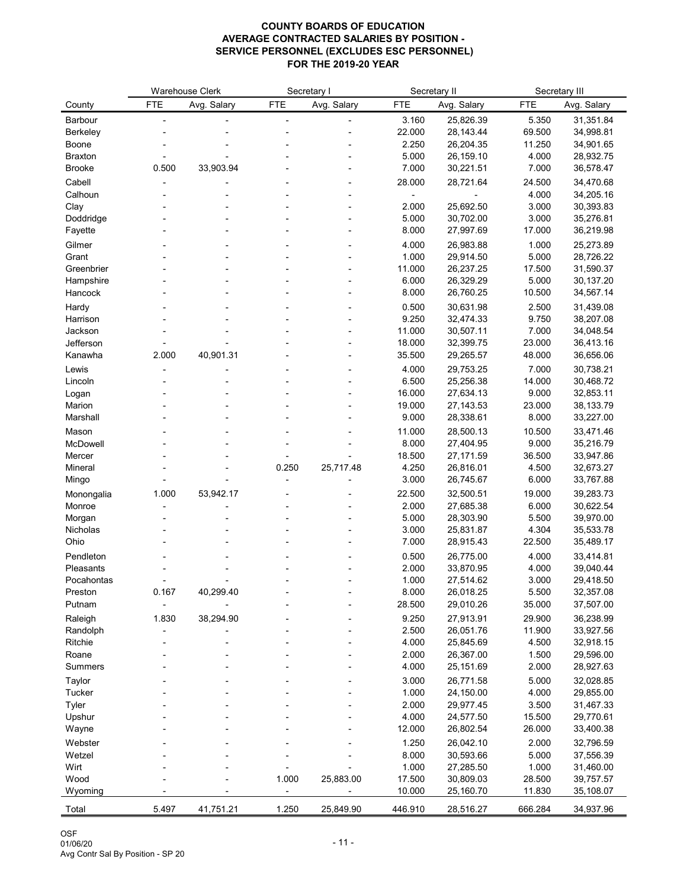|                       |            | <b>Warehouse Clerk</b> |            | Secretary I |                  | Secretary II           |                 | Secretary III          |
|-----------------------|------------|------------------------|------------|-------------|------------------|------------------------|-----------------|------------------------|
| County                | <b>FTE</b> | Avg. Salary            | <b>FTE</b> | Avg. Salary | <b>FTE</b>       | Avg. Salary            | <b>FTE</b>      | Avg. Salary            |
| Barbour               |            |                        |            |             | 3.160            | 25,826.39              | 5.350           | 31,351.84              |
| <b>Berkeley</b>       |            |                        |            |             | 22.000           | 28,143.44              | 69.500          | 34,998.81              |
| Boone                 |            |                        |            |             | 2.250            | 26,204.35              | 11.250          | 34,901.65              |
| <b>Braxton</b>        |            |                        |            |             | 5.000            | 26,159.10              | 4.000           | 28,932.75              |
| <b>Brooke</b>         | 0.500      | 33,903.94              |            |             | 7.000            | 30,221.51              | 7.000           | 36,578.47              |
| Cabell                |            |                        |            |             | 28.000           | 28,721.64              | 24.500          | 34,470.68              |
| Calhoun               |            |                        |            |             |                  |                        | 4.000           | 34,205.16              |
| Clay                  |            |                        |            |             | 2.000            | 25,692.50              | 3.000           | 30,393.83              |
| Doddridge             |            |                        |            |             | 5.000            | 30,702.00              | 3.000           | 35,276.81              |
| Fayette               |            |                        |            |             | 8.000            | 27,997.69              | 17.000          | 36,219.98              |
| Gilmer                |            |                        |            |             | 4.000            | 26,983.88              | 1.000           | 25,273.89              |
| Grant                 |            |                        |            |             | 1.000            | 29,914.50              | 5.000           | 28,726.22              |
| Greenbrier            |            |                        |            |             | 11.000           | 26,237.25              | 17.500          | 31,590.37              |
| Hampshire             |            |                        |            |             | 6.000            | 26,329.29              | 5.000           | 30,137.20              |
| Hancock               |            |                        |            |             | 8.000            | 26,760.25              | 10.500          | 34,567.14              |
| Hardy                 |            |                        |            |             | 0.500            | 30,631.98              | 2.500           | 31,439.08              |
| Harrison              |            |                        |            |             | 9.250            | 32,474.33              | 9.750           | 38,207.08              |
| Jackson<br>Jefferson  |            |                        |            |             | 11.000           | 30,507.11              | 7.000<br>23.000 | 34,048.54              |
| Kanawha               | 2.000      | 40,901.31              |            |             | 18.000<br>35.500 | 32,399.75<br>29,265.57 | 48.000          | 36,413.16<br>36,656.06 |
|                       |            |                        |            |             |                  |                        |                 |                        |
| Lewis                 |            |                        |            |             | 4.000<br>6.500   | 29,753.25<br>25,256.38 | 7.000<br>14.000 | 30,738.21<br>30,468.72 |
| Lincoln<br>Logan      |            |                        |            |             | 16.000           | 27,634.13              | 9.000           | 32,853.11              |
| Marion                |            |                        |            |             | 19.000           | 27, 143.53             | 23.000          | 38,133.79              |
| Marshall              |            |                        |            |             | 9.000            | 28,338.61              | 8.000           | 33,227.00              |
| Mason                 |            |                        |            |             | 11.000           | 28,500.13              | 10.500          | 33,471.46              |
| McDowell              |            |                        |            |             | 8.000            | 27,404.95              | 9.000           | 35,216.79              |
| Mercer                |            |                        |            |             | 18.500           | 27,171.59              | 36.500          | 33,947.86              |
| Mineral               |            |                        | 0.250      | 25,717.48   | 4.250            | 26,816.01              | 4.500           | 32,673.27              |
| Mingo                 |            |                        |            |             | 3.000            | 26,745.67              | 6.000           | 33,767.88              |
| Monongalia            | 1.000      | 53,942.17              |            |             | 22.500           | 32,500.51              | 19.000          | 39,283.73              |
| Monroe                |            |                        |            |             | 2.000            | 27,685.38              | 6.000           | 30,622.54              |
| Morgan                |            |                        |            |             | 5.000            | 28,303.90              | 5.500           | 39,970.00              |
| Nicholas              |            |                        |            |             | 3.000            | 25,831.87              | 4.304           | 35,533.78              |
| Ohio                  |            |                        |            |             | 7.000            | 28,915.43              | 22.500          | 35,489.17              |
| Pendleton             |            |                        |            |             | 0.500            | 26,775.00              | 4.000           | 33,414.81              |
| Pleasants             |            |                        |            |             | 2.000            | 33,870.95              | 4.000           | 39,040.44              |
| Pocahontas<br>Preston | 0.167      | 40,299.40              |            |             | 1.000<br>8.000   | 27,514.62<br>26,018.25 | 3.000<br>5.500  | 29,418.50<br>32,357.08 |
| Putnam                |            |                        |            |             | 28.500           | 29,010.26              | 35.000          | 37,507.00              |
| Raleigh               | 1.830      | 38,294.90              |            |             | 9.250            | 27,913.91              | 29.900          | 36,238.99              |
| Randolph              |            |                        |            |             | 2.500            | 26,051.76              | 11.900          | 33,927.56              |
| Ritchie               |            |                        |            |             | 4.000            | 25,845.69              | 4.500           | 32,918.15              |
| Roane                 |            |                        |            |             | 2.000            | 26,367.00              | 1.500           | 29,596.00              |
| <b>Summers</b>        |            |                        |            |             | 4.000            | 25,151.69              | 2.000           | 28,927.63              |
| <b>Taylor</b>         |            |                        |            |             | 3.000            | 26,771.58              | 5.000           | 32,028.85              |
| <b>Tucker</b>         |            |                        |            |             | 1.000            | 24,150.00              | 4.000           | 29,855.00              |
| <b>Tyler</b>          |            |                        |            |             | 2.000            | 29,977.45              | 3.500           | 31,467.33              |
| Upshur                |            |                        |            |             | 4.000            | 24,577.50              | 15.500          | 29,770.61              |
| Wayne                 |            |                        |            |             | 12.000           | 26,802.54              | 26.000          | 33,400.38              |
| Webster               |            |                        |            |             | 1.250            | 26,042.10              | 2.000           | 32,796.59              |
| Wetzel                |            |                        |            |             | 8.000            | 30,593.66              | 5.000           | 37,556.39              |
| Wirt                  |            |                        |            |             | 1.000            | 27,285.50              | 1.000           | 31,460.00              |
| Wood                  |            |                        | 1.000      | 25,883.00   | 17.500           | 30,809.03              | 28.500          | 39,757.57              |
| Wyoming               |            |                        |            |             | 10.000           | 25,160.70              | 11.830          | 35,108.07              |
| Total                 | 5.497      | 41,751.21              | 1.250      | 25,849.90   | 446.910          | 28,516.27              | 666.284         | 34,937.96              |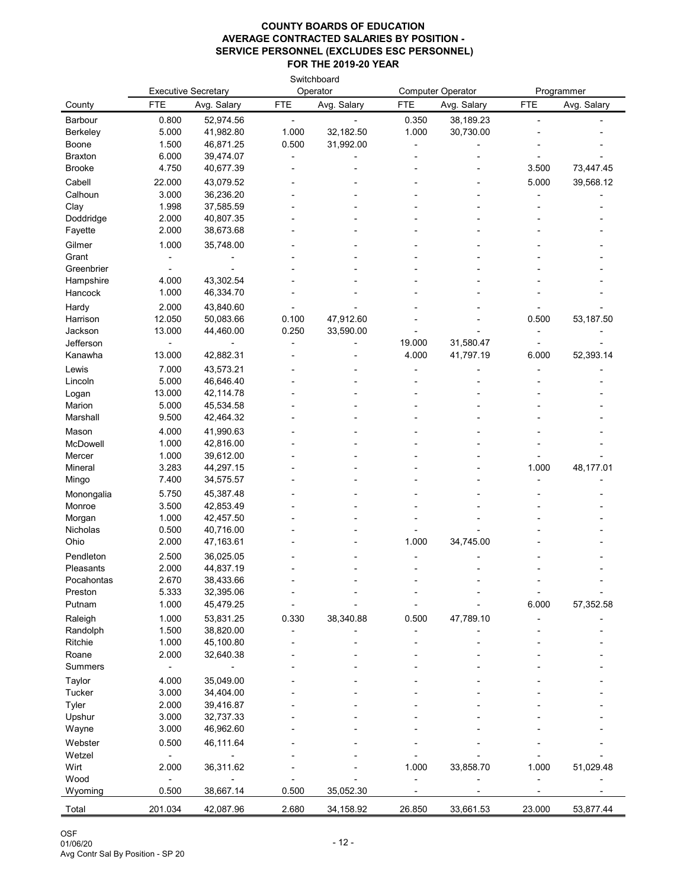|                    |                |                            |            | Switchboard |            |                          |            |             |
|--------------------|----------------|----------------------------|------------|-------------|------------|--------------------------|------------|-------------|
|                    |                | <b>Executive Secretary</b> |            | Operator    |            | <b>Computer Operator</b> |            | Programmer  |
| County             | <b>FTE</b>     | Avg. Salary                | <b>FTE</b> | Avg. Salary | <b>FTE</b> | Avg. Salary              | <b>FTE</b> | Avg. Salary |
| Barbour            | 0.800          | 52,974.56                  |            |             | 0.350      | 38,189.23                |            |             |
| <b>Berkeley</b>    | 5.000          | 41,982.80                  | 1.000      | 32,182.50   | 1.000      | 30,730.00                |            |             |
| Boone              | 1.500          | 46,871.25                  | 0.500      | 31,992.00   |            |                          |            |             |
| <b>Braxton</b>     | 6.000          | 39,474.07                  |            |             |            |                          |            |             |
| <b>Brooke</b>      | 4.750          | 40,677.39                  |            |             |            |                          | 3.500      | 73,447.45   |
| Cabell             | 22.000         | 43,079.52                  |            |             |            |                          | 5.000      | 39,568.12   |
| Calhoun            | 3.000          | 36,236.20                  |            |             |            |                          |            |             |
| Clay               | 1.998          | 37,585.59                  |            |             |            |                          |            |             |
| Doddridge          | 2.000          | 40,807.35                  |            |             |            |                          |            |             |
| Fayette            | 2.000          | 38,673.68                  |            |             |            |                          |            |             |
| Gilmer             | 1.000          | 35,748.00                  |            |             |            |                          |            |             |
| Grant              |                |                            |            |             |            |                          |            |             |
| Greenbrier         |                |                            |            |             |            |                          |            |             |
| Hampshire          | 4.000          | 43,302.54                  |            |             |            |                          |            |             |
| Hancock            | 1.000          | 46,334.70                  |            |             |            |                          |            |             |
| Hardy              | 2.000          | 43,840.60                  |            |             |            |                          |            |             |
| Harrison           | 12.050         | 50,083.66                  | 0.100      | 47,912.60   |            |                          | 0.500      | 53,187.50   |
| Jackson            | 13.000         | 44,460.00                  | 0.250      | 33,590.00   |            |                          |            |             |
| Jefferson          |                |                            |            |             | 19.000     | 31,580.47                |            |             |
| Kanawha            | 13.000         | 42,882.31                  |            |             | 4.000      | 41,797.19                | 6.000      | 52,393.14   |
| Lewis              | 7.000          | 43,573.21                  |            |             |            |                          |            |             |
| Lincoln            | 5.000          | 46,646.40                  |            |             |            |                          |            |             |
| Logan              | 13.000         | 42,114.78                  |            |             |            |                          |            |             |
| Marion             | 5.000          | 45,534.58                  |            |             |            |                          |            |             |
| Marshall           | 9.500          | 42,464.32                  |            |             |            |                          |            |             |
| Mason              | 4.000          | 41,990.63                  |            |             |            |                          |            |             |
| McDowell           | 1.000          | 42,816.00                  |            |             |            |                          |            |             |
| Mercer             | 1.000<br>3.283 | 39,612.00                  |            |             |            |                          |            |             |
| Mineral<br>Mingo   | 7.400          | 44,297.15<br>34,575.57     |            |             |            |                          | 1.000      | 48,177.01   |
|                    |                |                            |            |             |            |                          |            |             |
| Monongalia         | 5.750          | 45,387.48                  |            |             |            |                          |            |             |
| Monroe             | 3.500<br>1.000 | 42,853.49<br>42,457.50     |            |             |            |                          |            |             |
| Morgan<br>Nicholas | 0.500          | 40,716.00                  |            |             |            |                          |            |             |
| Ohio               | 2.000          | 47,163.61                  |            |             | 1.000      | 34,745.00                |            |             |
| Pendleton          | 2.500          |                            |            |             |            |                          |            |             |
| Pleasants          | 2.000          | 36,025.05<br>44,837.19     |            |             |            |                          |            |             |
| Pocahontas         | 2.670          | 38,433.66                  |            |             |            |                          |            |             |
| Preston            | 5.333          | 32,395.06                  |            |             |            |                          |            |             |
| Putnam             | 1.000          | 45,479.25                  |            |             |            |                          | 6.000      | 57,352.58   |
| Raleigh            | 1.000          | 53,831.25                  | 0.330      | 38,340.88   | 0.500      | 47,789.10                |            |             |
| Randolph           | 1.500          | 38,820.00                  |            |             |            |                          |            |             |
| Ritchie            | 1.000          | 45,100.80                  |            |             |            |                          |            |             |
| Roane              | 2.000          | 32,640.38                  |            |             |            |                          |            |             |
| <b>Summers</b>     |                |                            |            |             |            |                          |            |             |
| Taylor             | 4.000          | 35,049.00                  |            |             |            |                          |            |             |
| <b>Tucker</b>      | 3.000          | 34,404.00                  |            |             |            |                          |            |             |
| Tyler              | 2.000          | 39,416.87                  |            |             |            |                          |            |             |
| Upshur             | 3.000          | 32,737.33                  |            |             |            |                          |            |             |
| Wayne              | 3.000          | 46,962.60                  |            |             |            |                          |            |             |
| Webster            | 0.500          | 46,111.64                  |            |             |            |                          |            |             |
| Wetzel             |                |                            |            |             |            |                          |            |             |
| Wirt               | 2.000          | 36,311.62                  |            |             | 1.000      | 33,858.70                | 1.000      | 51,029.48   |
| Wood               |                |                            |            |             |            |                          |            |             |
| Wyoming            | 0.500          | 38,667.14                  | 0.500      | 35,052.30   |            |                          |            |             |
| Total              | 201.034        | 42,087.96                  | 2.680      | 34,158.92   | 26.850     | 33,661.53                | 23.000     | 53,877.44   |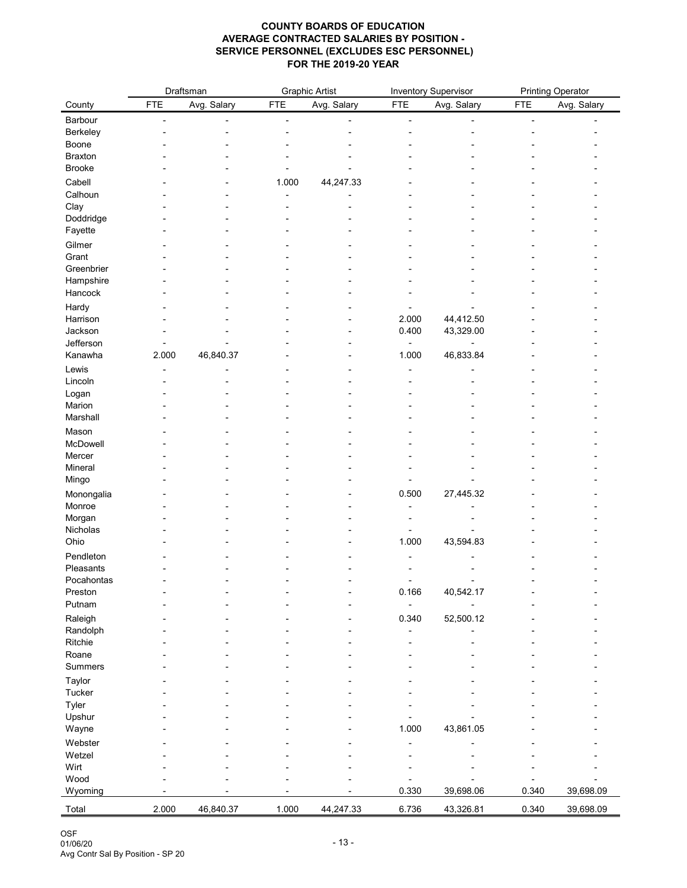| Avg. Salary<br><b>FTE</b><br><b>FTE</b><br>Avg. Salary<br><b>FTE</b><br>Avg. Salary<br><b>FTE</b><br>Avg. Salary<br>County<br>Barbour<br><b>Berkeley</b><br>Boone<br><b>Braxton</b><br><b>Brooke</b><br>Cabell<br>44,247.33<br>1.000<br>Calhoun<br>Clay<br>Doddridge<br>Fayette<br>Gilmer<br>Grant<br>Greenbrier<br>Hampshire<br>Hancock<br>Hardy<br>44,412.50<br>2.000<br>Harrison<br>Jackson<br>0.400<br>43,329.00<br>Jefferson<br>Kanawha<br>46,840.37<br>1.000<br>46,833.84<br>2.000<br>Lewis<br>Lincoln<br>Logan<br>Marion<br>Marshall<br>Mason<br>McDowell<br>Mercer<br>Mineral<br>Mingo<br>27,445.32<br>Monongalia<br>0.500<br>Monroe<br>Morgan<br>Nicholas<br>Ohio<br>1.000<br>43,594.83<br>Pendleton<br>Pleasants<br>Pocahontas<br>0.166<br>40,542.17<br>Preston<br>Putnam<br>Raleigh<br>52,500.12<br>0.340<br>Randolph<br>Ritchie<br>Roane<br><b>Summers</b><br>Taylor<br><b>Tucker</b><br>Tyler<br>Upshur<br>1.000<br>43,861.05<br>Wayne<br>Webster<br>Wetzel<br>Wirt<br>Wood<br>0.330<br>39,698.06<br>0.340<br>39,698.09<br>Wyoming |       |       | Draftsman |       | <b>Graphic Artist</b> |       | <b>Inventory Supervisor</b> |       | <b>Printing Operator</b> |
|-------------------------------------------------------------------------------------------------------------------------------------------------------------------------------------------------------------------------------------------------------------------------------------------------------------------------------------------------------------------------------------------------------------------------------------------------------------------------------------------------------------------------------------------------------------------------------------------------------------------------------------------------------------------------------------------------------------------------------------------------------------------------------------------------------------------------------------------------------------------------------------------------------------------------------------------------------------------------------------------------------------------------------------------------|-------|-------|-----------|-------|-----------------------|-------|-----------------------------|-------|--------------------------|
|                                                                                                                                                                                                                                                                                                                                                                                                                                                                                                                                                                                                                                                                                                                                                                                                                                                                                                                                                                                                                                                 |       |       |           |       |                       |       |                             |       |                          |
|                                                                                                                                                                                                                                                                                                                                                                                                                                                                                                                                                                                                                                                                                                                                                                                                                                                                                                                                                                                                                                                 |       |       |           |       |                       |       |                             |       |                          |
|                                                                                                                                                                                                                                                                                                                                                                                                                                                                                                                                                                                                                                                                                                                                                                                                                                                                                                                                                                                                                                                 |       |       |           |       |                       |       |                             |       |                          |
|                                                                                                                                                                                                                                                                                                                                                                                                                                                                                                                                                                                                                                                                                                                                                                                                                                                                                                                                                                                                                                                 |       |       |           |       |                       |       |                             |       |                          |
|                                                                                                                                                                                                                                                                                                                                                                                                                                                                                                                                                                                                                                                                                                                                                                                                                                                                                                                                                                                                                                                 |       |       |           |       |                       |       |                             |       |                          |
|                                                                                                                                                                                                                                                                                                                                                                                                                                                                                                                                                                                                                                                                                                                                                                                                                                                                                                                                                                                                                                                 |       |       |           |       |                       |       |                             |       |                          |
|                                                                                                                                                                                                                                                                                                                                                                                                                                                                                                                                                                                                                                                                                                                                                                                                                                                                                                                                                                                                                                                 |       |       |           |       |                       |       |                             |       |                          |
|                                                                                                                                                                                                                                                                                                                                                                                                                                                                                                                                                                                                                                                                                                                                                                                                                                                                                                                                                                                                                                                 |       |       |           |       |                       |       |                             |       |                          |
|                                                                                                                                                                                                                                                                                                                                                                                                                                                                                                                                                                                                                                                                                                                                                                                                                                                                                                                                                                                                                                                 |       |       |           |       |                       |       |                             |       |                          |
|                                                                                                                                                                                                                                                                                                                                                                                                                                                                                                                                                                                                                                                                                                                                                                                                                                                                                                                                                                                                                                                 |       |       |           |       |                       |       |                             |       |                          |
|                                                                                                                                                                                                                                                                                                                                                                                                                                                                                                                                                                                                                                                                                                                                                                                                                                                                                                                                                                                                                                                 |       |       |           |       |                       |       |                             |       |                          |
|                                                                                                                                                                                                                                                                                                                                                                                                                                                                                                                                                                                                                                                                                                                                                                                                                                                                                                                                                                                                                                                 |       |       |           |       |                       |       |                             |       |                          |
|                                                                                                                                                                                                                                                                                                                                                                                                                                                                                                                                                                                                                                                                                                                                                                                                                                                                                                                                                                                                                                                 |       |       |           |       |                       |       |                             |       |                          |
|                                                                                                                                                                                                                                                                                                                                                                                                                                                                                                                                                                                                                                                                                                                                                                                                                                                                                                                                                                                                                                                 |       |       |           |       |                       |       |                             |       |                          |
|                                                                                                                                                                                                                                                                                                                                                                                                                                                                                                                                                                                                                                                                                                                                                                                                                                                                                                                                                                                                                                                 |       |       |           |       |                       |       |                             |       |                          |
|                                                                                                                                                                                                                                                                                                                                                                                                                                                                                                                                                                                                                                                                                                                                                                                                                                                                                                                                                                                                                                                 |       |       |           |       |                       |       |                             |       |                          |
|                                                                                                                                                                                                                                                                                                                                                                                                                                                                                                                                                                                                                                                                                                                                                                                                                                                                                                                                                                                                                                                 |       |       |           |       |                       |       |                             |       |                          |
|                                                                                                                                                                                                                                                                                                                                                                                                                                                                                                                                                                                                                                                                                                                                                                                                                                                                                                                                                                                                                                                 |       |       |           |       |                       |       |                             |       |                          |
|                                                                                                                                                                                                                                                                                                                                                                                                                                                                                                                                                                                                                                                                                                                                                                                                                                                                                                                                                                                                                                                 |       |       |           |       |                       |       |                             |       |                          |
|                                                                                                                                                                                                                                                                                                                                                                                                                                                                                                                                                                                                                                                                                                                                                                                                                                                                                                                                                                                                                                                 |       |       |           |       |                       |       |                             |       |                          |
|                                                                                                                                                                                                                                                                                                                                                                                                                                                                                                                                                                                                                                                                                                                                                                                                                                                                                                                                                                                                                                                 |       |       |           |       |                       |       |                             |       |                          |
|                                                                                                                                                                                                                                                                                                                                                                                                                                                                                                                                                                                                                                                                                                                                                                                                                                                                                                                                                                                                                                                 |       |       |           |       |                       |       |                             |       |                          |
|                                                                                                                                                                                                                                                                                                                                                                                                                                                                                                                                                                                                                                                                                                                                                                                                                                                                                                                                                                                                                                                 |       |       |           |       |                       |       |                             |       |                          |
|                                                                                                                                                                                                                                                                                                                                                                                                                                                                                                                                                                                                                                                                                                                                                                                                                                                                                                                                                                                                                                                 |       |       |           |       |                       |       |                             |       |                          |
|                                                                                                                                                                                                                                                                                                                                                                                                                                                                                                                                                                                                                                                                                                                                                                                                                                                                                                                                                                                                                                                 |       |       |           |       |                       |       |                             |       |                          |
|                                                                                                                                                                                                                                                                                                                                                                                                                                                                                                                                                                                                                                                                                                                                                                                                                                                                                                                                                                                                                                                 |       |       |           |       |                       |       |                             |       |                          |
|                                                                                                                                                                                                                                                                                                                                                                                                                                                                                                                                                                                                                                                                                                                                                                                                                                                                                                                                                                                                                                                 |       |       |           |       |                       |       |                             |       |                          |
|                                                                                                                                                                                                                                                                                                                                                                                                                                                                                                                                                                                                                                                                                                                                                                                                                                                                                                                                                                                                                                                 |       |       |           |       |                       |       |                             |       |                          |
|                                                                                                                                                                                                                                                                                                                                                                                                                                                                                                                                                                                                                                                                                                                                                                                                                                                                                                                                                                                                                                                 |       |       |           |       |                       |       |                             |       |                          |
|                                                                                                                                                                                                                                                                                                                                                                                                                                                                                                                                                                                                                                                                                                                                                                                                                                                                                                                                                                                                                                                 |       |       |           |       |                       |       |                             |       |                          |
|                                                                                                                                                                                                                                                                                                                                                                                                                                                                                                                                                                                                                                                                                                                                                                                                                                                                                                                                                                                                                                                 |       |       |           |       |                       |       |                             |       |                          |
|                                                                                                                                                                                                                                                                                                                                                                                                                                                                                                                                                                                                                                                                                                                                                                                                                                                                                                                                                                                                                                                 |       |       |           |       |                       |       |                             |       |                          |
|                                                                                                                                                                                                                                                                                                                                                                                                                                                                                                                                                                                                                                                                                                                                                                                                                                                                                                                                                                                                                                                 |       |       |           |       |                       |       |                             |       |                          |
|                                                                                                                                                                                                                                                                                                                                                                                                                                                                                                                                                                                                                                                                                                                                                                                                                                                                                                                                                                                                                                                 |       |       |           |       |                       |       |                             |       |                          |
|                                                                                                                                                                                                                                                                                                                                                                                                                                                                                                                                                                                                                                                                                                                                                                                                                                                                                                                                                                                                                                                 |       |       |           |       |                       |       |                             |       |                          |
|                                                                                                                                                                                                                                                                                                                                                                                                                                                                                                                                                                                                                                                                                                                                                                                                                                                                                                                                                                                                                                                 |       |       |           |       |                       |       |                             |       |                          |
|                                                                                                                                                                                                                                                                                                                                                                                                                                                                                                                                                                                                                                                                                                                                                                                                                                                                                                                                                                                                                                                 |       |       |           |       |                       |       |                             |       |                          |
|                                                                                                                                                                                                                                                                                                                                                                                                                                                                                                                                                                                                                                                                                                                                                                                                                                                                                                                                                                                                                                                 |       |       |           |       |                       |       |                             |       |                          |
|                                                                                                                                                                                                                                                                                                                                                                                                                                                                                                                                                                                                                                                                                                                                                                                                                                                                                                                                                                                                                                                 |       |       |           |       |                       |       |                             |       |                          |
|                                                                                                                                                                                                                                                                                                                                                                                                                                                                                                                                                                                                                                                                                                                                                                                                                                                                                                                                                                                                                                                 |       |       |           |       |                       |       |                             |       |                          |
|                                                                                                                                                                                                                                                                                                                                                                                                                                                                                                                                                                                                                                                                                                                                                                                                                                                                                                                                                                                                                                                 |       |       |           |       |                       |       |                             |       |                          |
|                                                                                                                                                                                                                                                                                                                                                                                                                                                                                                                                                                                                                                                                                                                                                                                                                                                                                                                                                                                                                                                 |       |       |           |       |                       |       |                             |       |                          |
|                                                                                                                                                                                                                                                                                                                                                                                                                                                                                                                                                                                                                                                                                                                                                                                                                                                                                                                                                                                                                                                 |       |       |           |       |                       |       |                             |       |                          |
|                                                                                                                                                                                                                                                                                                                                                                                                                                                                                                                                                                                                                                                                                                                                                                                                                                                                                                                                                                                                                                                 |       |       |           |       |                       |       |                             |       |                          |
|                                                                                                                                                                                                                                                                                                                                                                                                                                                                                                                                                                                                                                                                                                                                                                                                                                                                                                                                                                                                                                                 |       |       |           |       |                       |       |                             |       |                          |
|                                                                                                                                                                                                                                                                                                                                                                                                                                                                                                                                                                                                                                                                                                                                                                                                                                                                                                                                                                                                                                                 |       |       |           |       |                       |       |                             |       |                          |
|                                                                                                                                                                                                                                                                                                                                                                                                                                                                                                                                                                                                                                                                                                                                                                                                                                                                                                                                                                                                                                                 |       |       |           |       |                       |       |                             |       |                          |
|                                                                                                                                                                                                                                                                                                                                                                                                                                                                                                                                                                                                                                                                                                                                                                                                                                                                                                                                                                                                                                                 |       |       |           |       |                       |       |                             |       |                          |
|                                                                                                                                                                                                                                                                                                                                                                                                                                                                                                                                                                                                                                                                                                                                                                                                                                                                                                                                                                                                                                                 |       |       |           |       |                       |       |                             |       |                          |
|                                                                                                                                                                                                                                                                                                                                                                                                                                                                                                                                                                                                                                                                                                                                                                                                                                                                                                                                                                                                                                                 |       |       |           |       |                       |       |                             |       |                          |
|                                                                                                                                                                                                                                                                                                                                                                                                                                                                                                                                                                                                                                                                                                                                                                                                                                                                                                                                                                                                                                                 |       |       |           |       |                       |       |                             |       |                          |
|                                                                                                                                                                                                                                                                                                                                                                                                                                                                                                                                                                                                                                                                                                                                                                                                                                                                                                                                                                                                                                                 | Total | 2.000 | 46,840.37 | 1.000 | 44,247.33             | 6.736 | 43,326.81                   | 0.340 | 39,698.09                |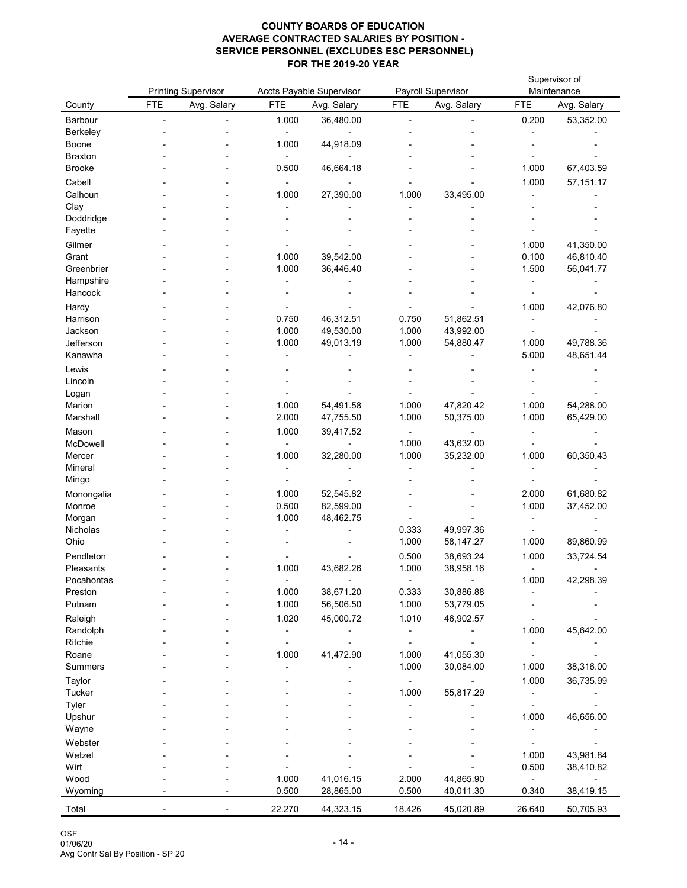|                     |            | <b>Printing Supervisor</b> |                | <b>Accts Payable Supervisor</b> |                | <b>Payroll Supervisor</b> |                | Supervisor of<br>Maintenance |
|---------------------|------------|----------------------------|----------------|---------------------------------|----------------|---------------------------|----------------|------------------------------|
| County              | <b>FTE</b> | Avg. Salary                | <b>FTE</b>     | Avg. Salary                     | <b>FTE</b>     | Avg. Salary               | <b>FTE</b>     | Avg. Salary                  |
| Barbour             |            |                            | 1.000          | 36,480.00                       |                |                           | 0.200          | 53,352.00                    |
| <b>Berkeley</b>     |            |                            |                |                                 |                |                           |                |                              |
| <b>Boone</b>        |            |                            | 1.000          | 44,918.09                       |                |                           |                |                              |
| <b>Braxton</b>      |            |                            |                |                                 |                |                           |                |                              |
| <b>Brooke</b>       |            |                            | 0.500          | 46,664.18                       |                |                           | 1.000          | 67,403.59                    |
| Cabell              |            |                            |                |                                 |                |                           | 1.000          | 57,151.17                    |
| Calhoun             |            |                            | 1.000          | 27,390.00                       | 1.000          | 33,495.00                 |                |                              |
| Clay<br>Doddridge   |            |                            |                |                                 |                |                           |                |                              |
| Fayette             |            |                            |                |                                 |                |                           |                |                              |
| Gilmer              |            |                            |                |                                 |                |                           | 1.000          | 41,350.00                    |
| Grant               |            |                            | 1.000          | 39,542.00                       |                |                           | 0.100          | 46,810.40                    |
| Greenbrier          |            |                            | 1.000          | 36,446.40                       |                |                           | 1.500          | 56,041.77                    |
| Hampshire           |            |                            |                |                                 |                |                           |                |                              |
| Hancock             |            |                            |                |                                 |                |                           |                |                              |
| Hardy               |            |                            |                |                                 |                |                           | 1.000          | 42,076.80                    |
| Harrison            |            |                            | 0.750          | 46,312.51                       | 0.750          | 51,862.51                 |                |                              |
| Jackson             |            |                            | 1.000          | 49,530.00                       | 1.000          | 43,992.00                 |                |                              |
| Jefferson           |            |                            | 1.000          | 49,013.19                       | 1.000          | 54,880.47                 | 1.000          | 49,788.36                    |
| Kanawha             |            |                            |                |                                 |                |                           | 5.000          | 48,651.44                    |
| Lewis               |            |                            |                |                                 |                |                           |                |                              |
| Lincoln             |            |                            |                |                                 |                |                           |                |                              |
| Logan               |            |                            |                |                                 |                |                           |                |                              |
| Marion<br>Marshall  |            |                            | 1.000<br>2.000 | 54,491.58<br>47,755.50          | 1.000<br>1.000 | 47,820.42<br>50,375.00    | 1.000<br>1.000 | 54,288.00<br>65,429.00       |
|                     |            |                            |                |                                 |                |                           |                |                              |
| Mason<br>McDowell   |            |                            | 1.000          | 39,417.52                       | 1.000          | 43,632.00                 |                |                              |
| Mercer              |            |                            | 1.000          | 32,280.00                       | 1.000          | 35,232.00                 | 1.000          | 60,350.43                    |
| Mineral             |            |                            |                |                                 |                |                           |                |                              |
| Mingo               |            |                            |                |                                 |                |                           |                |                              |
| Monongalia          |            |                            | 1.000          | 52,545.82                       |                |                           | 2.000          | 61,680.82                    |
| Monroe              |            |                            | 0.500          | 82,599.00                       |                |                           | 1.000          | 37,452.00                    |
| Morgan              |            |                            | 1.000          | 48,462.75                       |                |                           |                |                              |
| Nicholas            |            |                            |                |                                 | 0.333          | 49,997.36                 |                |                              |
| Ohio                |            |                            |                |                                 | 1.000          | 58,147.27                 | 1.000          | 89,860.99                    |
| Pendleton           |            |                            |                |                                 | 0.500          | 38,693.24                 | 1.000          | 33,724.54                    |
| Pleasants           |            |                            | 1.000          | 43,682.26                       | 1.000          | 38,958.16                 |                |                              |
| Pocahontas          |            |                            | 1.000          |                                 |                |                           | 1.000          | 42,298.39                    |
| Preston<br>Putnam   |            |                            | 1.000          | 38,671.20<br>56,506.50          | 0.333<br>1.000 | 30,886.88<br>53,779.05    |                |                              |
|                     |            |                            | 1.020          | 45,000.72                       | 1.010          | 46,902.57                 |                |                              |
| Raleigh<br>Randolph |            |                            |                |                                 |                |                           | 1.000          | 45,642.00                    |
| Ritchie             |            |                            |                |                                 |                |                           |                |                              |
| Roane               |            |                            | 1.000          | 41,472.90                       | 1.000          | 41,055.30                 |                |                              |
| <b>Summers</b>      |            |                            |                |                                 | 1.000          | 30,084.00                 | 1.000          | 38,316.00                    |
| Taylor              |            |                            |                |                                 |                |                           | 1.000          | 36,735.99                    |
| <b>Tucker</b>       |            |                            |                |                                 | 1.000          | 55,817.29                 |                |                              |
| Tyler               |            |                            |                |                                 |                |                           |                |                              |
| Upshur              |            |                            |                |                                 |                |                           | 1.000          | 46,656.00                    |
| Wayne               |            |                            |                |                                 |                |                           |                |                              |
| Webster             |            |                            |                |                                 |                |                           |                |                              |
| Wetzel              |            |                            |                |                                 |                |                           | 1.000          | 43,981.84                    |
| Wirt                |            |                            |                |                                 |                |                           | 0.500          | 38,410.82                    |
| Wood                |            |                            | 1.000<br>0.500 | 41,016.15                       | 2.000          | 44,865.90                 |                |                              |
| Wyoming             |            |                            |                | 28,865.00                       | 0.500          | 40,011.30                 | 0.340          | 38,419.15                    |
| Total               |            |                            | 22.270         | 44,323.15                       | 18.426         | 45,020.89                 | 26.640         | 50,705.93                    |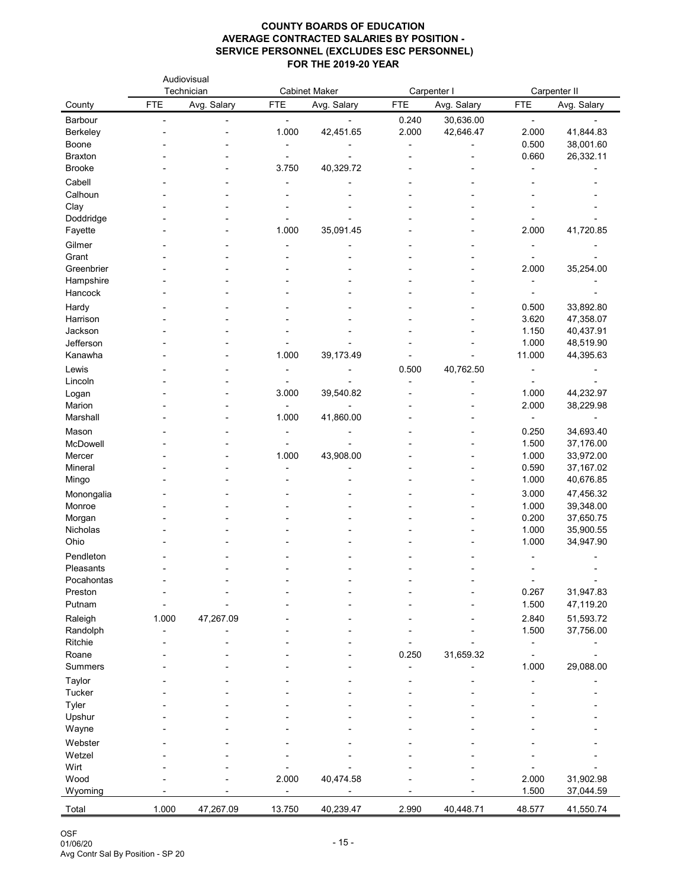|                         |            | Audiovisual<br>Technician |            | <b>Cabinet Maker</b> |            | Carpenter I |                | Carpenter II            |
|-------------------------|------------|---------------------------|------------|----------------------|------------|-------------|----------------|-------------------------|
| County                  | <b>FTE</b> | Avg. Salary               | <b>FTE</b> | Avg. Salary          | <b>FTE</b> | Avg. Salary | <b>FTE</b>     | Avg. Salary             |
| Barbour                 |            |                           |            |                      | 0.240      | 30,636.00   | $\blacksquare$ |                         |
| <b>Berkeley</b>         |            |                           | 1.000      | 42,451.65            | 2.000      | 42,646.47   | 2.000          | 41,844.83               |
| <b>Boone</b>            |            |                           |            |                      |            |             | 0.500          | 38,001.60               |
| <b>Braxton</b>          |            |                           |            |                      |            |             | 0.660          | 26,332.11               |
| <b>Brooke</b>           |            |                           | 3.750      | 40,329.72            |            |             |                |                         |
| Cabell                  |            |                           |            |                      |            |             |                |                         |
| Calhoun                 |            |                           |            |                      |            |             |                |                         |
| Clay                    |            |                           |            |                      |            |             |                |                         |
| Doddridge<br>Fayette    |            |                           | 1.000      | 35,091.45            |            |             | 2.000          | 41,720.85               |
| Gilmer                  |            |                           |            |                      |            |             |                |                         |
| Grant                   |            |                           |            |                      |            |             |                |                         |
| Greenbrier              |            |                           |            |                      |            |             | 2.000          | 35,254.00               |
| Hampshire               |            |                           |            |                      |            |             |                |                         |
| Hancock                 |            |                           |            |                      |            |             |                |                         |
| Hardy                   |            |                           |            |                      |            |             | 0.500          | 33,892.80               |
| Harrison                |            |                           |            |                      |            |             | 3.620          | 47,358.07               |
| Jackson                 |            |                           |            |                      |            |             | 1.150          | 40,437.91               |
| Jefferson               |            |                           |            |                      |            |             | 1.000          | 48,519.90               |
| Kanawha                 |            |                           | 1.000      | 39,173.49            |            |             | 11.000         | 44,395.63               |
| Lewis                   |            |                           |            |                      | 0.500      | 40,762.50   |                |                         |
| Lincoln                 |            |                           |            |                      |            |             |                |                         |
| Logan                   |            |                           | 3.000      | 39,540.82            |            |             | 1.000          | 44,232.97               |
| Marion                  |            |                           |            |                      |            |             | 2.000          | 38,229.98               |
| Marshall                |            |                           | 1.000      | 41,860.00            |            |             |                |                         |
| Mason                   |            |                           |            |                      |            |             | 0.250          | 34,693.40               |
| McDowell                |            |                           |            |                      |            |             | 1.500          | 37,176.00               |
| Mercer<br>Mineral       |            |                           | 1.000      | 43,908.00            |            |             | 1.000<br>0.590 | 33,972.00<br>37, 167.02 |
| Mingo                   |            |                           |            |                      |            |             | 1.000          | 40,676.85               |
|                         |            |                           |            |                      |            |             | 3.000          | 47,456.32               |
| Monongalia<br>Monroe    |            |                           |            |                      |            |             | 1.000          | 39,348.00               |
| Morgan                  |            |                           |            |                      |            |             | 0.200          | 37,650.75               |
| Nicholas                |            |                           |            |                      |            |             | 1.000          | 35,900.55               |
| Ohio                    |            |                           |            |                      |            |             | 1.000          | 34,947.90               |
| Pendleton               |            |                           |            |                      |            |             |                |                         |
| Pleasants               |            |                           |            |                      |            |             |                |                         |
| Pocahontas              |            |                           |            |                      |            |             |                |                         |
| Preston                 |            |                           |            |                      |            |             | 0.267          | 31,947.83               |
| Putnam                  |            |                           |            |                      |            |             | 1.500          | 47,119.20               |
| Raleigh                 | 1.000      | 47,267.09                 |            |                      |            |             | 2.840          | 51,593.72               |
| Randolph                |            |                           |            |                      |            |             | 1.500          | 37,756.00               |
| Ritchie<br>Roane        |            |                           |            |                      |            |             |                |                         |
| <b>Summers</b>          |            |                           |            |                      | 0.250      | 31,659.32   | 1.000          | 29,088.00               |
|                         |            |                           |            |                      |            |             |                |                         |
| Taylor<br><b>Tucker</b> |            |                           |            |                      |            |             |                |                         |
| Tyler                   |            |                           |            |                      |            |             |                |                         |
| Upshur                  |            |                           |            |                      |            |             |                |                         |
| Wayne                   |            |                           |            |                      |            |             |                |                         |
| Webster                 |            |                           |            |                      |            |             |                |                         |
| Wetzel                  |            |                           |            |                      |            |             |                |                         |
| Wirt                    |            |                           |            |                      |            |             |                |                         |
| Wood                    |            |                           | 2.000      | 40,474.58            |            |             | 2.000          | 31,902.98               |
| Wyoming                 |            |                           |            |                      |            |             | 1.500          | 37,044.59               |
| Total                   | 1.000      | 47,267.09                 | 13.750     | 40,239.47            | 2.990      | 40,448.71   | 48.577         | 41,550.74               |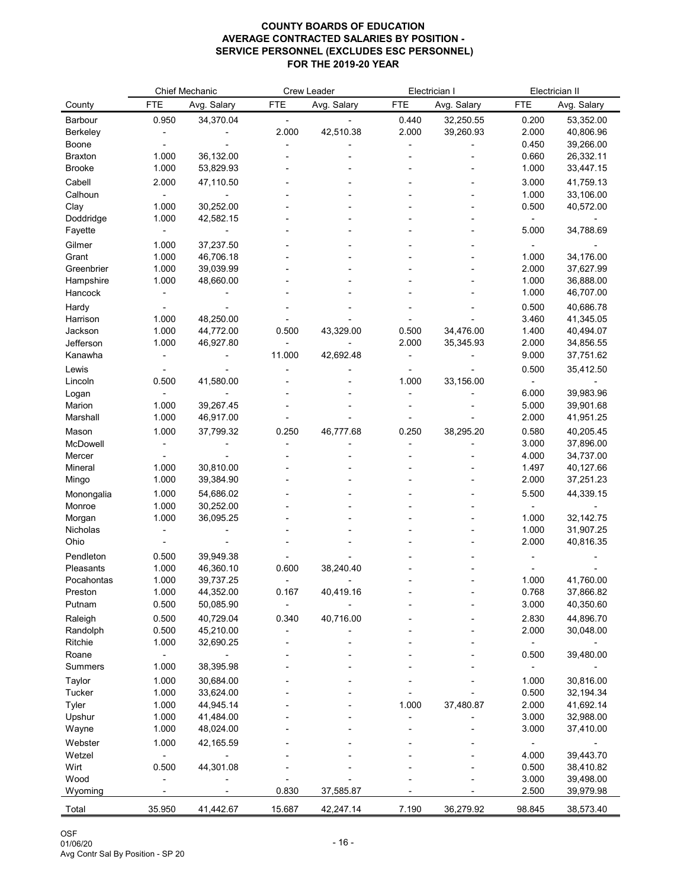|                         |                | <b>Chief Mechanic</b>  |            | <b>Crew Leader</b> |            | Electrician I |                | Electrician II         |
|-------------------------|----------------|------------------------|------------|--------------------|------------|---------------|----------------|------------------------|
| County                  | <b>FTE</b>     | Avg. Salary            | <b>FTE</b> | Avg. Salary        | <b>FTE</b> | Avg. Salary   | <b>FTE</b>     | Avg. Salary            |
| <b>Barbour</b>          | 0.950          | 34,370.04              |            |                    | 0.440      | 32,250.55     | 0.200          | 53,352.00              |
| <b>Berkeley</b>         |                |                        | 2.000      | 42,510.38          | 2.000      | 39,260.93     | 2.000          | 40,806.96              |
| <b>Boone</b>            |                |                        |            |                    |            |               | 0.450          | 39,266.00              |
| <b>Braxton</b>          | 1.000          | 36,132.00              |            |                    |            |               | 0.660          | 26,332.11              |
| <b>Brooke</b>           | 1.000          | 53,829.93              |            |                    |            |               | 1.000          | 33,447.15              |
| Cabell                  | 2.000          | 47,110.50              |            |                    |            |               | 3.000          | 41,759.13              |
| Calhoun                 |                |                        |            |                    |            |               | 1.000          | 33,106.00              |
| Clay                    | 1.000          | 30,252.00              |            |                    |            |               | 0.500          | 40,572.00              |
| Doddridge               | 1.000          | 42,582.15              |            |                    |            |               |                |                        |
| Fayette                 |                |                        |            |                    |            |               | 5.000          | 34,788.69              |
| Gilmer                  | 1.000          | 37,237.50              |            |                    |            |               |                |                        |
| Grant                   | 1.000          | 46,706.18              |            |                    |            |               | 1.000          | 34,176.00              |
| Greenbrier              | 1.000          | 39,039.99              |            |                    |            |               | 2.000          | 37,627.99              |
| Hampshire<br>Hancock    | 1.000          | 48,660.00              |            |                    |            |               | 1.000<br>1.000 | 36,888.00<br>46,707.00 |
|                         |                |                        |            |                    |            |               |                |                        |
| Hardy<br>Harrison       | 1.000          | 48,250.00              |            |                    |            |               | 0.500<br>3.460 | 40,686.78<br>41,345.05 |
| Jackson                 | 1.000          | 44,772.00              | 0.500      | 43,329.00          | 0.500      | 34,476.00     | 1.400          | 40,494.07              |
| Jefferson               | 1.000          | 46,927.80              |            |                    | 2.000      | 35,345.93     | 2.000          | 34,856.55              |
| Kanawha                 |                |                        | 11.000     | 42,692.48          |            |               | 9.000          | 37,751.62              |
| Lewis                   |                |                        |            |                    |            |               | 0.500          | 35,412.50              |
| Lincoln                 | 0.500          | 41,580.00              |            |                    | 1.000      | 33,156.00     |                |                        |
| Logan                   |                |                        |            |                    |            |               | 6.000          | 39,983.96              |
| Marion                  | 1.000          | 39,267.45              |            |                    |            |               | 5.000          | 39,901.68              |
| Marshall                | 1.000          | 46,917.00              |            |                    |            |               | 2.000          | 41,951.25              |
| Mason                   | 1.000          | 37,799.32              | 0.250      | 46,777.68          | 0.250      | 38,295.20     | 0.580          | 40,205.45              |
| McDowell                |                |                        |            |                    |            |               | 3.000          | 37,896.00              |
| Mercer                  |                |                        |            |                    |            |               | 4.000          | 34,737.00              |
| Mineral                 | 1.000          | 30,810.00              |            |                    |            |               | 1.497          | 40,127.66              |
| Mingo                   | 1.000          | 39,384.90              |            |                    |            |               | 2.000          | 37,251.23              |
| Monongalia              | 1.000          | 54,686.02              |            |                    |            |               | 5.500          | 44,339.15              |
| Monroe                  | 1.000          | 30,252.00              |            |                    |            |               |                |                        |
| Morgan                  | 1.000          | 36,095.25              |            |                    |            |               | 1.000          | 32, 142. 75            |
| <b>Nicholas</b>         |                |                        |            |                    |            |               | 1.000          | 31,907.25              |
| Ohio                    |                |                        |            |                    |            |               | 2.000          | 40,816.35              |
| Pendleton               | 0.500          | 39,949.38              |            |                    |            |               |                |                        |
| Pleasants<br>Pocahontas | 1.000<br>1.000 | 46,360.10<br>39,737.25 | 0.600      | 38,240.40          |            |               | 1.000          | 41,760.00              |
| Preston                 | 1.000          | 44,352.00              | 0.167      | 40,419.16          |            |               | 0.768          | 37,866.82              |
| Putnam                  | 0.500          | 50,085.90              |            |                    |            |               | 3.000          | 40,350.60              |
| Raleigh                 | 0.500          | 40,729.04              | 0.340      | 40,716.00          |            |               | 2.830          | 44,896.70              |
| Randolph                | 0.500          | 45,210.00              |            |                    |            |               | 2.000          | 30,048.00              |
| Ritchie                 | 1.000          | 32,690.25              |            |                    |            |               |                |                        |
| Roane                   |                |                        |            |                    |            |               | 0.500          | 39,480.00              |
| <b>Summers</b>          | 1.000          | 38,395.98              |            |                    |            |               |                |                        |
| Taylor                  | 1.000          | 30,684.00              |            |                    |            |               | 1.000          | 30,816.00              |
| <b>Tucker</b>           | 1.000          | 33,624.00              |            |                    |            |               | 0.500          | 32,194.34              |
| Tyler                   | 1.000          | 44,945.14              |            |                    | 1.000      | 37,480.87     | 2.000          | 41,692.14              |
| Upshur                  | 1.000          | 41,484.00              |            |                    |            |               | 3.000          | 32,988.00              |
| Wayne                   | 1.000          | 48,024.00              |            |                    |            |               | 3.000          | 37,410.00              |
| Webster                 | 1.000          | 42,165.59              |            |                    |            |               |                |                        |
| Wetzel                  |                |                        |            |                    |            |               | 4.000          | 39,443.70              |
| Wirt                    | 0.500          | 44,301.08              |            |                    |            |               | 0.500          | 38,410.82              |
| Wood                    |                |                        |            |                    |            |               | 3.000          | 39,498.00              |
| Wyoming                 |                |                        | 0.830      | 37,585.87          |            |               | 2.500          | 39,979.98              |
| Total                   | 35.950         | 41,442.67              | 15.687     | 42,247.14          | 7.190      | 36,279.92     | 98.845         | 38,573.40              |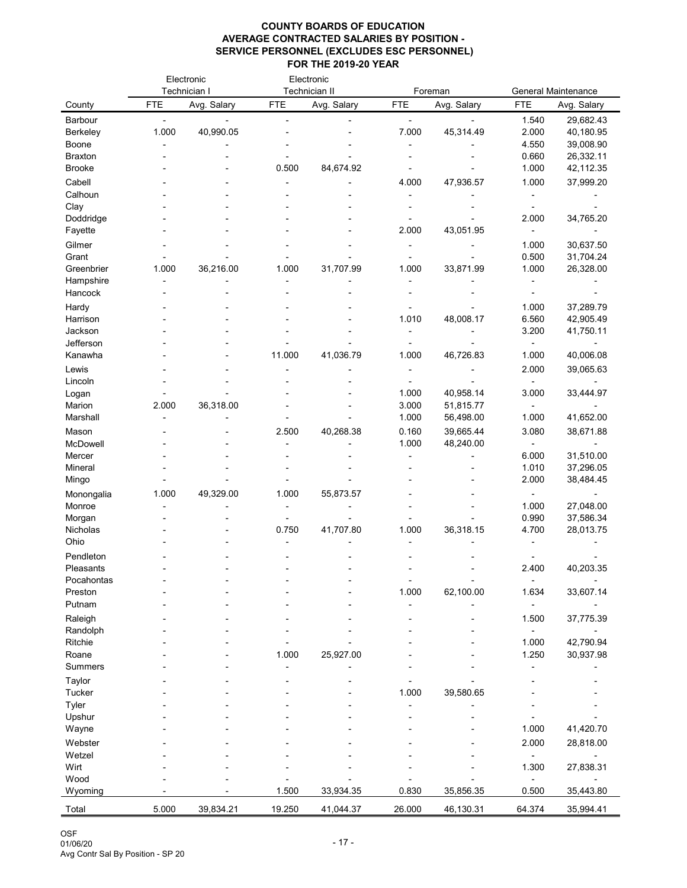| Technician I<br><b>Technician II</b><br><b>General Maintenance</b><br>Foreman<br>Avg. Salary<br>Avg. Salary<br><b>FTE</b><br>Avg. Salary<br><b>FTE</b><br><b>FTE</b><br><b>FTE</b><br>Avg. Salary<br>County<br>29,682.43<br>Barbour<br>1.540<br>1.000<br>40,990.05<br>7.000<br>45,314.49<br>2.000<br><b>Berkeley</b><br>40,180.95<br>4.550<br>39,008.90<br><b>Boone</b><br>0.660<br><b>Braxton</b><br>26,332.11<br>0.500<br>84,674.92<br>1.000<br>42,112.35<br><b>Brooke</b><br>Cabell<br>47,936.57<br>1.000<br>4.000<br>37,999.20<br>Calhoun<br>Clay<br>Doddridge<br>2.000<br>34,765.20<br>2.000<br>43,051.95<br>Fayette<br>Gilmer<br>1.000<br>30,637.50<br>31,704.24<br>0.500<br>Grant<br>36,216.00<br>1.000<br>Greenbrier<br>1.000<br>1.000<br>31,707.99<br>1.000<br>33,871.99<br>26,328.00<br>Hampshire<br>Hancock<br>Hardy<br>1.000<br>37,289.79<br>6.560<br>Harrison<br>1.010<br>48,008.17<br>42,905.49<br>3.200<br>41,750.11<br>Jackson<br>Jefferson<br>11.000<br>41,036.79<br>1.000<br>46,726.83<br>1.000<br>40,006.08<br>Kanawha<br>2.000<br>Lewis<br>39,065.63<br>Lincoln<br>1.000<br>40,958.14<br>3.000<br>33,444.97<br>Logan<br>Marion<br>2.000<br>36,318.00<br>3.000<br>51,815.77<br>1.000<br>Marshall<br>56,498.00<br>1.000<br>41,652.00<br>40,268.38<br>0.160<br>38,671.88<br>2.500<br>39,665.44<br>3.080<br>Mason<br>1.000<br>48,240.00<br>McDowell<br>6.000<br>31,510.00<br>Mercer<br>1.010<br>37,296.05<br>Mineral<br>2.000<br>38,484.45<br>Mingo<br>49,329.00<br>1.000<br>1.000<br>55,873.57<br>Monongalia<br>1.000<br>27,048.00<br>Monroe<br>37,586.34<br>0.990<br>Morgan<br>41,707.80<br>1.000<br>36,318.15<br>4.700<br>28,013.75<br>Nicholas<br>0.750<br>Ohio<br>Pendleton<br>40,203.35<br>Pleasants<br>2.400<br>Pocahontas<br>62,100.00<br>1.000<br>1.634<br>33,607.14<br>Preston<br>Putnam<br>37,775.39<br>Raleigh<br>1.500<br>Randolph<br>42,790.94<br><b>Ritchie</b><br>1.000<br>25,927.00<br>1.250<br>30,937.98<br>1.000<br>Roane<br><b>Summers</b><br><b>Taylor</b><br><b>Tucker</b><br>1.000<br>39,580.65<br>Tyler<br>Upshur<br>1.000<br>41,420.70<br>Wayne<br>Webster<br>2.000<br>28,818.00<br>Wetzel<br>1.300<br>Wirt<br>27,838.31<br>Wood<br>1.500<br>35,856.35<br>35,443.80<br>33,934.35<br>0.830<br>0.500<br>Wyoming<br>5.000<br>39,834.21<br>19.250<br>41,044.37<br>26.000<br>46,130.31<br>64.374<br>35,994.41<br>Total |  | Electronic | Electronic |  |  |
|------------------------------------------------------------------------------------------------------------------------------------------------------------------------------------------------------------------------------------------------------------------------------------------------------------------------------------------------------------------------------------------------------------------------------------------------------------------------------------------------------------------------------------------------------------------------------------------------------------------------------------------------------------------------------------------------------------------------------------------------------------------------------------------------------------------------------------------------------------------------------------------------------------------------------------------------------------------------------------------------------------------------------------------------------------------------------------------------------------------------------------------------------------------------------------------------------------------------------------------------------------------------------------------------------------------------------------------------------------------------------------------------------------------------------------------------------------------------------------------------------------------------------------------------------------------------------------------------------------------------------------------------------------------------------------------------------------------------------------------------------------------------------------------------------------------------------------------------------------------------------------------------------------------------------------------------------------------------------------------------------------------------------------------------------------------------------------------------------------------------------------------------------------------------------------------------------------------------------------------------------------------------------------------------------------------------------------------------------------|--|------------|------------|--|--|
|                                                                                                                                                                                                                                                                                                                                                                                                                                                                                                                                                                                                                                                                                                                                                                                                                                                                                                                                                                                                                                                                                                                                                                                                                                                                                                                                                                                                                                                                                                                                                                                                                                                                                                                                                                                                                                                                                                                                                                                                                                                                                                                                                                                                                                                                                                                                                            |  |            |            |  |  |
|                                                                                                                                                                                                                                                                                                                                                                                                                                                                                                                                                                                                                                                                                                                                                                                                                                                                                                                                                                                                                                                                                                                                                                                                                                                                                                                                                                                                                                                                                                                                                                                                                                                                                                                                                                                                                                                                                                                                                                                                                                                                                                                                                                                                                                                                                                                                                            |  |            |            |  |  |
|                                                                                                                                                                                                                                                                                                                                                                                                                                                                                                                                                                                                                                                                                                                                                                                                                                                                                                                                                                                                                                                                                                                                                                                                                                                                                                                                                                                                                                                                                                                                                                                                                                                                                                                                                                                                                                                                                                                                                                                                                                                                                                                                                                                                                                                                                                                                                            |  |            |            |  |  |
|                                                                                                                                                                                                                                                                                                                                                                                                                                                                                                                                                                                                                                                                                                                                                                                                                                                                                                                                                                                                                                                                                                                                                                                                                                                                                                                                                                                                                                                                                                                                                                                                                                                                                                                                                                                                                                                                                                                                                                                                                                                                                                                                                                                                                                                                                                                                                            |  |            |            |  |  |
|                                                                                                                                                                                                                                                                                                                                                                                                                                                                                                                                                                                                                                                                                                                                                                                                                                                                                                                                                                                                                                                                                                                                                                                                                                                                                                                                                                                                                                                                                                                                                                                                                                                                                                                                                                                                                                                                                                                                                                                                                                                                                                                                                                                                                                                                                                                                                            |  |            |            |  |  |
|                                                                                                                                                                                                                                                                                                                                                                                                                                                                                                                                                                                                                                                                                                                                                                                                                                                                                                                                                                                                                                                                                                                                                                                                                                                                                                                                                                                                                                                                                                                                                                                                                                                                                                                                                                                                                                                                                                                                                                                                                                                                                                                                                                                                                                                                                                                                                            |  |            |            |  |  |
|                                                                                                                                                                                                                                                                                                                                                                                                                                                                                                                                                                                                                                                                                                                                                                                                                                                                                                                                                                                                                                                                                                                                                                                                                                                                                                                                                                                                                                                                                                                                                                                                                                                                                                                                                                                                                                                                                                                                                                                                                                                                                                                                                                                                                                                                                                                                                            |  |            |            |  |  |
|                                                                                                                                                                                                                                                                                                                                                                                                                                                                                                                                                                                                                                                                                                                                                                                                                                                                                                                                                                                                                                                                                                                                                                                                                                                                                                                                                                                                                                                                                                                                                                                                                                                                                                                                                                                                                                                                                                                                                                                                                                                                                                                                                                                                                                                                                                                                                            |  |            |            |  |  |
|                                                                                                                                                                                                                                                                                                                                                                                                                                                                                                                                                                                                                                                                                                                                                                                                                                                                                                                                                                                                                                                                                                                                                                                                                                                                                                                                                                                                                                                                                                                                                                                                                                                                                                                                                                                                                                                                                                                                                                                                                                                                                                                                                                                                                                                                                                                                                            |  |            |            |  |  |
|                                                                                                                                                                                                                                                                                                                                                                                                                                                                                                                                                                                                                                                                                                                                                                                                                                                                                                                                                                                                                                                                                                                                                                                                                                                                                                                                                                                                                                                                                                                                                                                                                                                                                                                                                                                                                                                                                                                                                                                                                                                                                                                                                                                                                                                                                                                                                            |  |            |            |  |  |
|                                                                                                                                                                                                                                                                                                                                                                                                                                                                                                                                                                                                                                                                                                                                                                                                                                                                                                                                                                                                                                                                                                                                                                                                                                                                                                                                                                                                                                                                                                                                                                                                                                                                                                                                                                                                                                                                                                                                                                                                                                                                                                                                                                                                                                                                                                                                                            |  |            |            |  |  |
|                                                                                                                                                                                                                                                                                                                                                                                                                                                                                                                                                                                                                                                                                                                                                                                                                                                                                                                                                                                                                                                                                                                                                                                                                                                                                                                                                                                                                                                                                                                                                                                                                                                                                                                                                                                                                                                                                                                                                                                                                                                                                                                                                                                                                                                                                                                                                            |  |            |            |  |  |
|                                                                                                                                                                                                                                                                                                                                                                                                                                                                                                                                                                                                                                                                                                                                                                                                                                                                                                                                                                                                                                                                                                                                                                                                                                                                                                                                                                                                                                                                                                                                                                                                                                                                                                                                                                                                                                                                                                                                                                                                                                                                                                                                                                                                                                                                                                                                                            |  |            |            |  |  |
|                                                                                                                                                                                                                                                                                                                                                                                                                                                                                                                                                                                                                                                                                                                                                                                                                                                                                                                                                                                                                                                                                                                                                                                                                                                                                                                                                                                                                                                                                                                                                                                                                                                                                                                                                                                                                                                                                                                                                                                                                                                                                                                                                                                                                                                                                                                                                            |  |            |            |  |  |
|                                                                                                                                                                                                                                                                                                                                                                                                                                                                                                                                                                                                                                                                                                                                                                                                                                                                                                                                                                                                                                                                                                                                                                                                                                                                                                                                                                                                                                                                                                                                                                                                                                                                                                                                                                                                                                                                                                                                                                                                                                                                                                                                                                                                                                                                                                                                                            |  |            |            |  |  |
|                                                                                                                                                                                                                                                                                                                                                                                                                                                                                                                                                                                                                                                                                                                                                                                                                                                                                                                                                                                                                                                                                                                                                                                                                                                                                                                                                                                                                                                                                                                                                                                                                                                                                                                                                                                                                                                                                                                                                                                                                                                                                                                                                                                                                                                                                                                                                            |  |            |            |  |  |
|                                                                                                                                                                                                                                                                                                                                                                                                                                                                                                                                                                                                                                                                                                                                                                                                                                                                                                                                                                                                                                                                                                                                                                                                                                                                                                                                                                                                                                                                                                                                                                                                                                                                                                                                                                                                                                                                                                                                                                                                                                                                                                                                                                                                                                                                                                                                                            |  |            |            |  |  |
|                                                                                                                                                                                                                                                                                                                                                                                                                                                                                                                                                                                                                                                                                                                                                                                                                                                                                                                                                                                                                                                                                                                                                                                                                                                                                                                                                                                                                                                                                                                                                                                                                                                                                                                                                                                                                                                                                                                                                                                                                                                                                                                                                                                                                                                                                                                                                            |  |            |            |  |  |
|                                                                                                                                                                                                                                                                                                                                                                                                                                                                                                                                                                                                                                                                                                                                                                                                                                                                                                                                                                                                                                                                                                                                                                                                                                                                                                                                                                                                                                                                                                                                                                                                                                                                                                                                                                                                                                                                                                                                                                                                                                                                                                                                                                                                                                                                                                                                                            |  |            |            |  |  |
|                                                                                                                                                                                                                                                                                                                                                                                                                                                                                                                                                                                                                                                                                                                                                                                                                                                                                                                                                                                                                                                                                                                                                                                                                                                                                                                                                                                                                                                                                                                                                                                                                                                                                                                                                                                                                                                                                                                                                                                                                                                                                                                                                                                                                                                                                                                                                            |  |            |            |  |  |
|                                                                                                                                                                                                                                                                                                                                                                                                                                                                                                                                                                                                                                                                                                                                                                                                                                                                                                                                                                                                                                                                                                                                                                                                                                                                                                                                                                                                                                                                                                                                                                                                                                                                                                                                                                                                                                                                                                                                                                                                                                                                                                                                                                                                                                                                                                                                                            |  |            |            |  |  |
|                                                                                                                                                                                                                                                                                                                                                                                                                                                                                                                                                                                                                                                                                                                                                                                                                                                                                                                                                                                                                                                                                                                                                                                                                                                                                                                                                                                                                                                                                                                                                                                                                                                                                                                                                                                                                                                                                                                                                                                                                                                                                                                                                                                                                                                                                                                                                            |  |            |            |  |  |
|                                                                                                                                                                                                                                                                                                                                                                                                                                                                                                                                                                                                                                                                                                                                                                                                                                                                                                                                                                                                                                                                                                                                                                                                                                                                                                                                                                                                                                                                                                                                                                                                                                                                                                                                                                                                                                                                                                                                                                                                                                                                                                                                                                                                                                                                                                                                                            |  |            |            |  |  |
|                                                                                                                                                                                                                                                                                                                                                                                                                                                                                                                                                                                                                                                                                                                                                                                                                                                                                                                                                                                                                                                                                                                                                                                                                                                                                                                                                                                                                                                                                                                                                                                                                                                                                                                                                                                                                                                                                                                                                                                                                                                                                                                                                                                                                                                                                                                                                            |  |            |            |  |  |
|                                                                                                                                                                                                                                                                                                                                                                                                                                                                                                                                                                                                                                                                                                                                                                                                                                                                                                                                                                                                                                                                                                                                                                                                                                                                                                                                                                                                                                                                                                                                                                                                                                                                                                                                                                                                                                                                                                                                                                                                                                                                                                                                                                                                                                                                                                                                                            |  |            |            |  |  |
|                                                                                                                                                                                                                                                                                                                                                                                                                                                                                                                                                                                                                                                                                                                                                                                                                                                                                                                                                                                                                                                                                                                                                                                                                                                                                                                                                                                                                                                                                                                                                                                                                                                                                                                                                                                                                                                                                                                                                                                                                                                                                                                                                                                                                                                                                                                                                            |  |            |            |  |  |
|                                                                                                                                                                                                                                                                                                                                                                                                                                                                                                                                                                                                                                                                                                                                                                                                                                                                                                                                                                                                                                                                                                                                                                                                                                                                                                                                                                                                                                                                                                                                                                                                                                                                                                                                                                                                                                                                                                                                                                                                                                                                                                                                                                                                                                                                                                                                                            |  |            |            |  |  |
|                                                                                                                                                                                                                                                                                                                                                                                                                                                                                                                                                                                                                                                                                                                                                                                                                                                                                                                                                                                                                                                                                                                                                                                                                                                                                                                                                                                                                                                                                                                                                                                                                                                                                                                                                                                                                                                                                                                                                                                                                                                                                                                                                                                                                                                                                                                                                            |  |            |            |  |  |
|                                                                                                                                                                                                                                                                                                                                                                                                                                                                                                                                                                                                                                                                                                                                                                                                                                                                                                                                                                                                                                                                                                                                                                                                                                                                                                                                                                                                                                                                                                                                                                                                                                                                                                                                                                                                                                                                                                                                                                                                                                                                                                                                                                                                                                                                                                                                                            |  |            |            |  |  |
|                                                                                                                                                                                                                                                                                                                                                                                                                                                                                                                                                                                                                                                                                                                                                                                                                                                                                                                                                                                                                                                                                                                                                                                                                                                                                                                                                                                                                                                                                                                                                                                                                                                                                                                                                                                                                                                                                                                                                                                                                                                                                                                                                                                                                                                                                                                                                            |  |            |            |  |  |
|                                                                                                                                                                                                                                                                                                                                                                                                                                                                                                                                                                                                                                                                                                                                                                                                                                                                                                                                                                                                                                                                                                                                                                                                                                                                                                                                                                                                                                                                                                                                                                                                                                                                                                                                                                                                                                                                                                                                                                                                                                                                                                                                                                                                                                                                                                                                                            |  |            |            |  |  |
|                                                                                                                                                                                                                                                                                                                                                                                                                                                                                                                                                                                                                                                                                                                                                                                                                                                                                                                                                                                                                                                                                                                                                                                                                                                                                                                                                                                                                                                                                                                                                                                                                                                                                                                                                                                                                                                                                                                                                                                                                                                                                                                                                                                                                                                                                                                                                            |  |            |            |  |  |
|                                                                                                                                                                                                                                                                                                                                                                                                                                                                                                                                                                                                                                                                                                                                                                                                                                                                                                                                                                                                                                                                                                                                                                                                                                                                                                                                                                                                                                                                                                                                                                                                                                                                                                                                                                                                                                                                                                                                                                                                                                                                                                                                                                                                                                                                                                                                                            |  |            |            |  |  |
|                                                                                                                                                                                                                                                                                                                                                                                                                                                                                                                                                                                                                                                                                                                                                                                                                                                                                                                                                                                                                                                                                                                                                                                                                                                                                                                                                                                                                                                                                                                                                                                                                                                                                                                                                                                                                                                                                                                                                                                                                                                                                                                                                                                                                                                                                                                                                            |  |            |            |  |  |
|                                                                                                                                                                                                                                                                                                                                                                                                                                                                                                                                                                                                                                                                                                                                                                                                                                                                                                                                                                                                                                                                                                                                                                                                                                                                                                                                                                                                                                                                                                                                                                                                                                                                                                                                                                                                                                                                                                                                                                                                                                                                                                                                                                                                                                                                                                                                                            |  |            |            |  |  |
|                                                                                                                                                                                                                                                                                                                                                                                                                                                                                                                                                                                                                                                                                                                                                                                                                                                                                                                                                                                                                                                                                                                                                                                                                                                                                                                                                                                                                                                                                                                                                                                                                                                                                                                                                                                                                                                                                                                                                                                                                                                                                                                                                                                                                                                                                                                                                            |  |            |            |  |  |
|                                                                                                                                                                                                                                                                                                                                                                                                                                                                                                                                                                                                                                                                                                                                                                                                                                                                                                                                                                                                                                                                                                                                                                                                                                                                                                                                                                                                                                                                                                                                                                                                                                                                                                                                                                                                                                                                                                                                                                                                                                                                                                                                                                                                                                                                                                                                                            |  |            |            |  |  |
|                                                                                                                                                                                                                                                                                                                                                                                                                                                                                                                                                                                                                                                                                                                                                                                                                                                                                                                                                                                                                                                                                                                                                                                                                                                                                                                                                                                                                                                                                                                                                                                                                                                                                                                                                                                                                                                                                                                                                                                                                                                                                                                                                                                                                                                                                                                                                            |  |            |            |  |  |
|                                                                                                                                                                                                                                                                                                                                                                                                                                                                                                                                                                                                                                                                                                                                                                                                                                                                                                                                                                                                                                                                                                                                                                                                                                                                                                                                                                                                                                                                                                                                                                                                                                                                                                                                                                                                                                                                                                                                                                                                                                                                                                                                                                                                                                                                                                                                                            |  |            |            |  |  |
|                                                                                                                                                                                                                                                                                                                                                                                                                                                                                                                                                                                                                                                                                                                                                                                                                                                                                                                                                                                                                                                                                                                                                                                                                                                                                                                                                                                                                                                                                                                                                                                                                                                                                                                                                                                                                                                                                                                                                                                                                                                                                                                                                                                                                                                                                                                                                            |  |            |            |  |  |
|                                                                                                                                                                                                                                                                                                                                                                                                                                                                                                                                                                                                                                                                                                                                                                                                                                                                                                                                                                                                                                                                                                                                                                                                                                                                                                                                                                                                                                                                                                                                                                                                                                                                                                                                                                                                                                                                                                                                                                                                                                                                                                                                                                                                                                                                                                                                                            |  |            |            |  |  |
|                                                                                                                                                                                                                                                                                                                                                                                                                                                                                                                                                                                                                                                                                                                                                                                                                                                                                                                                                                                                                                                                                                                                                                                                                                                                                                                                                                                                                                                                                                                                                                                                                                                                                                                                                                                                                                                                                                                                                                                                                                                                                                                                                                                                                                                                                                                                                            |  |            |            |  |  |
|                                                                                                                                                                                                                                                                                                                                                                                                                                                                                                                                                                                                                                                                                                                                                                                                                                                                                                                                                                                                                                                                                                                                                                                                                                                                                                                                                                                                                                                                                                                                                                                                                                                                                                                                                                                                                                                                                                                                                                                                                                                                                                                                                                                                                                                                                                                                                            |  |            |            |  |  |
|                                                                                                                                                                                                                                                                                                                                                                                                                                                                                                                                                                                                                                                                                                                                                                                                                                                                                                                                                                                                                                                                                                                                                                                                                                                                                                                                                                                                                                                                                                                                                                                                                                                                                                                                                                                                                                                                                                                                                                                                                                                                                                                                                                                                                                                                                                                                                            |  |            |            |  |  |
|                                                                                                                                                                                                                                                                                                                                                                                                                                                                                                                                                                                                                                                                                                                                                                                                                                                                                                                                                                                                                                                                                                                                                                                                                                                                                                                                                                                                                                                                                                                                                                                                                                                                                                                                                                                                                                                                                                                                                                                                                                                                                                                                                                                                                                                                                                                                                            |  |            |            |  |  |
|                                                                                                                                                                                                                                                                                                                                                                                                                                                                                                                                                                                                                                                                                                                                                                                                                                                                                                                                                                                                                                                                                                                                                                                                                                                                                                                                                                                                                                                                                                                                                                                                                                                                                                                                                                                                                                                                                                                                                                                                                                                                                                                                                                                                                                                                                                                                                            |  |            |            |  |  |
|                                                                                                                                                                                                                                                                                                                                                                                                                                                                                                                                                                                                                                                                                                                                                                                                                                                                                                                                                                                                                                                                                                                                                                                                                                                                                                                                                                                                                                                                                                                                                                                                                                                                                                                                                                                                                                                                                                                                                                                                                                                                                                                                                                                                                                                                                                                                                            |  |            |            |  |  |
|                                                                                                                                                                                                                                                                                                                                                                                                                                                                                                                                                                                                                                                                                                                                                                                                                                                                                                                                                                                                                                                                                                                                                                                                                                                                                                                                                                                                                                                                                                                                                                                                                                                                                                                                                                                                                                                                                                                                                                                                                                                                                                                                                                                                                                                                                                                                                            |  |            |            |  |  |
|                                                                                                                                                                                                                                                                                                                                                                                                                                                                                                                                                                                                                                                                                                                                                                                                                                                                                                                                                                                                                                                                                                                                                                                                                                                                                                                                                                                                                                                                                                                                                                                                                                                                                                                                                                                                                                                                                                                                                                                                                                                                                                                                                                                                                                                                                                                                                            |  |            |            |  |  |
|                                                                                                                                                                                                                                                                                                                                                                                                                                                                                                                                                                                                                                                                                                                                                                                                                                                                                                                                                                                                                                                                                                                                                                                                                                                                                                                                                                                                                                                                                                                                                                                                                                                                                                                                                                                                                                                                                                                                                                                                                                                                                                                                                                                                                                                                                                                                                            |  |            |            |  |  |
|                                                                                                                                                                                                                                                                                                                                                                                                                                                                                                                                                                                                                                                                                                                                                                                                                                                                                                                                                                                                                                                                                                                                                                                                                                                                                                                                                                                                                                                                                                                                                                                                                                                                                                                                                                                                                                                                                                                                                                                                                                                                                                                                                                                                                                                                                                                                                            |  |            |            |  |  |
|                                                                                                                                                                                                                                                                                                                                                                                                                                                                                                                                                                                                                                                                                                                                                                                                                                                                                                                                                                                                                                                                                                                                                                                                                                                                                                                                                                                                                                                                                                                                                                                                                                                                                                                                                                                                                                                                                                                                                                                                                                                                                                                                                                                                                                                                                                                                                            |  |            |            |  |  |
|                                                                                                                                                                                                                                                                                                                                                                                                                                                                                                                                                                                                                                                                                                                                                                                                                                                                                                                                                                                                                                                                                                                                                                                                                                                                                                                                                                                                                                                                                                                                                                                                                                                                                                                                                                                                                                                                                                                                                                                                                                                                                                                                                                                                                                                                                                                                                            |  |            |            |  |  |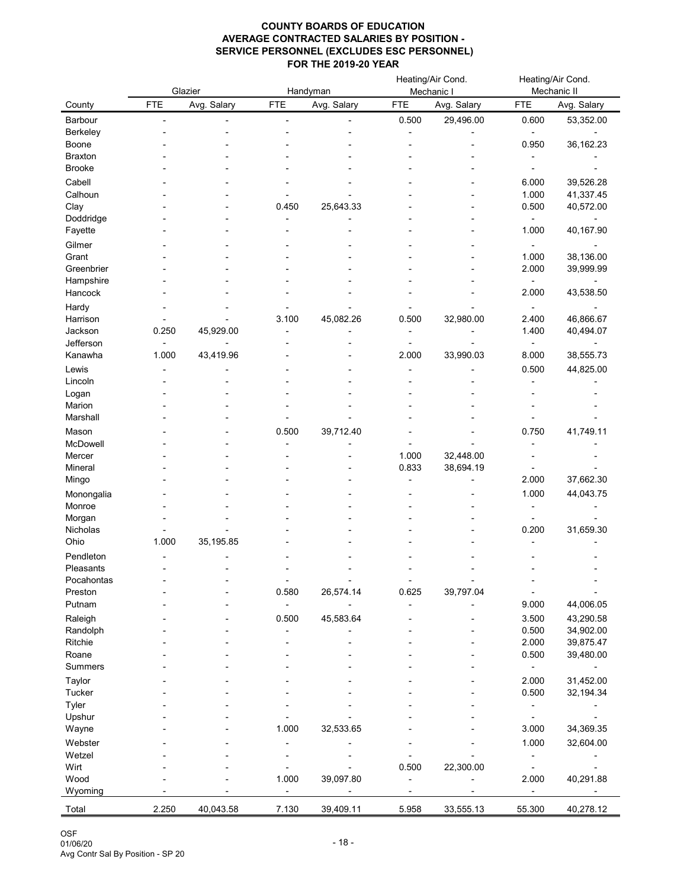|                         |            | Glazier     |            | Handyman    |            | Heating/Air Cond.<br>Mechanic |                | Heating/Air Cond.<br>Mechanic II |
|-------------------------|------------|-------------|------------|-------------|------------|-------------------------------|----------------|----------------------------------|
| County                  | <b>FTE</b> | Avg. Salary | <b>FTE</b> | Avg. Salary | <b>FTE</b> | Avg. Salary                   | <b>FTE</b>     | Avg. Salary                      |
| Barbour                 |            |             |            |             | 0.500      | 29,496.00                     | 0.600          | 53,352.00                        |
| Berkeley                |            |             |            |             |            |                               |                |                                  |
| Boone                   |            |             |            |             |            |                               | 0.950          | 36,162.23                        |
| <b>Braxton</b>          |            |             |            |             |            |                               |                |                                  |
| <b>Brooke</b>           |            |             |            |             |            |                               |                |                                  |
| Cabell                  |            |             |            |             |            |                               | 6.000          | 39,526.28                        |
| Calhoun<br>Clay         |            |             | 0.450      | 25,643.33   |            |                               | 1.000<br>0.500 | 41,337.45<br>40,572.00           |
| Doddridge               |            |             |            |             |            |                               |                |                                  |
| Fayette                 |            |             |            |             |            |                               | 1.000          | 40,167.90                        |
| Gilmer                  |            |             |            |             |            |                               |                |                                  |
| Grant                   |            |             |            |             |            |                               | 1.000          | 38,136.00                        |
| Greenbrier              |            |             |            |             |            |                               | 2.000          | 39,999.99                        |
| Hampshire               |            |             |            |             |            |                               |                |                                  |
| Hancock                 |            |             |            |             |            |                               | 2.000          | 43,538.50                        |
| Hardy                   |            |             |            |             |            |                               |                |                                  |
| Harrison                |            |             | 3.100      | 45,082.26   | 0.500      | 32,980.00                     | 2.400          | 46,866.67                        |
| Jackson                 | 0.250      | 45,929.00   |            |             |            |                               | 1.400          | 40,494.07                        |
| Jefferson<br>Kanawha    | 1.000      | 43,419.96   |            |             | 2.000      | 33,990.03                     | 8.000          | 38,555.73                        |
|                         |            |             |            |             |            |                               |                |                                  |
| Lewis<br>Lincoln        |            |             |            |             |            |                               | 0.500          | 44,825.00                        |
| Logan                   |            |             |            |             |            |                               |                |                                  |
| Marion                  |            |             |            |             |            |                               |                |                                  |
| Marshall                |            |             |            |             |            |                               |                |                                  |
| Mason                   |            |             | 0.500      | 39,712.40   |            |                               | 0.750          | 41,749.11                        |
| McDowell                |            |             |            |             |            |                               |                |                                  |
| Mercer                  |            |             |            |             | 1.000      | 32,448.00                     |                |                                  |
| Mineral                 |            |             |            |             | 0.833      | 38,694.19                     |                |                                  |
| Mingo                   |            |             |            |             |            |                               | 2.000          | 37,662.30                        |
| Monongalia              |            |             |            |             |            |                               | 1.000          | 44,043.75                        |
| Monroe                  |            |             |            |             |            |                               |                |                                  |
| Morgan<br>Nicholas      |            |             |            |             |            |                               | 0.200          | 31,659.30                        |
| Ohio                    | 1.000      | 35,195.85   |            |             |            |                               |                |                                  |
| Pendleton               |            |             |            |             |            |                               |                |                                  |
| Pleasants               |            |             |            |             |            |                               |                |                                  |
| Pocahontas              |            |             |            |             |            |                               |                |                                  |
| Preston                 |            |             | 0.580      | 26,574.14   | 0.625      | 39,797.04                     |                |                                  |
| Putnam                  |            |             |            |             |            |                               | 9.000          | 44,006.05                        |
| Raleigh                 |            |             | 0.500      | 45,583.64   |            |                               | 3.500          | 43,290.58                        |
| Randolph                |            |             |            |             |            |                               | 0.500          | 34,902.00                        |
| Ritchie                 |            |             |            |             |            |                               | 2.000          | 39,875.47                        |
| Roane                   |            |             |            |             |            |                               | 0.500          | 39,480.00                        |
| <b>Summers</b>          |            |             |            |             |            |                               |                |                                  |
| Taylor<br><b>Tucker</b> |            |             |            |             |            |                               | 2.000<br>0.500 | 31,452.00<br>32,194.34           |
| <b>Tyler</b>            |            |             |            |             |            |                               |                |                                  |
| Upshur                  |            |             |            |             |            |                               |                |                                  |
| Wayne                   |            |             | 1.000      | 32,533.65   |            |                               | 3.000          | 34,369.35                        |
| Webster                 |            |             |            |             |            |                               | 1.000          | 32,604.00                        |
| Wetzel                  |            |             |            |             |            |                               |                |                                  |
| Wirt                    |            |             |            |             | 0.500      | 22,300.00                     |                |                                  |
| Wood                    |            |             | 1.000      | 39,097.80   |            |                               | 2.000          | 40,291.88                        |
| Wyoming                 |            |             |            |             |            |                               |                |                                  |
| Total                   | 2.250      | 40,043.58   | 7.130      | 39,409.11   | 5.958      | 33,555.13                     | 55.300         | 40,278.12                        |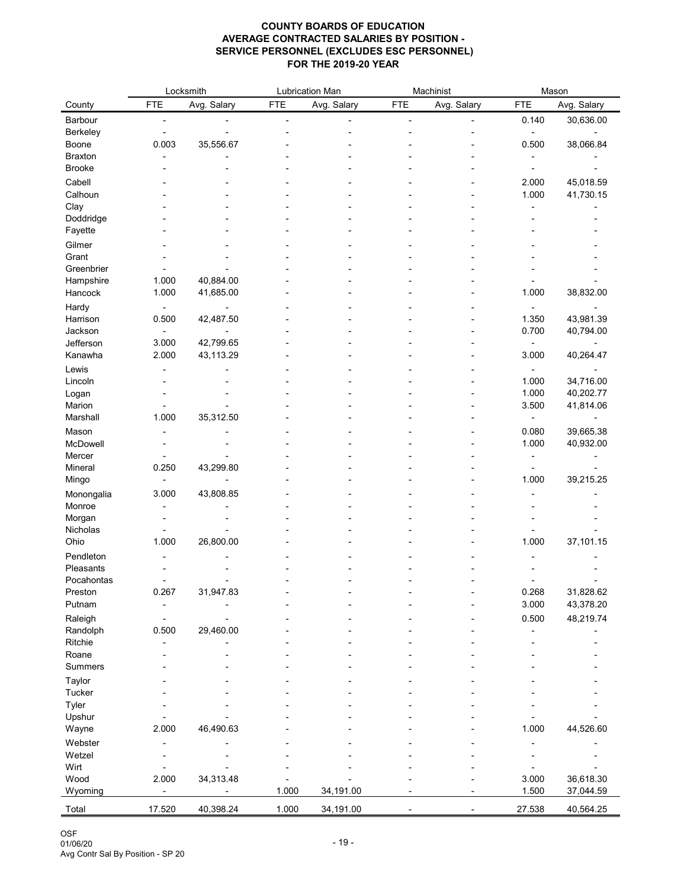|                       |                | Locksmith   |            | <b>Lubrication Man</b> |            | Machinist   |            | Mason       |
|-----------------------|----------------|-------------|------------|------------------------|------------|-------------|------------|-------------|
| County                | <b>FTE</b>     | Avg. Salary | <b>FTE</b> | Avg. Salary            | <b>FTE</b> | Avg. Salary | <b>FTE</b> | Avg. Salary |
| Barbour               |                |             |            |                        |            |             | 0.140      | 30,636.00   |
| <b>Berkeley</b>       |                |             |            |                        |            |             |            |             |
| Boone                 | 0.003          | 35,556.67   |            |                        |            |             | 0.500      | 38,066.84   |
| <b>Braxton</b>        |                |             |            |                        |            |             |            |             |
| <b>Brooke</b>         |                |             |            |                        |            |             |            |             |
| Cabell                |                |             |            |                        |            |             | 2.000      | 45,018.59   |
| Calhoun               |                |             |            |                        |            |             | 1.000      | 41,730.15   |
| Clay                  |                |             |            |                        |            |             |            |             |
| Doddridge             |                |             |            |                        |            |             |            |             |
| Fayette               |                |             |            |                        |            |             |            |             |
| Gilmer                |                |             |            |                        |            |             |            |             |
| Grant                 |                |             |            |                        |            |             |            |             |
| Greenbrier            | 1.000          | 40,884.00   |            |                        |            |             |            |             |
| Hampshire<br>Hancock  | 1.000          | 41,685.00   |            |                        |            |             | 1.000      | 38,832.00   |
|                       |                |             |            |                        |            |             |            |             |
| Hardy<br>Harrison     | 0.500          | 42,487.50   |            |                        |            |             | 1.350      | 43,981.39   |
| Jackson               |                |             |            |                        |            |             | 0.700      | 40,794.00   |
| Jefferson             | 3.000          | 42,799.65   |            |                        |            |             |            |             |
| Kanawha               | 2.000          | 43,113.29   |            |                        |            |             | 3.000      | 40,264.47   |
| Lewis                 |                |             |            |                        |            |             |            |             |
| Lincoln               |                |             |            |                        |            |             | 1.000      | 34,716.00   |
| Logan                 |                |             |            |                        |            |             | 1.000      | 40,202.77   |
| Marion                |                |             |            |                        |            |             | 3.500      | 41,814.06   |
| Marshall              | 1.000          | 35,312.50   |            |                        |            |             |            |             |
| Mason                 |                |             |            |                        |            |             | 0.080      | 39,665.38   |
| McDowell              |                |             |            |                        |            |             | 1.000      | 40,932.00   |
| Mercer                | $\blacksquare$ |             |            |                        |            |             |            |             |
| Mineral               | 0.250          | 43,299.80   |            |                        |            |             |            |             |
| Mingo                 |                |             |            |                        |            |             | 1.000      | 39,215.25   |
| Monongalia            | 3.000          | 43,808.85   |            |                        |            |             |            |             |
| Monroe                |                |             |            |                        |            |             |            |             |
| Morgan                |                |             |            |                        |            |             |            |             |
| Nicholas              |                |             |            |                        |            |             |            |             |
| Ohio                  | 1.000          | 26,800.00   |            |                        |            |             | 1.000      | 37,101.15   |
| Pendleton             |                |             |            |                        |            |             |            |             |
| Pleasants             |                |             |            |                        |            |             |            |             |
| Pocahontas<br>Preston | 0.267          |             |            |                        |            |             | 0.268      | 31,828.62   |
| Putnam                |                | 31,947.83   |            |                        |            |             | 3.000      | 43,378.20   |
|                       |                |             |            |                        |            |             | 0.500      |             |
| Raleigh<br>Randolph   | 0.500          | 29,460.00   |            |                        |            |             |            | 48,219.74   |
| Ritchie               |                |             |            |                        |            |             |            |             |
| Roane                 |                |             |            |                        |            |             |            |             |
| <b>Summers</b>        |                |             |            |                        |            |             |            |             |
| Taylor                |                |             |            |                        |            |             |            |             |
| <b>Tucker</b>         |                |             |            |                        |            |             |            |             |
| <b>Tyler</b>          |                |             |            |                        |            |             |            |             |
| Upshur                |                |             |            |                        |            |             |            |             |
| Wayne                 | 2.000          | 46,490.63   |            |                        |            |             | 1.000      | 44,526.60   |
| Webster               |                |             |            |                        |            |             |            |             |
| Wetzel                |                |             |            |                        |            |             |            |             |
| Wirt                  |                |             |            |                        |            |             |            |             |
| Wood                  | 2.000          | 34,313.48   |            |                        |            |             | 3.000      | 36,618.30   |
| Wyoming               |                |             | 1.000      | 34,191.00              |            |             | 1.500      | 37,044.59   |
| Total                 | 17.520         | 40,398.24   | 1.000      | 34,191.00              |            |             | 27.538     | 40,564.25   |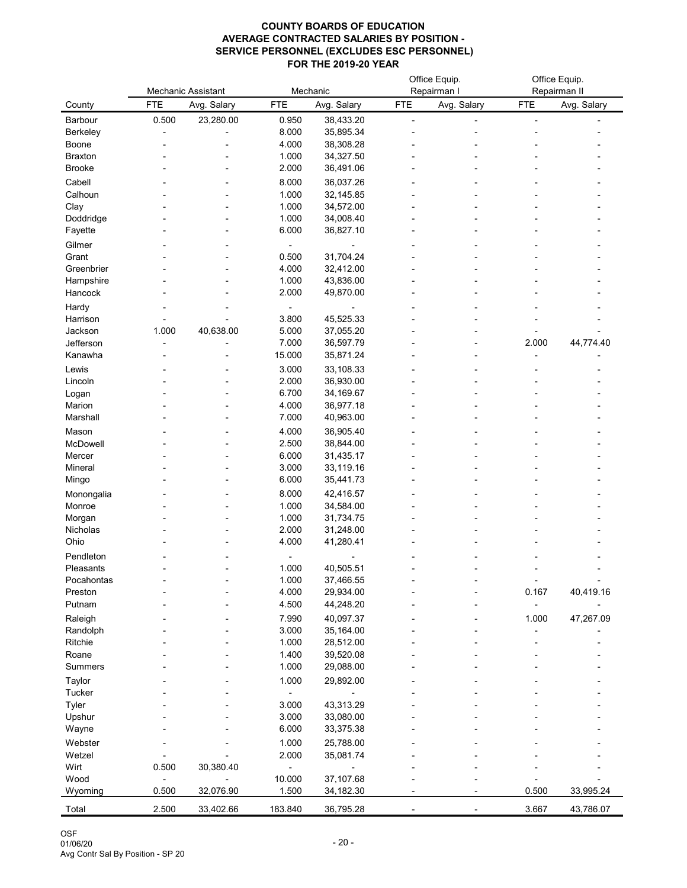|                   |            | <b>Mechanic Assistant</b> |                | Mechanic               |            | Office Equip.<br>Repairman I |            | Office Equip.<br>Repairman II |
|-------------------|------------|---------------------------|----------------|------------------------|------------|------------------------------|------------|-------------------------------|
| County            | <b>FTE</b> | Avg. Salary               | <b>FTE</b>     | Avg. Salary            | <b>FTE</b> | Avg. Salary                  | <b>FTE</b> | Avg. Salary                   |
| Barbour           | 0.500      | 23,280.00                 | 0.950          | 38,433.20              |            |                              |            |                               |
| Berkeley          |            |                           | 8.000          | 35,895.34              |            |                              |            |                               |
| <b>Boone</b>      |            |                           | 4.000          | 38,308.28              |            |                              |            |                               |
| <b>Braxton</b>    |            |                           | 1.000          | 34,327.50              |            |                              |            |                               |
| <b>Brooke</b>     |            |                           | 2.000          | 36,491.06              |            |                              |            |                               |
| Cabell            |            |                           | 8.000          | 36,037.26              |            |                              |            |                               |
| Calhoun           |            |                           | 1.000          | 32,145.85              |            |                              |            |                               |
| Clay              |            |                           | 1.000          | 34,572.00              |            |                              |            |                               |
| Doddridge         |            |                           | 1.000          | 34,008.40              |            |                              |            |                               |
| Fayette           |            |                           | 6.000          | 36,827.10              |            |                              |            |                               |
| Gilmer            |            |                           |                |                        |            |                              |            |                               |
| Grant             |            |                           | 0.500          | 31,704.24              |            |                              |            |                               |
| Greenbrier        |            |                           | 4.000          | 32,412.00              |            |                              |            |                               |
| Hampshire         |            |                           | 1.000          | 43,836.00              |            |                              |            |                               |
| Hancock           |            |                           | 2.000          | 49,870.00              |            |                              |            |                               |
| Hardy             |            |                           |                |                        |            |                              |            |                               |
| Harrison          |            |                           | 3.800          | 45,525.33              |            |                              |            |                               |
| Jackson           | 1.000      | 40,638.00                 | 5.000          | 37,055.20              |            |                              |            |                               |
| Jefferson         |            |                           | 7.000          | 36,597.79              |            |                              | 2.000      | 44,774.40                     |
| Kanawha           |            |                           | 15.000         | 35,871.24              |            |                              |            |                               |
| Lewis             |            |                           | 3.000          | 33,108.33              |            |                              |            |                               |
| Lincoln           |            |                           | 2.000          | 36,930.00              |            |                              |            |                               |
| Logan<br>Marion   |            |                           | 6.700<br>4.000 | 34,169.67<br>36,977.18 |            |                              |            |                               |
| Marshall          |            |                           | 7.000          | 40,963.00              |            |                              |            |                               |
|                   |            |                           |                |                        |            |                              |            |                               |
| Mason<br>McDowell |            |                           | 4.000          | 36,905.40              |            |                              |            |                               |
| Mercer            |            |                           | 2.500<br>6.000 | 38,844.00<br>31,435.17 |            |                              |            |                               |
| Mineral           |            |                           | 3.000          | 33,119.16              |            |                              |            |                               |
| Mingo             |            |                           | 6.000          | 35,441.73              |            |                              |            |                               |
| Monongalia        |            |                           | 8.000          | 42,416.57              |            |                              |            |                               |
| Monroe            |            |                           | 1.000          | 34,584.00              |            |                              |            |                               |
| Morgan            |            |                           | 1.000          | 31,734.75              |            |                              |            |                               |
| Nicholas          |            |                           | 2.000          | 31,248.00              |            |                              |            |                               |
| Ohio              |            |                           | 4.000          | 41,280.41              |            |                              |            |                               |
| Pendleton         |            |                           |                |                        |            |                              |            |                               |
| Pleasants         |            |                           | 1.000          | 40,505.51              |            |                              |            |                               |
| Pocahontas        |            |                           | 1.000          | 37,466.55              |            |                              |            |                               |
| Preston           |            |                           | 4.000          | 29,934.00              |            |                              | 0.167      | 40,419.16                     |
| Putnam            |            |                           | 4.500          | 44,248.20              |            |                              |            |                               |
| Raleigh           |            |                           | 7.990          | 40,097.37              |            |                              | 1.000      | 47,267.09                     |
| Randolph          |            |                           | 3.000          | 35,164.00              |            |                              |            |                               |
| Ritchie           |            |                           | 1.000          | 28,512.00              |            |                              |            |                               |
| Roane             |            |                           | 1.400          | 39,520.08              |            |                              |            |                               |
| <b>Summers</b>    |            |                           | 1.000          | 29,088.00              |            |                              |            |                               |
| <b>Taylor</b>     |            |                           | 1.000          | 29,892.00              |            |                              |            |                               |
| <b>Tucker</b>     |            |                           |                |                        |            |                              |            |                               |
| <b>Tyler</b>      |            |                           | 3.000          | 43,313.29              |            |                              |            |                               |
| Upshur            |            |                           | 3.000          | 33,080.00              |            |                              |            |                               |
| Wayne             |            |                           | 6.000          | 33,375.38              |            |                              |            |                               |
| Webster           |            |                           | 1.000          | 25,788.00              |            |                              |            |                               |
| Wetzel            |            |                           | 2.000          | 35,081.74              |            |                              |            |                               |
| Wirt              | 0.500      | 30,380.40                 |                |                        |            |                              |            |                               |
| Wood              |            |                           | 10.000         | 37,107.68              |            |                              |            |                               |
| Wyoming           | 0.500      | 32,076.90                 | 1.500          | 34,182.30              |            |                              | 0.500      | 33,995.24                     |
| Total             | 2.500      | 33,402.66                 | 183.840        | 36,795.28              |            |                              | 3.667      | 43,786.07                     |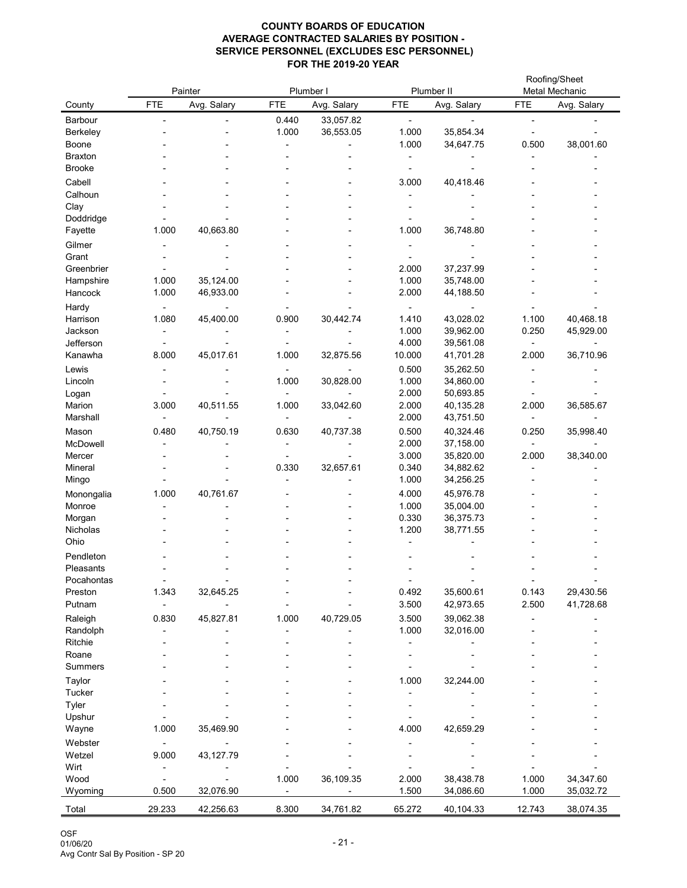|                        |            | Painter     | Plumber I  |             |                | Plumber II             |            | Roofing/Sheet<br>Metal Mechanic |
|------------------------|------------|-------------|------------|-------------|----------------|------------------------|------------|---------------------------------|
| County                 | <b>FTE</b> | Avg. Salary | <b>FTE</b> | Avg. Salary | <b>FTE</b>     | Avg. Salary            | <b>FTE</b> | Avg. Salary                     |
| Barbour                |            |             | 0.440      | 33,057.82   |                |                        |            |                                 |
| <b>Berkeley</b>        |            |             | 1.000      | 36,553.05   | 1.000          | 35,854.34              |            |                                 |
| <b>Boone</b>           |            |             |            |             | 1.000          | 34,647.75              | 0.500      | 38,001.60                       |
| <b>Braxton</b>         |            |             |            |             |                |                        |            |                                 |
| <b>Brooke</b>          |            |             |            |             |                |                        |            |                                 |
| Cabell                 |            |             |            |             | 3.000          | 40,418.46              |            |                                 |
| Calhoun                |            |             |            |             |                |                        |            |                                 |
| Clay<br>Doddridge      |            |             |            |             |                |                        |            |                                 |
| Fayette                | 1.000      | 40,663.80   |            |             | 1.000          | 36,748.80              |            |                                 |
| Gilmer                 |            |             |            |             |                |                        |            |                                 |
| Grant                  |            |             |            |             |                |                        |            |                                 |
| Greenbrier             |            |             |            |             | 2.000          | 37,237.99              |            |                                 |
| Hampshire              | 1.000      | 35,124.00   |            |             | 1.000          | 35,748.00              |            |                                 |
| Hancock                | 1.000      | 46,933.00   |            |             | 2.000          | 44,188.50              |            |                                 |
| Hardy                  |            |             |            |             |                |                        |            |                                 |
| Harrison               | 1.080      | 45,400.00   | 0.900      | 30,442.74   | 1.410          | 43,028.02              | 1.100      | 40,468.18                       |
| Jackson                |            |             |            |             | 1.000          | 39,962.00              | 0.250      | 45,929.00                       |
| Jefferson              |            |             |            |             | 4.000          | 39,561.08              |            |                                 |
| Kanawha                | 8.000      | 45,017.61   | 1.000      | 32,875.56   | 10.000         | 41,701.28              | 2.000      | 36,710.96                       |
| Lewis<br>Lincoln       |            |             | 1.000      | 30,828.00   | 0.500<br>1.000 | 35,262.50<br>34,860.00 |            |                                 |
| Logan                  |            |             |            |             | 2.000          | 50,693.85              |            |                                 |
| Marion                 | 3.000      | 40,511.55   | 1.000      | 33,042.60   | 2.000          | 40,135.28              | 2.000      | 36,585.67                       |
| Marshall               |            |             |            |             | 2.000          | 43,751.50              |            |                                 |
| Mason                  | 0.480      | 40,750.19   | 0.630      | 40,737.38   | 0.500          | 40,324.46              | 0.250      | 35,998.40                       |
| McDowell               |            |             |            |             | 2.000          | 37,158.00              |            |                                 |
| Mercer                 |            |             |            |             | 3.000          | 35,820.00              | 2.000      | 38,340.00                       |
| Mineral                |            |             | 0.330      | 32,657.61   | 0.340          | 34,882.62              |            |                                 |
| Mingo                  |            |             |            |             | 1.000          | 34,256.25              |            |                                 |
| Monongalia             | 1.000      | 40,761.67   |            |             | 4.000          | 45,976.78              |            |                                 |
| Monroe                 |            |             |            |             | 1.000          | 35,004.00              |            |                                 |
| Morgan<br>Nicholas     |            |             |            |             | 0.330<br>1.200 | 36,375.73<br>38,771.55 |            |                                 |
| Ohio                   |            |             |            |             |                |                        |            |                                 |
| Pendleton              |            |             |            |             |                |                        |            |                                 |
| Pleasants              |            |             |            |             |                |                        |            |                                 |
| Pocahontas             |            |             |            |             |                |                        |            |                                 |
| Preston                | 1.343      | 32,645.25   |            |             | 0.492          | 35,600.61              | 0.143      | 29,430.56                       |
| Putnam                 |            |             |            |             | 3.500          | 42,973.65              | 2.500      | 41,728.68                       |
| Raleigh                | 0.830      | 45,827.81   | 1.000      | 40,729.05   | 3.500          | 39,062.38              |            |                                 |
| Randolph               |            |             |            |             | 1.000          | 32,016.00              |            |                                 |
| Ritchie                |            |             |            |             |                |                        |            |                                 |
| Roane                  |            |             |            |             |                |                        |            |                                 |
| <b>Summers</b>         |            |             |            |             |                |                        |            |                                 |
| Taylor                 |            |             |            |             | 1.000          | 32,244.00              |            |                                 |
| <b>Tucker</b><br>Tyler |            |             |            |             |                |                        |            |                                 |
| Upshur                 |            |             |            |             |                |                        |            |                                 |
| Wayne                  | 1.000      | 35,469.90   |            |             | 4.000          | 42,659.29              |            |                                 |
| Webster                |            |             |            |             |                |                        |            |                                 |
| Wetzel                 | 9.000      | 43,127.79   |            |             |                |                        |            |                                 |
| Wirt                   |            |             |            |             |                |                        |            |                                 |
| Wood                   |            |             | 1.000      | 36,109.35   | 2.000          | 38,438.78              | 1.000      | 34,347.60                       |
| Wyoming                | 0.500      | 32,076.90   |            |             | 1.500          | 34,086.60              | 1.000      | 35,032.72                       |
| Total                  | 29.233     | 42,256.63   | 8.300      | 34,761.82   | 65.272         | 40,104.33              | 12.743     | 38,074.35                       |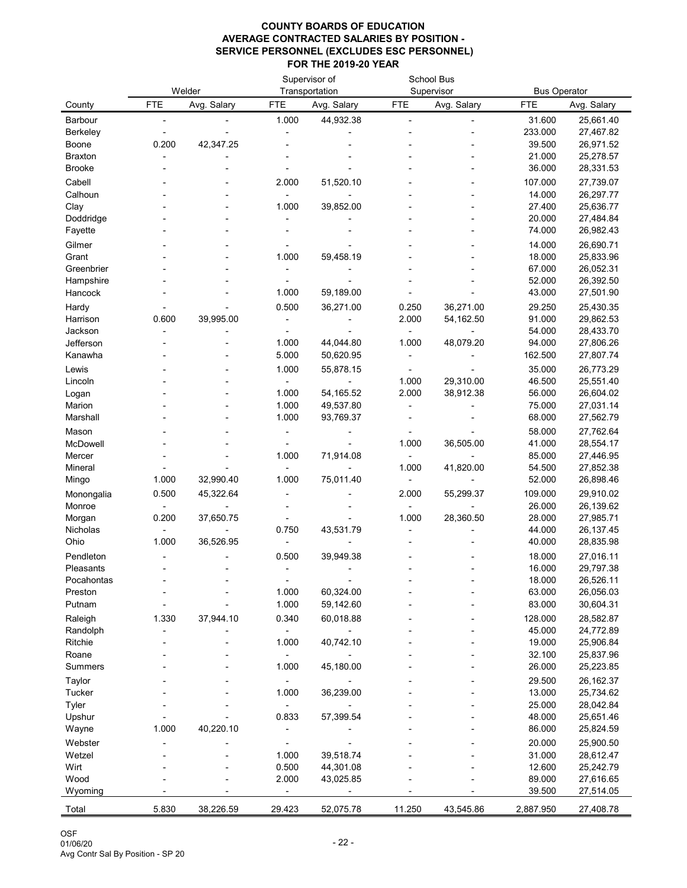|                     |            | Welder      |                | Supervisor of<br>Transportation |            | <b>School Bus</b><br>Supervisor | <b>Bus Operator</b> |                        |
|---------------------|------------|-------------|----------------|---------------------------------|------------|---------------------------------|---------------------|------------------------|
| County              | <b>FTE</b> | Avg. Salary | <b>FTE</b>     | Avg. Salary                     | <b>FTE</b> | Avg. Salary                     | <b>FTE</b>          | Avg. Salary            |
| <b>Barbour</b>      |            |             | 1.000          | 44,932.38                       |            |                                 | 31.600              | 25,661.40              |
| <b>Berkeley</b>     |            |             |                |                                 |            |                                 | 233.000             | 27,467.82              |
| Boone               | 0.200      | 42,347.25   |                |                                 |            |                                 | 39.500              | 26,971.52              |
| <b>Braxton</b>      |            |             |                |                                 |            |                                 | 21.000              | 25,278.57              |
| <b>Brooke</b>       |            |             |                |                                 |            |                                 | 36.000              | 28,331.53              |
| Cabell              |            |             | 2.000          | 51,520.10                       |            |                                 | 107.000             | 27,739.07              |
| Calhoun             |            |             |                |                                 |            |                                 | 14.000              | 26,297.77              |
| Clay                |            |             | 1.000          | 39,852.00                       |            |                                 | 27.400              | 25,636.77              |
| Doddridge           |            |             |                |                                 |            |                                 | 20.000              | 27,484.84              |
| Fayette             |            |             |                |                                 |            |                                 | 74.000              | 26,982.43              |
| Gilmer              |            |             |                |                                 |            |                                 | 14.000              | 26,690.71              |
| Grant<br>Greenbrier |            |             | 1.000          | 59,458.19                       |            |                                 | 18.000<br>67.000    | 25,833.96<br>26,052.31 |
| Hampshire           |            |             |                |                                 |            |                                 | 52.000              | 26,392.50              |
| Hancock             |            |             | 1.000          | 59,189.00                       |            |                                 | 43.000              | 27,501.90              |
| Hardy               |            |             | 0.500          | 36,271.00                       | 0.250      | 36,271.00                       | 29.250              | 25,430.35              |
| Harrison            | 0.600      | 39,995.00   |                |                                 | 2.000      | 54,162.50                       | 91.000              | 29,862.53              |
| Jackson             |            |             |                |                                 |            |                                 | 54.000              | 28,433.70              |
| Jefferson           |            |             | 1.000          | 44,044.80                       | 1.000      | 48,079.20                       | 94.000              | 27,806.26              |
| Kanawha             |            |             | 5.000          | 50,620.95                       |            |                                 | 162.500             | 27,807.74              |
| Lewis               |            |             | 1.000          | 55,878.15                       |            |                                 | 35.000              | 26,773.29              |
| Lincoln             |            |             |                |                                 | 1.000      | 29,310.00                       | 46.500              | 25,551.40              |
| Logan               |            |             | 1.000          | 54, 165.52                      | 2.000      | 38,912.38                       | 56.000              | 26,604.02              |
| Marion              |            |             | 1.000          | 49,537.80                       |            |                                 | 75.000              | 27,031.14              |
| Marshall            |            |             | 1.000          | 93,769.37                       |            |                                 | 68.000              | 27,562.79              |
| Mason               |            |             |                |                                 |            |                                 | 58.000              | 27,762.64              |
| <b>McDowell</b>     |            |             |                |                                 | 1.000      | 36,505.00                       | 41.000              | 28,554.17              |
| Mercer              |            |             | 1.000          | 71,914.08                       |            |                                 | 85.000              | 27,446.95              |
| Mineral             |            |             |                |                                 | 1.000      | 41,820.00                       | 54.500              | 27,852.38              |
| Mingo               | 1.000      | 32,990.40   | 1.000          | 75,011.40                       |            |                                 | 52.000              | 26,898.46              |
| Monongalia          | 0.500      | 45,322.64   |                |                                 | 2.000      | 55,299.37                       | 109.000             | 29,910.02              |
| Monroe<br>Morgan    | 0.200      | 37,650.75   |                |                                 | 1.000      | 28,360.50                       | 26.000<br>28.000    | 26,139.62<br>27,985.71 |
| Nicholas            |            |             | 0.750          | 43,531.79                       |            |                                 | 44.000              | 26, 137. 45            |
| Ohio                | 1.000      | 36,526.95   |                |                                 |            |                                 | 40.000              | 28,835.98              |
| Pendleton           |            |             | 0.500          | 39,949.38                       |            |                                 | 18.000              | 27,016.11              |
| Pleasants           |            |             |                |                                 |            |                                 | 16.000              | 29,797.38              |
| Pocahontas          |            |             |                |                                 |            |                                 | 18.000              | 26,526.11              |
| Preston             |            |             | 1.000          | 60,324.00                       |            |                                 | 63.000              | 26,056.03              |
| Putnam              |            |             | 1.000          | 59,142.60                       |            |                                 | 83.000              | 30,604.31              |
| Raleigh             | 1.330      | 37,944.10   | 0.340          | 60,018.88                       |            |                                 | 128.000             | 28,582.87              |
| Randolph            |            |             |                |                                 |            |                                 | 45.000              | 24,772.89              |
| <b>Ritchie</b>      |            |             | 1.000          | 40,742.10                       |            |                                 | 19.000              | 25,906.84              |
| Roane               |            |             |                |                                 |            |                                 | 32.100              | 25,837.96              |
| <b>Summers</b>      |            |             | 1.000          | 45,180.00                       |            |                                 | 26.000              | 25,223.85              |
| Taylor              |            |             |                |                                 |            |                                 | 29.500              | 26, 162.37             |
| <b>Tucker</b>       |            |             | 1.000          | 36,239.00                       |            |                                 | 13.000              | 25,734.62              |
| Tyler               |            |             |                |                                 |            |                                 | 25.000              | 28,042.84              |
| Upshur              |            |             | 0.833          | 57,399.54                       |            |                                 | 48.000              | 25,651.46              |
| Wayne               | 1.000      | 40,220.10   |                |                                 |            |                                 | 86.000              | 25,824.59              |
| Webster             |            |             |                |                                 |            |                                 | 20.000              | 25,900.50              |
| Wetzel<br>Wirt      |            |             | 1.000<br>0.500 | 39,518.74<br>44,301.08          |            |                                 | 31.000<br>12.600    | 28,612.47<br>25,242.79 |
| Wood                |            |             | 2.000          | 43,025.85                       |            |                                 | 89.000              | 27,616.65              |
| Wyoming             |            |             |                |                                 |            |                                 | 39.500              | 27,514.05              |
| Total               |            |             | 29.423         |                                 | 11.250     |                                 |                     |                        |
|                     | 5.830      | 38,226.59   |                | 52,075.78                       |            | 43,545.86                       | 2,887.950           | 27,408.78              |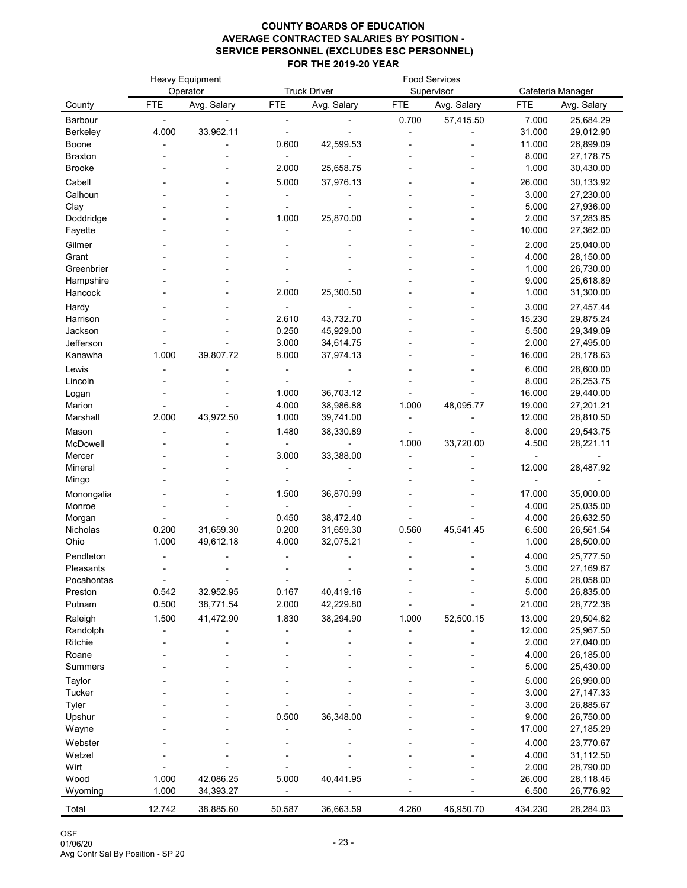|                      |            | <b>Heavy Equipment</b><br>Operator |                | <b>Truck Driver</b>    |            | <b>Food Services</b><br>Supervisor |                 | Cafeteria Manager      |
|----------------------|------------|------------------------------------|----------------|------------------------|------------|------------------------------------|-----------------|------------------------|
| County               | <b>FTE</b> | Avg. Salary                        | <b>FTE</b>     | Avg. Salary            | <b>FTE</b> | Avg. Salary                        | <b>FTE</b>      | Avg. Salary            |
| Barbour              |            |                                    |                |                        | 0.700      | 57,415.50                          | 7.000           | 25,684.29              |
| <b>Berkeley</b>      | 4.000      | 33,962.11                          |                |                        |            |                                    | 31.000          | 29,012.90              |
| Boone                |            |                                    | 0.600          | 42,599.53              |            |                                    | 11.000          | 26,899.09              |
| <b>Braxton</b>       |            |                                    |                |                        |            |                                    | 8.000           | 27, 178.75             |
| <b>Brooke</b>        |            |                                    | 2.000          | 25,658.75              |            |                                    | 1.000           | 30,430.00              |
| Cabell               |            |                                    | 5.000          | 37,976.13              |            |                                    | 26.000          | 30,133.92              |
| Calhoun              |            |                                    |                |                        |            |                                    | 3.000           | 27,230.00              |
| Clay                 |            |                                    |                |                        |            |                                    | 5.000           | 27,936.00              |
| Doddridge            |            |                                    | 1.000          | 25,870.00              |            |                                    | 2.000           | 37,283.85              |
| Fayette              |            |                                    |                |                        |            |                                    | 10.000          | 27,362.00              |
| Gilmer               |            |                                    |                |                        |            |                                    | 2.000           | 25,040.00              |
| Grant                |            |                                    |                |                        |            |                                    | 4.000           | 28,150.00              |
| Greenbrier           |            |                                    |                |                        |            |                                    | 1.000           | 26,730.00              |
| Hampshire            |            |                                    |                |                        |            |                                    | 9.000           | 25,618.89              |
| Hancock              |            |                                    | 2.000          | 25,300.50              |            |                                    | 1.000           | 31,300.00              |
| Hardy                |            |                                    |                |                        |            |                                    | 3.000           | 27,457.44              |
| Harrison             |            |                                    | 2.610<br>0.250 | 43,732.70              |            |                                    | 15.230          | 29,875.24              |
| Jackson<br>Jefferson |            |                                    | 3.000          | 45,929.00<br>34,614.75 |            |                                    | 5.500<br>2.000  | 29,349.09<br>27,495.00 |
| Kanawha              | 1.000      | 39,807.72                          | 8.000          | 37,974.13              |            |                                    | 16.000          | 28,178.63              |
| Lewis                |            |                                    |                |                        |            |                                    | 6.000           | 28,600.00              |
| Lincoln              |            |                                    |                |                        |            |                                    | 8.000           | 26,253.75              |
| Logan                |            |                                    | 1.000          | 36,703.12              |            |                                    | 16.000          | 29,440.00              |
| Marion               |            |                                    | 4.000          | 38,986.88              | 1.000      | 48,095.77                          | 19.000          | 27,201.21              |
| Marshall             | 2.000      | 43,972.50                          | 1.000          | 39,741.00              |            |                                    | 12.000          | 28,810.50              |
| Mason                |            |                                    | 1.480          | 38,330.89              |            |                                    | 8.000           | 29,543.75              |
| McDowell             |            |                                    |                |                        | 1.000      | 33,720.00                          | 4.500           | 28,221.11              |
| Mercer               |            |                                    | 3.000          | 33,388.00              |            |                                    |                 |                        |
| Mineral              |            |                                    |                |                        |            |                                    | 12.000          | 28,487.92              |
| Mingo                |            |                                    |                |                        |            |                                    |                 |                        |
| Monongalia           |            |                                    | 1.500          | 36,870.99              |            |                                    | 17.000          | 35,000.00              |
| Monroe               |            |                                    |                |                        |            |                                    | 4.000           | 25,035.00              |
| Morgan               |            |                                    | 0.450          | 38,472.40              |            |                                    | 4.000           | 26,632.50              |
| Nicholas             | 0.200      | 31,659.30                          | 0.200          | 31,659.30              | 0.560      | 45,541.45                          | 6.500           | 26,561.54              |
| Ohio                 | 1.000      | 49,612.18                          | 4.000          | 32,075.21              |            |                                    | 1.000           | 28,500.00              |
| Pendleton            |            |                                    |                |                        |            |                                    | 4.000           | 25,777.50              |
| Pleasants            |            |                                    |                |                        |            |                                    | 3.000           | 27,169.67              |
| Pocahontas           |            |                                    |                |                        |            |                                    | 5.000           | 28,058.00              |
| Preston              | 0.542      | 32,952.95                          | 0.167          | 40,419.16              |            |                                    | 5.000           | 26,835.00              |
| Putnam               | 0.500      | 38,771.54                          | 2.000          | 42,229.80              |            |                                    | 21.000          | 28,772.38              |
| Raleigh              | 1.500      | 41,472.90                          | 1.830          | 38,294.90              | 1.000      | 52,500.15                          | 13.000          | 29,504.62              |
| Randolph<br>Ritchie  |            |                                    |                |                        |            |                                    | 12.000<br>2.000 | 25,967.50              |
| Roane                |            |                                    |                |                        |            |                                    | 4.000           | 27,040.00<br>26,185.00 |
| <b>Summers</b>       |            |                                    |                |                        |            |                                    | 5.000           | 25,430.00              |
| Taylor               |            |                                    |                |                        |            |                                    | 5.000           | 26,990.00              |
| Tucker               |            |                                    |                |                        |            |                                    | 3.000           | 27, 147. 33            |
| Tyler                |            |                                    |                |                        |            |                                    | 3.000           | 26,885.67              |
| Upshur               |            |                                    | 0.500          | 36,348.00              |            |                                    | 9.000           | 26,750.00              |
| Wayne                |            |                                    |                |                        |            |                                    | 17.000          | 27,185.29              |
| Webster              |            |                                    |                |                        |            |                                    | 4.000           | 23,770.67              |
| Wetzel               |            |                                    |                |                        |            |                                    | 4.000           | 31,112.50              |
| Wirt                 |            |                                    |                |                        |            |                                    | 2.000           | 28,790.00              |
| Wood                 | 1.000      | 42,086.25                          | 5.000          | 40,441.95              |            |                                    | 26.000          | 28,118.46              |
| Wyoming              | 1.000      | 34,393.27                          |                |                        |            |                                    | 6.500           | 26,776.92              |
| Total                | 12.742     | 38,885.60                          | 50.587         | 36,663.59              | 4.260      | 46,950.70                          | 434.230         | 28,284.03              |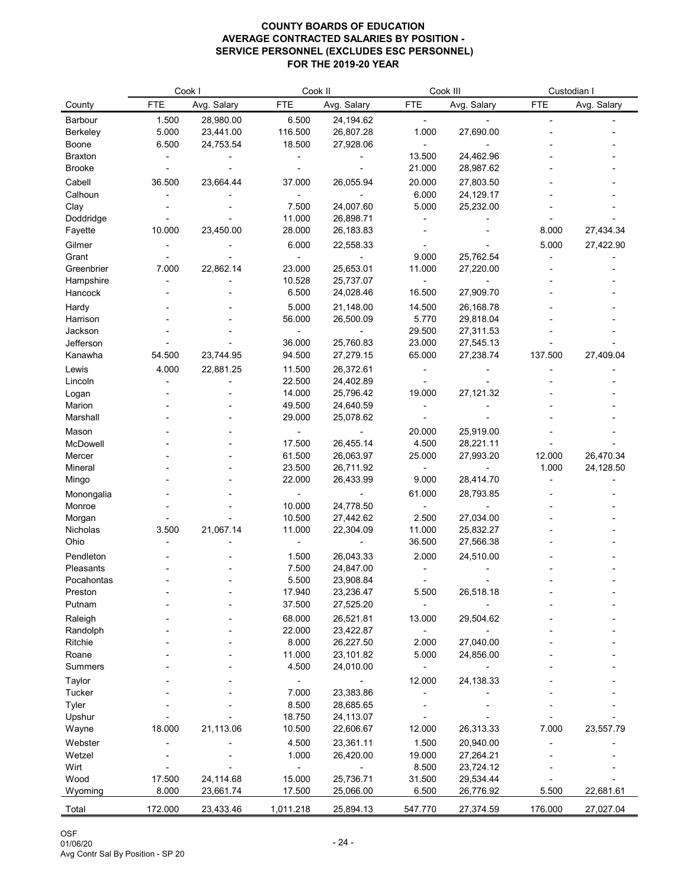| <b>FTE</b><br>Avg. Salary<br><b>FTE</b><br>Avg. Salary<br><b>FTE</b><br>Avg. Salary<br><b>FTE</b><br>Avg. Salary<br>County<br>28,980.00<br>1.500<br>6.500<br>24,194.62<br>Barbour<br>5.000<br>23,441.00<br>116.500<br>26,807.28<br>1.000<br>27,690.00<br><b>Berkeley</b><br>6.500<br>24,753.54<br>18.500<br>27,928.06<br><b>Boone</b><br>13.500<br>24,462.96<br><b>Braxton</b><br>21.000<br>28,987.62<br><b>Brooke</b><br>Cabell<br>36.500<br>23,664.44<br>37.000<br>26,055.94<br>20.000<br>27,803.50<br>6.000<br>Calhoun<br>24,129.17<br>Clay<br>7.500<br>24,007.60<br>5.000<br>25,232.00<br>11.000<br>Doddridge<br>26,898.71<br>10.000<br>23,450.00<br>28.000<br>26,183.83<br>8.000<br>27,434.34<br>Fayette<br>Gilmer<br>6.000<br>22,558.33<br>5.000<br>27,422.90 |
|---------------------------------------------------------------------------------------------------------------------------------------------------------------------------------------------------------------------------------------------------------------------------------------------------------------------------------------------------------------------------------------------------------------------------------------------------------------------------------------------------------------------------------------------------------------------------------------------------------------------------------------------------------------------------------------------------------------------------------------------------------------------|
|                                                                                                                                                                                                                                                                                                                                                                                                                                                                                                                                                                                                                                                                                                                                                                     |
|                                                                                                                                                                                                                                                                                                                                                                                                                                                                                                                                                                                                                                                                                                                                                                     |
|                                                                                                                                                                                                                                                                                                                                                                                                                                                                                                                                                                                                                                                                                                                                                                     |
|                                                                                                                                                                                                                                                                                                                                                                                                                                                                                                                                                                                                                                                                                                                                                                     |
|                                                                                                                                                                                                                                                                                                                                                                                                                                                                                                                                                                                                                                                                                                                                                                     |
|                                                                                                                                                                                                                                                                                                                                                                                                                                                                                                                                                                                                                                                                                                                                                                     |
|                                                                                                                                                                                                                                                                                                                                                                                                                                                                                                                                                                                                                                                                                                                                                                     |
|                                                                                                                                                                                                                                                                                                                                                                                                                                                                                                                                                                                                                                                                                                                                                                     |
|                                                                                                                                                                                                                                                                                                                                                                                                                                                                                                                                                                                                                                                                                                                                                                     |
|                                                                                                                                                                                                                                                                                                                                                                                                                                                                                                                                                                                                                                                                                                                                                                     |
|                                                                                                                                                                                                                                                                                                                                                                                                                                                                                                                                                                                                                                                                                                                                                                     |
|                                                                                                                                                                                                                                                                                                                                                                                                                                                                                                                                                                                                                                                                                                                                                                     |
| 25,762.54<br>9.000<br>Grant<br>22,862.14<br>7.000<br>23.000<br>25,653.01<br>11.000<br>Greenbrier<br>27,220.00                                                                                                                                                                                                                                                                                                                                                                                                                                                                                                                                                                                                                                                       |
| 10.528<br>Hampshire<br>25,737.07                                                                                                                                                                                                                                                                                                                                                                                                                                                                                                                                                                                                                                                                                                                                    |
| 6.500<br>27,909.70<br>Hancock<br>24,028.46<br>16.500                                                                                                                                                                                                                                                                                                                                                                                                                                                                                                                                                                                                                                                                                                                |
| 5.000<br>21,148.00<br>14.500<br>Hardy<br>26,168.78                                                                                                                                                                                                                                                                                                                                                                                                                                                                                                                                                                                                                                                                                                                  |
| 56.000<br>26,500.09<br>5.770<br>29,818.04<br>Harrison                                                                                                                                                                                                                                                                                                                                                                                                                                                                                                                                                                                                                                                                                                               |
| Jackson<br>29.500<br>27,311.53                                                                                                                                                                                                                                                                                                                                                                                                                                                                                                                                                                                                                                                                                                                                      |
| Jefferson<br>36.000<br>25,760.83<br>23.000<br>27,545.13                                                                                                                                                                                                                                                                                                                                                                                                                                                                                                                                                                                                                                                                                                             |
| 54.500<br>23,744.95<br>94.500<br>65.000<br>27,238.74<br>137.500<br>27,409.04<br>Kanawha<br>27,279.15                                                                                                                                                                                                                                                                                                                                                                                                                                                                                                                                                                                                                                                                |
| Lewis<br>4.000<br>22,881.25<br>11.500<br>26,372.61                                                                                                                                                                                                                                                                                                                                                                                                                                                                                                                                                                                                                                                                                                                  |
| 22.500<br>24,402.89<br>Lincoln                                                                                                                                                                                                                                                                                                                                                                                                                                                                                                                                                                                                                                                                                                                                      |
| 27,121.32<br>14.000<br>25,796.42<br>19.000<br>Logan                                                                                                                                                                                                                                                                                                                                                                                                                                                                                                                                                                                                                                                                                                                 |
| 49.500<br>24,640.59<br>Marion                                                                                                                                                                                                                                                                                                                                                                                                                                                                                                                                                                                                                                                                                                                                       |
| 29.000<br>Marshall<br>25,078.62                                                                                                                                                                                                                                                                                                                                                                                                                                                                                                                                                                                                                                                                                                                                     |
| 20.000<br>25,919.00<br>Mason                                                                                                                                                                                                                                                                                                                                                                                                                                                                                                                                                                                                                                                                                                                                        |
| McDowell<br>17.500<br>26,455.14<br>4.500<br>28,221.11                                                                                                                                                                                                                                                                                                                                                                                                                                                                                                                                                                                                                                                                                                               |
| 61.500<br>26,063.97<br>25.000<br>27,993.20<br>12.000<br>26,470.34<br>Mercer                                                                                                                                                                                                                                                                                                                                                                                                                                                                                                                                                                                                                                                                                         |
| 23.500<br>1.000<br>26,711.92<br>24,128.50<br>Mineral<br>22.000<br>26,433.99<br>9.000<br>28,414.70                                                                                                                                                                                                                                                                                                                                                                                                                                                                                                                                                                                                                                                                   |
| Mingo                                                                                                                                                                                                                                                                                                                                                                                                                                                                                                                                                                                                                                                                                                                                                               |
| 61.000<br>28,793.85<br>Monongalia<br>10.000<br>24,778.50<br>Monroe                                                                                                                                                                                                                                                                                                                                                                                                                                                                                                                                                                                                                                                                                                  |
| 10.500<br>27,442.62<br>2.500<br>27,034.00<br>Morgan                                                                                                                                                                                                                                                                                                                                                                                                                                                                                                                                                                                                                                                                                                                 |
| 3.500<br>21,067.14<br>11.000<br>22,304.09<br>11.000<br>25,832.27<br>Nicholas                                                                                                                                                                                                                                                                                                                                                                                                                                                                                                                                                                                                                                                                                        |
| Ohio<br>36.500<br>27,566.38                                                                                                                                                                                                                                                                                                                                                                                                                                                                                                                                                                                                                                                                                                                                         |
| 2.000<br>24,510.00<br>Pendleton<br>1.500<br>26,043.33                                                                                                                                                                                                                                                                                                                                                                                                                                                                                                                                                                                                                                                                                                               |
| 7.500<br>24,847.00<br>Pleasants                                                                                                                                                                                                                                                                                                                                                                                                                                                                                                                                                                                                                                                                                                                                     |
| 5.500<br>23,908.84<br>Pocahontas                                                                                                                                                                                                                                                                                                                                                                                                                                                                                                                                                                                                                                                                                                                                    |
| 17.940<br>26,518.18<br>Preston<br>23,236.47<br>5.500                                                                                                                                                                                                                                                                                                                                                                                                                                                                                                                                                                                                                                                                                                                |
| 37.500<br>Putnam<br>27,525.20                                                                                                                                                                                                                                                                                                                                                                                                                                                                                                                                                                                                                                                                                                                                       |
| 68.000<br>26,521.81<br>13.000<br>Raleigh<br>29,504.62                                                                                                                                                                                                                                                                                                                                                                                                                                                                                                                                                                                                                                                                                                               |
| 22.000<br>Randolph<br>23,422.87                                                                                                                                                                                                                                                                                                                                                                                                                                                                                                                                                                                                                                                                                                                                     |
| 8.000<br>26,227.50<br>2.000<br>27,040.00<br>Ritchie                                                                                                                                                                                                                                                                                                                                                                                                                                                                                                                                                                                                                                                                                                                 |
| 11.000<br>23,101.82<br>5.000<br>24,856.00<br>Roane                                                                                                                                                                                                                                                                                                                                                                                                                                                                                                                                                                                                                                                                                                                  |
| 4.500<br>24,010.00<br><b>Summers</b>                                                                                                                                                                                                                                                                                                                                                                                                                                                                                                                                                                                                                                                                                                                                |
| Taylor<br>24,138.33<br>12.000                                                                                                                                                                                                                                                                                                                                                                                                                                                                                                                                                                                                                                                                                                                                       |
| <b>Tucker</b><br>7.000<br>23,383.86<br>8.500                                                                                                                                                                                                                                                                                                                                                                                                                                                                                                                                                                                                                                                                                                                        |
| <b>Tyler</b><br>28,685.65<br>18.750<br>24,113.07<br>Upshur                                                                                                                                                                                                                                                                                                                                                                                                                                                                                                                                                                                                                                                                                                          |
| 18.000<br>21,113.06<br>10.500<br>12.000<br>26,313.33<br>7.000<br>23,557.79<br>22,606.67<br>Wayne                                                                                                                                                                                                                                                                                                                                                                                                                                                                                                                                                                                                                                                                    |
| 23,361.11<br>1.500<br>Webster<br>4.500<br>20,940.00                                                                                                                                                                                                                                                                                                                                                                                                                                                                                                                                                                                                                                                                                                                 |
| 1.000<br>Wetzel<br>26,420.00<br>19.000<br>27,264.21                                                                                                                                                                                                                                                                                                                                                                                                                                                                                                                                                                                                                                                                                                                 |
| Wirt<br>8.500<br>23,724.12                                                                                                                                                                                                                                                                                                                                                                                                                                                                                                                                                                                                                                                                                                                                          |
| 24,114.68<br>17.500<br>15.000<br>25,736.71<br>31.500<br>29,534.44<br>Wood                                                                                                                                                                                                                                                                                                                                                                                                                                                                                                                                                                                                                                                                                           |
| 8.000<br>17.500<br>6.500<br>5.500<br>Wyoming<br>23,661.74<br>25,066.00<br>26,776.92<br>22,681.61                                                                                                                                                                                                                                                                                                                                                                                                                                                                                                                                                                                                                                                                    |
| 172.000<br>23,433.46<br>1,011.218<br>547.770<br>176.000<br>Total<br>25,894.13<br>27,374.59<br>27,027.04                                                                                                                                                                                                                                                                                                                                                                                                                                                                                                                                                                                                                                                             |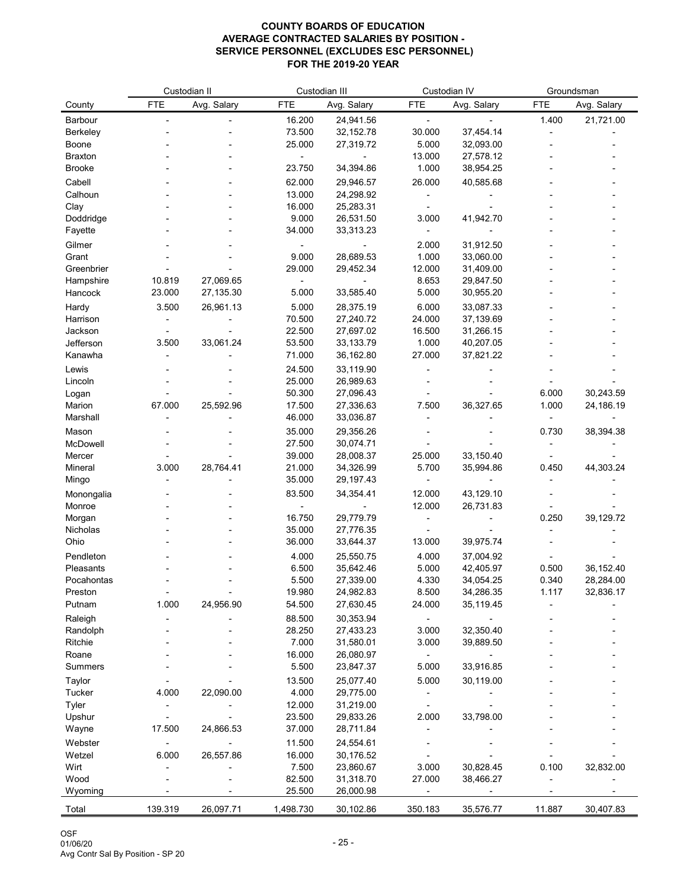| <b>FTE</b><br><b>FTE</b><br><b>FTE</b><br>Avg. Salary<br><b>FTE</b><br>Avg. Salary<br>Avg. Salary<br>Avg. Salary<br>County<br>16.200<br>24,941.56<br>1.400<br>21,721.00<br>Barbour<br>73.500<br>32, 152. 78<br>30.000<br>37,454.14<br><b>Berkeley</b><br>25.000<br>27,319.72<br>5.000<br>32,093.00<br><b>Boone</b><br>13.000<br>27,578.12<br><b>Braxton</b><br>34,394.86<br>1.000<br>38,954.25<br><b>Brooke</b><br>23.750<br>Cabell<br>62.000<br>26.000<br>40,585.68<br>29,946.57<br>Calhoun<br>13.000<br>24,298.92<br>Clay<br>16.000<br>25,283.31<br>Doddridge<br>9.000<br>26,531.50<br>3.000<br>41,942.70<br>33,313.23<br>Fayette<br>34.000<br>Gilmer<br>2.000<br>31,912.50<br>1.000<br>9.000<br>28,689.53<br>33,060.00<br>Grant<br>29.000<br>29,452.34<br>12.000<br>31,409.00<br>Greenbrier<br>10.819<br>27,069.65<br>8.653<br>Hampshire<br>29,847.50<br>23.000<br>27,135.30<br>5.000<br>33,585.40<br>5.000<br>Hancock<br>30,955.20<br>26,961.13<br>5.000<br>6.000<br>Hardy<br>3.500<br>28,375.19<br>33,087.33<br>Harrison<br>70.500<br>27,240.72<br>24.000<br>37,139.69<br>Jackson<br>22.500<br>27,697.02<br>16.500<br>31,266.15<br>33,061.24<br>Jefferson<br>3.500<br>33,133.79<br>1.000<br>40,207.05<br>53.500<br>71.000<br>27.000<br>37,821.22<br>Kanawha<br>36,162.80<br>Lewis<br>24.500<br>33,119.90<br>25.000<br>26,989.63<br>Lincoln<br>50.300<br>27,096.43<br>6.000<br>30,243.59<br>Logan<br>67.000<br>25,592.96<br>17.500<br>27,336.63<br>7.500<br>36,327.65<br>1.000<br>24,186.19<br>Marion<br>Marshall<br>46.000<br>33,036.87<br>35.000<br>29,356.26<br>0.730<br>38,394.38<br>Mason<br>McDowell<br>27.500<br>30,074.71<br>39.000<br>28,008.37<br>25.000<br>33,150.40<br>Mercer<br>28,764.41<br>3.000<br>21.000<br>34,326.99<br>5.700<br>35,994.86<br>0.450<br>44,303.24<br>Mineral<br>35.000<br>Mingo<br>29,197.43<br>83.500<br>34,354.41<br>12.000<br>43,129.10<br>Monongalia<br>12.000<br>26,731.83<br>Monroe<br>16.750<br>29,779.79<br>0.250<br>39,129.72<br>Morgan<br>35.000<br>27,776.35<br><b>Nicholas</b><br>Ohio<br>36.000<br>33,644.37<br>39,975.74<br>13.000<br>Pendleton<br>25,550.75<br>4.000<br>4.000<br>37,004.92<br>6.500<br>5.000<br>35,642.46<br>42,405.97<br>0.500<br>36,152.40<br>Pleasants<br>Pocahontas<br>5.500<br>27,339.00<br>4.330<br>34,054.25<br>0.340<br>28,284.00<br>19.980<br>8.500<br>34,286.35<br>1.117<br>32,836.17<br>Preston<br>24,982.83<br>24,956.90<br>1.000<br>54.500<br>27,630.45<br>24.000<br>35,119.45<br>Putnam<br>88.500<br>30,353.94<br>Raleigh<br>28.250<br>27,433.23<br>3.000<br>32,350.40<br>Randolph |         | Custodian II |  | Custodian III |           | Custodian IV |           | Groundsman |  |
|----------------------------------------------------------------------------------------------------------------------------------------------------------------------------------------------------------------------------------------------------------------------------------------------------------------------------------------------------------------------------------------------------------------------------------------------------------------------------------------------------------------------------------------------------------------------------------------------------------------------------------------------------------------------------------------------------------------------------------------------------------------------------------------------------------------------------------------------------------------------------------------------------------------------------------------------------------------------------------------------------------------------------------------------------------------------------------------------------------------------------------------------------------------------------------------------------------------------------------------------------------------------------------------------------------------------------------------------------------------------------------------------------------------------------------------------------------------------------------------------------------------------------------------------------------------------------------------------------------------------------------------------------------------------------------------------------------------------------------------------------------------------------------------------------------------------------------------------------------------------------------------------------------------------------------------------------------------------------------------------------------------------------------------------------------------------------------------------------------------------------------------------------------------------------------------------------------------------------------------------------------------------------------------------------------------------------------------------------------------------------------------------------------------------------------------------------------------------------------------------------------------------------------------------------------------------|---------|--------------|--|---------------|-----------|--------------|-----------|------------|--|
|                                                                                                                                                                                                                                                                                                                                                                                                                                                                                                                                                                                                                                                                                                                                                                                                                                                                                                                                                                                                                                                                                                                                                                                                                                                                                                                                                                                                                                                                                                                                                                                                                                                                                                                                                                                                                                                                                                                                                                                                                                                                                                                                                                                                                                                                                                                                                                                                                                                                                                                                                                      |         |              |  |               |           |              |           |            |  |
|                                                                                                                                                                                                                                                                                                                                                                                                                                                                                                                                                                                                                                                                                                                                                                                                                                                                                                                                                                                                                                                                                                                                                                                                                                                                                                                                                                                                                                                                                                                                                                                                                                                                                                                                                                                                                                                                                                                                                                                                                                                                                                                                                                                                                                                                                                                                                                                                                                                                                                                                                                      |         |              |  |               |           |              |           |            |  |
|                                                                                                                                                                                                                                                                                                                                                                                                                                                                                                                                                                                                                                                                                                                                                                                                                                                                                                                                                                                                                                                                                                                                                                                                                                                                                                                                                                                                                                                                                                                                                                                                                                                                                                                                                                                                                                                                                                                                                                                                                                                                                                                                                                                                                                                                                                                                                                                                                                                                                                                                                                      |         |              |  |               |           |              |           |            |  |
|                                                                                                                                                                                                                                                                                                                                                                                                                                                                                                                                                                                                                                                                                                                                                                                                                                                                                                                                                                                                                                                                                                                                                                                                                                                                                                                                                                                                                                                                                                                                                                                                                                                                                                                                                                                                                                                                                                                                                                                                                                                                                                                                                                                                                                                                                                                                                                                                                                                                                                                                                                      |         |              |  |               |           |              |           |            |  |
|                                                                                                                                                                                                                                                                                                                                                                                                                                                                                                                                                                                                                                                                                                                                                                                                                                                                                                                                                                                                                                                                                                                                                                                                                                                                                                                                                                                                                                                                                                                                                                                                                                                                                                                                                                                                                                                                                                                                                                                                                                                                                                                                                                                                                                                                                                                                                                                                                                                                                                                                                                      |         |              |  |               |           |              |           |            |  |
|                                                                                                                                                                                                                                                                                                                                                                                                                                                                                                                                                                                                                                                                                                                                                                                                                                                                                                                                                                                                                                                                                                                                                                                                                                                                                                                                                                                                                                                                                                                                                                                                                                                                                                                                                                                                                                                                                                                                                                                                                                                                                                                                                                                                                                                                                                                                                                                                                                                                                                                                                                      |         |              |  |               |           |              |           |            |  |
|                                                                                                                                                                                                                                                                                                                                                                                                                                                                                                                                                                                                                                                                                                                                                                                                                                                                                                                                                                                                                                                                                                                                                                                                                                                                                                                                                                                                                                                                                                                                                                                                                                                                                                                                                                                                                                                                                                                                                                                                                                                                                                                                                                                                                                                                                                                                                                                                                                                                                                                                                                      |         |              |  |               |           |              |           |            |  |
|                                                                                                                                                                                                                                                                                                                                                                                                                                                                                                                                                                                                                                                                                                                                                                                                                                                                                                                                                                                                                                                                                                                                                                                                                                                                                                                                                                                                                                                                                                                                                                                                                                                                                                                                                                                                                                                                                                                                                                                                                                                                                                                                                                                                                                                                                                                                                                                                                                                                                                                                                                      |         |              |  |               |           |              |           |            |  |
|                                                                                                                                                                                                                                                                                                                                                                                                                                                                                                                                                                                                                                                                                                                                                                                                                                                                                                                                                                                                                                                                                                                                                                                                                                                                                                                                                                                                                                                                                                                                                                                                                                                                                                                                                                                                                                                                                                                                                                                                                                                                                                                                                                                                                                                                                                                                                                                                                                                                                                                                                                      |         |              |  |               |           |              |           |            |  |
|                                                                                                                                                                                                                                                                                                                                                                                                                                                                                                                                                                                                                                                                                                                                                                                                                                                                                                                                                                                                                                                                                                                                                                                                                                                                                                                                                                                                                                                                                                                                                                                                                                                                                                                                                                                                                                                                                                                                                                                                                                                                                                                                                                                                                                                                                                                                                                                                                                                                                                                                                                      |         |              |  |               |           |              |           |            |  |
|                                                                                                                                                                                                                                                                                                                                                                                                                                                                                                                                                                                                                                                                                                                                                                                                                                                                                                                                                                                                                                                                                                                                                                                                                                                                                                                                                                                                                                                                                                                                                                                                                                                                                                                                                                                                                                                                                                                                                                                                                                                                                                                                                                                                                                                                                                                                                                                                                                                                                                                                                                      |         |              |  |               |           |              |           |            |  |
|                                                                                                                                                                                                                                                                                                                                                                                                                                                                                                                                                                                                                                                                                                                                                                                                                                                                                                                                                                                                                                                                                                                                                                                                                                                                                                                                                                                                                                                                                                                                                                                                                                                                                                                                                                                                                                                                                                                                                                                                                                                                                                                                                                                                                                                                                                                                                                                                                                                                                                                                                                      |         |              |  |               |           |              |           |            |  |
|                                                                                                                                                                                                                                                                                                                                                                                                                                                                                                                                                                                                                                                                                                                                                                                                                                                                                                                                                                                                                                                                                                                                                                                                                                                                                                                                                                                                                                                                                                                                                                                                                                                                                                                                                                                                                                                                                                                                                                                                                                                                                                                                                                                                                                                                                                                                                                                                                                                                                                                                                                      |         |              |  |               |           |              |           |            |  |
|                                                                                                                                                                                                                                                                                                                                                                                                                                                                                                                                                                                                                                                                                                                                                                                                                                                                                                                                                                                                                                                                                                                                                                                                                                                                                                                                                                                                                                                                                                                                                                                                                                                                                                                                                                                                                                                                                                                                                                                                                                                                                                                                                                                                                                                                                                                                                                                                                                                                                                                                                                      |         |              |  |               |           |              |           |            |  |
|                                                                                                                                                                                                                                                                                                                                                                                                                                                                                                                                                                                                                                                                                                                                                                                                                                                                                                                                                                                                                                                                                                                                                                                                                                                                                                                                                                                                                                                                                                                                                                                                                                                                                                                                                                                                                                                                                                                                                                                                                                                                                                                                                                                                                                                                                                                                                                                                                                                                                                                                                                      |         |              |  |               |           |              |           |            |  |
|                                                                                                                                                                                                                                                                                                                                                                                                                                                                                                                                                                                                                                                                                                                                                                                                                                                                                                                                                                                                                                                                                                                                                                                                                                                                                                                                                                                                                                                                                                                                                                                                                                                                                                                                                                                                                                                                                                                                                                                                                                                                                                                                                                                                                                                                                                                                                                                                                                                                                                                                                                      |         |              |  |               |           |              |           |            |  |
|                                                                                                                                                                                                                                                                                                                                                                                                                                                                                                                                                                                                                                                                                                                                                                                                                                                                                                                                                                                                                                                                                                                                                                                                                                                                                                                                                                                                                                                                                                                                                                                                                                                                                                                                                                                                                                                                                                                                                                                                                                                                                                                                                                                                                                                                                                                                                                                                                                                                                                                                                                      |         |              |  |               |           |              |           |            |  |
|                                                                                                                                                                                                                                                                                                                                                                                                                                                                                                                                                                                                                                                                                                                                                                                                                                                                                                                                                                                                                                                                                                                                                                                                                                                                                                                                                                                                                                                                                                                                                                                                                                                                                                                                                                                                                                                                                                                                                                                                                                                                                                                                                                                                                                                                                                                                                                                                                                                                                                                                                                      |         |              |  |               |           |              |           |            |  |
|                                                                                                                                                                                                                                                                                                                                                                                                                                                                                                                                                                                                                                                                                                                                                                                                                                                                                                                                                                                                                                                                                                                                                                                                                                                                                                                                                                                                                                                                                                                                                                                                                                                                                                                                                                                                                                                                                                                                                                                                                                                                                                                                                                                                                                                                                                                                                                                                                                                                                                                                                                      |         |              |  |               |           |              |           |            |  |
|                                                                                                                                                                                                                                                                                                                                                                                                                                                                                                                                                                                                                                                                                                                                                                                                                                                                                                                                                                                                                                                                                                                                                                                                                                                                                                                                                                                                                                                                                                                                                                                                                                                                                                                                                                                                                                                                                                                                                                                                                                                                                                                                                                                                                                                                                                                                                                                                                                                                                                                                                                      |         |              |  |               |           |              |           |            |  |
|                                                                                                                                                                                                                                                                                                                                                                                                                                                                                                                                                                                                                                                                                                                                                                                                                                                                                                                                                                                                                                                                                                                                                                                                                                                                                                                                                                                                                                                                                                                                                                                                                                                                                                                                                                                                                                                                                                                                                                                                                                                                                                                                                                                                                                                                                                                                                                                                                                                                                                                                                                      |         |              |  |               |           |              |           |            |  |
|                                                                                                                                                                                                                                                                                                                                                                                                                                                                                                                                                                                                                                                                                                                                                                                                                                                                                                                                                                                                                                                                                                                                                                                                                                                                                                                                                                                                                                                                                                                                                                                                                                                                                                                                                                                                                                                                                                                                                                                                                                                                                                                                                                                                                                                                                                                                                                                                                                                                                                                                                                      |         |              |  |               |           |              |           |            |  |
|                                                                                                                                                                                                                                                                                                                                                                                                                                                                                                                                                                                                                                                                                                                                                                                                                                                                                                                                                                                                                                                                                                                                                                                                                                                                                                                                                                                                                                                                                                                                                                                                                                                                                                                                                                                                                                                                                                                                                                                                                                                                                                                                                                                                                                                                                                                                                                                                                                                                                                                                                                      |         |              |  |               |           |              |           |            |  |
|                                                                                                                                                                                                                                                                                                                                                                                                                                                                                                                                                                                                                                                                                                                                                                                                                                                                                                                                                                                                                                                                                                                                                                                                                                                                                                                                                                                                                                                                                                                                                                                                                                                                                                                                                                                                                                                                                                                                                                                                                                                                                                                                                                                                                                                                                                                                                                                                                                                                                                                                                                      |         |              |  |               |           |              |           |            |  |
|                                                                                                                                                                                                                                                                                                                                                                                                                                                                                                                                                                                                                                                                                                                                                                                                                                                                                                                                                                                                                                                                                                                                                                                                                                                                                                                                                                                                                                                                                                                                                                                                                                                                                                                                                                                                                                                                                                                                                                                                                                                                                                                                                                                                                                                                                                                                                                                                                                                                                                                                                                      |         |              |  |               |           |              |           |            |  |
|                                                                                                                                                                                                                                                                                                                                                                                                                                                                                                                                                                                                                                                                                                                                                                                                                                                                                                                                                                                                                                                                                                                                                                                                                                                                                                                                                                                                                                                                                                                                                                                                                                                                                                                                                                                                                                                                                                                                                                                                                                                                                                                                                                                                                                                                                                                                                                                                                                                                                                                                                                      |         |              |  |               |           |              |           |            |  |
|                                                                                                                                                                                                                                                                                                                                                                                                                                                                                                                                                                                                                                                                                                                                                                                                                                                                                                                                                                                                                                                                                                                                                                                                                                                                                                                                                                                                                                                                                                                                                                                                                                                                                                                                                                                                                                                                                                                                                                                                                                                                                                                                                                                                                                                                                                                                                                                                                                                                                                                                                                      |         |              |  |               |           |              |           |            |  |
|                                                                                                                                                                                                                                                                                                                                                                                                                                                                                                                                                                                                                                                                                                                                                                                                                                                                                                                                                                                                                                                                                                                                                                                                                                                                                                                                                                                                                                                                                                                                                                                                                                                                                                                                                                                                                                                                                                                                                                                                                                                                                                                                                                                                                                                                                                                                                                                                                                                                                                                                                                      |         |              |  |               |           |              |           |            |  |
|                                                                                                                                                                                                                                                                                                                                                                                                                                                                                                                                                                                                                                                                                                                                                                                                                                                                                                                                                                                                                                                                                                                                                                                                                                                                                                                                                                                                                                                                                                                                                                                                                                                                                                                                                                                                                                                                                                                                                                                                                                                                                                                                                                                                                                                                                                                                                                                                                                                                                                                                                                      |         |              |  |               |           |              |           |            |  |
|                                                                                                                                                                                                                                                                                                                                                                                                                                                                                                                                                                                                                                                                                                                                                                                                                                                                                                                                                                                                                                                                                                                                                                                                                                                                                                                                                                                                                                                                                                                                                                                                                                                                                                                                                                                                                                                                                                                                                                                                                                                                                                                                                                                                                                                                                                                                                                                                                                                                                                                                                                      |         |              |  |               |           |              |           |            |  |
|                                                                                                                                                                                                                                                                                                                                                                                                                                                                                                                                                                                                                                                                                                                                                                                                                                                                                                                                                                                                                                                                                                                                                                                                                                                                                                                                                                                                                                                                                                                                                                                                                                                                                                                                                                                                                                                                                                                                                                                                                                                                                                                                                                                                                                                                                                                                                                                                                                                                                                                                                                      |         |              |  |               |           |              |           |            |  |
|                                                                                                                                                                                                                                                                                                                                                                                                                                                                                                                                                                                                                                                                                                                                                                                                                                                                                                                                                                                                                                                                                                                                                                                                                                                                                                                                                                                                                                                                                                                                                                                                                                                                                                                                                                                                                                                                                                                                                                                                                                                                                                                                                                                                                                                                                                                                                                                                                                                                                                                                                                      |         |              |  |               |           |              |           |            |  |
|                                                                                                                                                                                                                                                                                                                                                                                                                                                                                                                                                                                                                                                                                                                                                                                                                                                                                                                                                                                                                                                                                                                                                                                                                                                                                                                                                                                                                                                                                                                                                                                                                                                                                                                                                                                                                                                                                                                                                                                                                                                                                                                                                                                                                                                                                                                                                                                                                                                                                                                                                                      |         |              |  |               |           |              |           |            |  |
|                                                                                                                                                                                                                                                                                                                                                                                                                                                                                                                                                                                                                                                                                                                                                                                                                                                                                                                                                                                                                                                                                                                                                                                                                                                                                                                                                                                                                                                                                                                                                                                                                                                                                                                                                                                                                                                                                                                                                                                                                                                                                                                                                                                                                                                                                                                                                                                                                                                                                                                                                                      |         |              |  |               |           |              |           |            |  |
|                                                                                                                                                                                                                                                                                                                                                                                                                                                                                                                                                                                                                                                                                                                                                                                                                                                                                                                                                                                                                                                                                                                                                                                                                                                                                                                                                                                                                                                                                                                                                                                                                                                                                                                                                                                                                                                                                                                                                                                                                                                                                                                                                                                                                                                                                                                                                                                                                                                                                                                                                                      |         |              |  |               |           |              |           |            |  |
|                                                                                                                                                                                                                                                                                                                                                                                                                                                                                                                                                                                                                                                                                                                                                                                                                                                                                                                                                                                                                                                                                                                                                                                                                                                                                                                                                                                                                                                                                                                                                                                                                                                                                                                                                                                                                                                                                                                                                                                                                                                                                                                                                                                                                                                                                                                                                                                                                                                                                                                                                                      |         |              |  |               |           |              |           |            |  |
|                                                                                                                                                                                                                                                                                                                                                                                                                                                                                                                                                                                                                                                                                                                                                                                                                                                                                                                                                                                                                                                                                                                                                                                                                                                                                                                                                                                                                                                                                                                                                                                                                                                                                                                                                                                                                                                                                                                                                                                                                                                                                                                                                                                                                                                                                                                                                                                                                                                                                                                                                                      |         |              |  |               |           |              |           |            |  |
|                                                                                                                                                                                                                                                                                                                                                                                                                                                                                                                                                                                                                                                                                                                                                                                                                                                                                                                                                                                                                                                                                                                                                                                                                                                                                                                                                                                                                                                                                                                                                                                                                                                                                                                                                                                                                                                                                                                                                                                                                                                                                                                                                                                                                                                                                                                                                                                                                                                                                                                                                                      |         |              |  |               |           |              |           |            |  |
|                                                                                                                                                                                                                                                                                                                                                                                                                                                                                                                                                                                                                                                                                                                                                                                                                                                                                                                                                                                                                                                                                                                                                                                                                                                                                                                                                                                                                                                                                                                                                                                                                                                                                                                                                                                                                                                                                                                                                                                                                                                                                                                                                                                                                                                                                                                                                                                                                                                                                                                                                                      |         |              |  |               |           |              |           |            |  |
|                                                                                                                                                                                                                                                                                                                                                                                                                                                                                                                                                                                                                                                                                                                                                                                                                                                                                                                                                                                                                                                                                                                                                                                                                                                                                                                                                                                                                                                                                                                                                                                                                                                                                                                                                                                                                                                                                                                                                                                                                                                                                                                                                                                                                                                                                                                                                                                                                                                                                                                                                                      |         |              |  |               |           |              |           |            |  |
|                                                                                                                                                                                                                                                                                                                                                                                                                                                                                                                                                                                                                                                                                                                                                                                                                                                                                                                                                                                                                                                                                                                                                                                                                                                                                                                                                                                                                                                                                                                                                                                                                                                                                                                                                                                                                                                                                                                                                                                                                                                                                                                                                                                                                                                                                                                                                                                                                                                                                                                                                                      |         |              |  |               |           |              |           |            |  |
|                                                                                                                                                                                                                                                                                                                                                                                                                                                                                                                                                                                                                                                                                                                                                                                                                                                                                                                                                                                                                                                                                                                                                                                                                                                                                                                                                                                                                                                                                                                                                                                                                                                                                                                                                                                                                                                                                                                                                                                                                                                                                                                                                                                                                                                                                                                                                                                                                                                                                                                                                                      | Ritchie |              |  | 7.000         | 31,580.01 | 3.000        | 39,889.50 |            |  |
| 16.000<br>26,080.97<br>Roane                                                                                                                                                                                                                                                                                                                                                                                                                                                                                                                                                                                                                                                                                                                                                                                                                                                                                                                                                                                                                                                                                                                                                                                                                                                                                                                                                                                                                                                                                                                                                                                                                                                                                                                                                                                                                                                                                                                                                                                                                                                                                                                                                                                                                                                                                                                                                                                                                                                                                                                                         |         |              |  |               |           |              |           |            |  |
| 5.500<br>5.000<br>23,847.37<br>33,916.85<br><b>Summers</b>                                                                                                                                                                                                                                                                                                                                                                                                                                                                                                                                                                                                                                                                                                                                                                                                                                                                                                                                                                                                                                                                                                                                                                                                                                                                                                                                                                                                                                                                                                                                                                                                                                                                                                                                                                                                                                                                                                                                                                                                                                                                                                                                                                                                                                                                                                                                                                                                                                                                                                           |         |              |  |               |           |              |           |            |  |
| 13.500<br>25,077.40<br>5.000<br>30,119.00<br><b>Taylor</b>                                                                                                                                                                                                                                                                                                                                                                                                                                                                                                                                                                                                                                                                                                                                                                                                                                                                                                                                                                                                                                                                                                                                                                                                                                                                                                                                                                                                                                                                                                                                                                                                                                                                                                                                                                                                                                                                                                                                                                                                                                                                                                                                                                                                                                                                                                                                                                                                                                                                                                           |         |              |  |               |           |              |           |            |  |
| 22,090.00<br>4.000<br>4.000<br>29,775.00<br>Tucker<br>12.000<br>31,219.00<br><b>Tyler</b>                                                                                                                                                                                                                                                                                                                                                                                                                                                                                                                                                                                                                                                                                                                                                                                                                                                                                                                                                                                                                                                                                                                                                                                                                                                                                                                                                                                                                                                                                                                                                                                                                                                                                                                                                                                                                                                                                                                                                                                                                                                                                                                                                                                                                                                                                                                                                                                                                                                                            |         |              |  |               |           |              |           |            |  |
| 23.500<br>29,833.26<br>2.000<br>33,798.00<br>Upshur                                                                                                                                                                                                                                                                                                                                                                                                                                                                                                                                                                                                                                                                                                                                                                                                                                                                                                                                                                                                                                                                                                                                                                                                                                                                                                                                                                                                                                                                                                                                                                                                                                                                                                                                                                                                                                                                                                                                                                                                                                                                                                                                                                                                                                                                                                                                                                                                                                                                                                                  |         |              |  |               |           |              |           |            |  |
| 17.500<br>24,866.53<br>37.000<br>28,711.84<br>Wayne                                                                                                                                                                                                                                                                                                                                                                                                                                                                                                                                                                                                                                                                                                                                                                                                                                                                                                                                                                                                                                                                                                                                                                                                                                                                                                                                                                                                                                                                                                                                                                                                                                                                                                                                                                                                                                                                                                                                                                                                                                                                                                                                                                                                                                                                                                                                                                                                                                                                                                                  |         |              |  |               |           |              |           |            |  |
| Webster<br>11.500<br>24,554.61                                                                                                                                                                                                                                                                                                                                                                                                                                                                                                                                                                                                                                                                                                                                                                                                                                                                                                                                                                                                                                                                                                                                                                                                                                                                                                                                                                                                                                                                                                                                                                                                                                                                                                                                                                                                                                                                                                                                                                                                                                                                                                                                                                                                                                                                                                                                                                                                                                                                                                                                       |         |              |  |               |           |              |           |            |  |
| 6.000<br>26,557.86<br>16.000<br>30,176.52<br>Wetzel                                                                                                                                                                                                                                                                                                                                                                                                                                                                                                                                                                                                                                                                                                                                                                                                                                                                                                                                                                                                                                                                                                                                                                                                                                                                                                                                                                                                                                                                                                                                                                                                                                                                                                                                                                                                                                                                                                                                                                                                                                                                                                                                                                                                                                                                                                                                                                                                                                                                                                                  |         |              |  |               |           |              |           |            |  |
| Wirt<br>7.500<br>23,860.67<br>3.000<br>30,828.45<br>0.100<br>32,832.00                                                                                                                                                                                                                                                                                                                                                                                                                                                                                                                                                                                                                                                                                                                                                                                                                                                                                                                                                                                                                                                                                                                                                                                                                                                                                                                                                                                                                                                                                                                                                                                                                                                                                                                                                                                                                                                                                                                                                                                                                                                                                                                                                                                                                                                                                                                                                                                                                                                                                               |         |              |  |               |           |              |           |            |  |
| Wood<br>82.500<br>31,318.70<br>27.000<br>38,466.27                                                                                                                                                                                                                                                                                                                                                                                                                                                                                                                                                                                                                                                                                                                                                                                                                                                                                                                                                                                                                                                                                                                                                                                                                                                                                                                                                                                                                                                                                                                                                                                                                                                                                                                                                                                                                                                                                                                                                                                                                                                                                                                                                                                                                                                                                                                                                                                                                                                                                                                   |         |              |  |               |           |              |           |            |  |
| 25.500<br>26,000.98<br>Wyoming                                                                                                                                                                                                                                                                                                                                                                                                                                                                                                                                                                                                                                                                                                                                                                                                                                                                                                                                                                                                                                                                                                                                                                                                                                                                                                                                                                                                                                                                                                                                                                                                                                                                                                                                                                                                                                                                                                                                                                                                                                                                                                                                                                                                                                                                                                                                                                                                                                                                                                                                       |         |              |  |               |           |              |           |            |  |
| 139.319<br>26,097.71<br>1,498.730<br>30,102.86<br>350.183<br>35,576.77<br>11.887<br>30,407.83<br>Total                                                                                                                                                                                                                                                                                                                                                                                                                                                                                                                                                                                                                                                                                                                                                                                                                                                                                                                                                                                                                                                                                                                                                                                                                                                                                                                                                                                                                                                                                                                                                                                                                                                                                                                                                                                                                                                                                                                                                                                                                                                                                                                                                                                                                                                                                                                                                                                                                                                               |         |              |  |               |           |              |           |            |  |